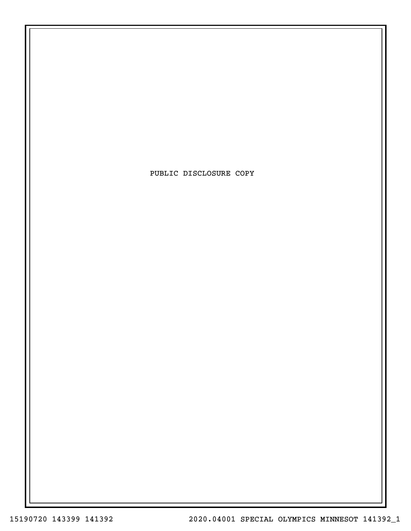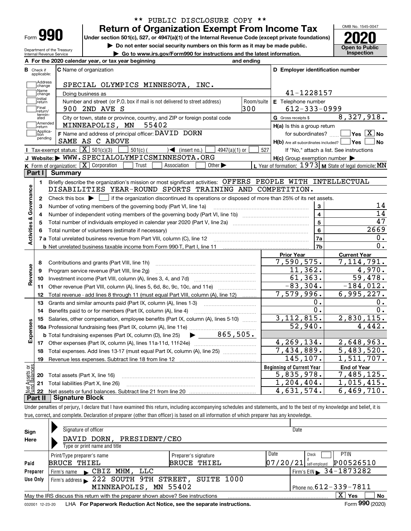| Form |  |
|------|--|

## **Return of Organization Exempt From Income Tax** \*\* PUBLIC DISCLOSURE COPY \*\*

**Under section 501(c), 527, or 4947(a)(1) of the Internal Revenue Code (except private foundations) 2020**

**| Do not enter social security numbers on this form as it may be made public.**

**| Go to www.irs.gov/Form990 for instructions and the latest information. Inspection**



Department of the Treasury Internal Revenue Service т

| A For the 2020 calendar year, or tax year beginning | and ending |
|-----------------------------------------------------|------------|
|                                                     |            |

| в                       | Check if<br>applicable: | <b>C</b> Name of organization                                                                                                               |                    | D Employer identification number                    |                                                           |  |  |  |
|-------------------------|-------------------------|---------------------------------------------------------------------------------------------------------------------------------------------|--------------------|-----------------------------------------------------|-----------------------------------------------------------|--|--|--|
|                         | Address<br> change      | SPECIAL OLYMPICS MINNESOTA, INC.                                                                                                            |                    |                                                     |                                                           |  |  |  |
|                         | Name<br>change          | Doing business as                                                                                                                           |                    | 41-1228157                                          |                                                           |  |  |  |
|                         | Initial<br>return       | Number and street (or P.O. box if mail is not delivered to street address)                                                                  | Room/suite         | E Telephone number                                  |                                                           |  |  |  |
|                         | Final<br>lreturn/       | 300<br>900 2ND AVE S                                                                                                                        | $612 - 333 - 0999$ |                                                     |                                                           |  |  |  |
|                         | termin-<br>ated         | City or town, state or province, country, and ZIP or foreign postal code                                                                    |                    | G Gross receipts \$                                 | 8,327,918.                                                |  |  |  |
|                         | Amended<br>return       | MINNEAPOLIS, MN<br>55402                                                                                                                    |                    | H(a) Is this a group return                         |                                                           |  |  |  |
|                         | Applica-<br>tion        | F Name and address of principal officer: DAVID DORN                                                                                         |                    | for subordinates?                                   | $\sqrt{}$ Yes $\sqrt{}$ X $\sqrt{}$ No                    |  |  |  |
|                         | pending                 | SAME AS C ABOVE                                                                                                                             |                    | $H(b)$ Are all subordinates included? $\Box$ Yes    | No                                                        |  |  |  |
|                         |                         | Tax-exempt status: $\boxed{\mathbf{X}}$ 501(c)(3)<br>$501(c)$ (<br>$\mathcal{A}$ (insert no.)<br>$4947(a)(1)$ or                            | 527                |                                                     | If "No," attach a list. See instructions                  |  |  |  |
|                         |                         | J Website: WWW.SPECIALOLYMPICSMINNESOTA.ORG                                                                                                 |                    | $H(c)$ Group exemption number $\blacktriangleright$ |                                                           |  |  |  |
|                         |                         | <b>K</b> Form of organization: $\boxed{\mathbf{X}}$ Corporation<br>Trust<br>Association<br>Other $\blacktriangleright$                      |                    |                                                     | L Year of formation: $1973$ M State of legal domicile: MN |  |  |  |
|                         | Part I                  | <b>Summary</b>                                                                                                                              |                    |                                                     |                                                           |  |  |  |
|                         | $\mathbf{1}$            | Briefly describe the organization's mission or most significant activities: OFFERS PEOPLE WITH INTELLECTUAL                                 |                    |                                                     |                                                           |  |  |  |
| Activities & Governance |                         | DISABILITIES YEAR-ROUND SPORTS TRAINING AND COMPETITION.                                                                                    |                    |                                                     |                                                           |  |  |  |
|                         | $\mathbf{2}$            | Check this box $\blacktriangleright$ $\Box$ if the organization discontinued its operations or disposed of more than 25% of its net assets. |                    |                                                     |                                                           |  |  |  |
|                         | 3                       | Number of voting members of the governing body (Part VI, line 1a)                                                                           |                    | 3                                                   | 14                                                        |  |  |  |
|                         | 4                       |                                                                                                                                             |                    | $\overline{\mathbf{4}}$                             | $\overline{14}$                                           |  |  |  |
|                         | 5                       |                                                                                                                                             |                    | $5\phantom{a}$                                      | 47                                                        |  |  |  |
|                         | 6                       |                                                                                                                                             |                    | 6                                                   | 2669                                                      |  |  |  |
|                         |                         | 7 a Total unrelated business revenue from Part VIII, column (C), line 12                                                                    |                    | 7a                                                  | 0.                                                        |  |  |  |
|                         |                         |                                                                                                                                             |                    | 7 <sub>b</sub>                                      | $\overline{0}$ .                                          |  |  |  |
|                         |                         |                                                                                                                                             |                    | <b>Prior Year</b>                                   | <b>Current Year</b>                                       |  |  |  |
|                         | 8                       | Contributions and grants (Part VIII, line 1h)                                                                                               |                    | 7,590,575.                                          | 7,114,791.                                                |  |  |  |
|                         | 9                       | Program service revenue (Part VIII, line 2g)                                                                                                |                    | 11, 362.                                            | 4,970.                                                    |  |  |  |
| Revenue                 | 10                      |                                                                                                                                             |                    | 61, 363.                                            | 59,478.                                                   |  |  |  |
|                         | 11                      | Other revenue (Part VIII, column (A), lines 5, 6d, 8c, 9c, 10c, and 11e)                                                                    |                    | $-83,304.$                                          | $-184,012.$                                               |  |  |  |
|                         | 12                      | Total revenue - add lines 8 through 11 (must equal Part VIII, column (A), line 12)                                                          |                    | 7,579,996.                                          | 6,995,227.                                                |  |  |  |
|                         | 13                      | Grants and similar amounts paid (Part IX, column (A), lines 1-3)                                                                            |                    | 0.                                                  | 0.                                                        |  |  |  |
|                         | 14                      | Benefits paid to or for members (Part IX, column (A), line 4)                                                                               |                    | 0.                                                  | 0.                                                        |  |  |  |
|                         | 15                      | Salaries, other compensation, employee benefits (Part IX, column (A), lines 5-10)                                                           |                    | 3, 112, 815.                                        | 2,830,115.                                                |  |  |  |
| Expenses                |                         |                                                                                                                                             |                    | 52,940.                                             | 4,442.                                                    |  |  |  |
|                         |                         |                                                                                                                                             |                    |                                                     |                                                           |  |  |  |
|                         |                         |                                                                                                                                             |                    | 4,269,134.                                          | 2,648,963.                                                |  |  |  |
|                         | 18                      | Total expenses. Add lines 13-17 (must equal Part IX, column (A), line 25)                                                                   |                    | 7,434,889.                                          | 5,483,520.                                                |  |  |  |
|                         | 19                      |                                                                                                                                             |                    | 145,107.                                            | 1,511,707.                                                |  |  |  |
| ăğ                      |                         |                                                                                                                                             |                    | <b>Beginning of Current Year</b>                    | <b>End of Year</b>                                        |  |  |  |
| ssets<br>Dalce          | 20                      | Total assets (Part X, line 16)                                                                                                              |                    | 5,835,978.                                          | 7,485,125.                                                |  |  |  |
|                         |                         | 21 Total liabilities (Part X, line 26)                                                                                                      |                    | 1, 204, 404.                                        | 1,015,415.                                                |  |  |  |
|                         | 22                      |                                                                                                                                             |                    | 4,631,574.                                          | 6,469,710.                                                |  |  |  |
|                         | Part II                 | <b>Signature Block</b>                                                                                                                      |                    |                                                     |                                                           |  |  |  |

Under penalties of perjury, I declare that I have examined this return, including accompanying schedules and statements, and to the best of my knowledge and belief, it is true, correct, and complete. Declaration of preparer (other than officer) is based on all information of which preparer has any knowledge.

| Sign     | Signature of officer                                                                                         |                              | Date                                     |  |  |  |
|----------|--------------------------------------------------------------------------------------------------------------|------------------------------|------------------------------------------|--|--|--|
| Here     | DAVID DORN, PRESIDENT/CEO                                                                                    |                              |                                          |  |  |  |
|          | Type or print name and title                                                                                 |                              |                                          |  |  |  |
|          | Print/Type preparer's name                                                                                   | Preparer's signature         | Date<br><b>PTIN</b><br>Check             |  |  |  |
| Paid     | <b>BRUCE THIEL</b>                                                                                           | BRUCE THIEL                  | P00526510<br> 07/20/21 <br>self-emploved |  |  |  |
| Preparer | CBIZ MHM, LLC<br>Firm's name                                                                                 |                              | Firm's EIN 34-1873282                    |  |  |  |
| Use Only | Firm's address > 222 SOUTH 9TH STREET, SUITE 1000                                                            |                              |                                          |  |  |  |
|          | MINNEAPOLIS, MN 55402                                                                                        | Phone no. $612 - 339 - 7811$ |                                          |  |  |  |
|          | $X \vert Y$ es<br>No<br>May the IRS discuss this return with the preparer shown above? See instructions      |                              |                                          |  |  |  |
|          | Form 990 (2020)<br>LHA For Paperwork Reduction Act Notice, see the separate instructions.<br>032001 12-23-20 |                              |                                          |  |  |  |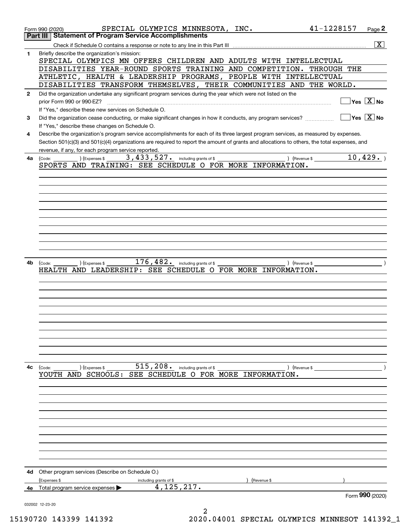|              | SPECIAL OLYMPICS MINNESOTA, INC.<br>Form 990 (2020)                                                                                          | 41-1228157           | Page 2                                                 |
|--------------|----------------------------------------------------------------------------------------------------------------------------------------------|----------------------|--------------------------------------------------------|
|              | <b>Statement of Program Service Accomplishments</b><br>Part III                                                                              |                      |                                                        |
|              |                                                                                                                                              |                      | $\overline{\mathbf{X}}$                                |
| 1            | Briefly describe the organization's mission:                                                                                                 |                      |                                                        |
|              | SPECIAL OLYMPICS MN OFFERS CHILDREN AND ADULTS WITH INTELLECTUAL<br>DISABILITIES YEAR-ROUND SPORTS TRAINING AND COMPETITION.                 | THROUGH THE          |                                                        |
|              | ATHLETIC, HEALTH & LEADERSHIP PROGRAMS, PEOPLE WITH INTELLECTUAL                                                                             |                      |                                                        |
|              | DISABILITIES TRANSFORM THEMSELVES, THEIR COMMUNITIES AND THE WORLD.                                                                          |                      |                                                        |
| $\mathbf{2}$ | Did the organization undertake any significant program services during the year which were not listed on the                                 |                      |                                                        |
|              | prior Form 990 or 990-EZ?                                                                                                                    |                      | Yes $X$ No                                             |
|              | If "Yes," describe these new services on Schedule O.                                                                                         |                      |                                                        |
| 3            | Did the organization cease conducting, or make significant changes in how it conducts, any program services?                                 |                      | $\overline{\mathsf{Yes} \mathrel{\;\; X} \mathsf{No}}$ |
|              | If "Yes," describe these changes on Schedule O.                                                                                              |                      |                                                        |
| 4            | Describe the organization's program service accomplishments for each of its three largest program services, as measured by expenses.         |                      |                                                        |
|              | Section 501(c)(3) and 501(c)(4) organizations are required to report the amount of grants and allocations to others, the total expenses, and |                      |                                                        |
|              | revenue, if any, for each program service reported.                                                                                          |                      |                                                        |
| 4a           | 3, 433, 527. including grants of \$<br>) (Expenses \$<br>) (Revenue \$<br>(Code:                                                             |                      | 10,429.                                                |
|              | SPORTS AND TRAINING: SEE SCHEDULE O FOR MORE INFORMATION.                                                                                    |                      |                                                        |
|              |                                                                                                                                              |                      |                                                        |
|              |                                                                                                                                              |                      |                                                        |
|              |                                                                                                                                              |                      |                                                        |
|              |                                                                                                                                              |                      |                                                        |
|              |                                                                                                                                              |                      |                                                        |
|              |                                                                                                                                              |                      |                                                        |
|              |                                                                                                                                              |                      |                                                        |
|              |                                                                                                                                              |                      |                                                        |
|              |                                                                                                                                              |                      |                                                        |
|              |                                                                                                                                              |                      |                                                        |
|              | 176,482.                                                                                                                                     |                      |                                                        |
| 4b           | including grants of \$<br>(Expenses \$<br>) (Revenue \$<br>(Code:<br>HEALTH AND LEADERSHIP: SEE SCHEDULE O FOR MORE INFORMATION.             |                      |                                                        |
|              |                                                                                                                                              |                      |                                                        |
|              |                                                                                                                                              |                      |                                                        |
|              |                                                                                                                                              |                      |                                                        |
|              |                                                                                                                                              |                      |                                                        |
|              |                                                                                                                                              |                      |                                                        |
|              |                                                                                                                                              |                      |                                                        |
|              |                                                                                                                                              |                      |                                                        |
|              |                                                                                                                                              |                      |                                                        |
|              |                                                                                                                                              |                      |                                                        |
|              |                                                                                                                                              |                      |                                                        |
|              |                                                                                                                                              |                      |                                                        |
| 4с           | 515, 208. including grants of \$<br>(Expenses \$<br>(Code:                                                                                   | $\angle$ (Revenue \$ |                                                        |
|              | YOUTH AND SCHOOLS: SEE SCHEDULE O FOR MORE INFORMATION.                                                                                      |                      |                                                        |
|              |                                                                                                                                              |                      |                                                        |
|              |                                                                                                                                              |                      |                                                        |
|              |                                                                                                                                              |                      |                                                        |
|              |                                                                                                                                              |                      |                                                        |
|              |                                                                                                                                              |                      |                                                        |
|              |                                                                                                                                              |                      |                                                        |
|              |                                                                                                                                              |                      |                                                        |
|              |                                                                                                                                              |                      |                                                        |
|              |                                                                                                                                              |                      |                                                        |
|              |                                                                                                                                              |                      |                                                        |
|              |                                                                                                                                              |                      |                                                        |
| 4d           | Other program services (Describe on Schedule O.)                                                                                             |                      |                                                        |
|              | (Expenses \$<br>including grants of \$<br>(Revenue \$                                                                                        |                      |                                                        |
| 4e           | 4, 125, 217.<br>Total program service expenses                                                                                               |                      |                                                        |
|              |                                                                                                                                              |                      | Form 990 (2020)                                        |
|              | 032002 12-23-20                                                                                                                              |                      |                                                        |
|              |                                                                                                                                              |                      |                                                        |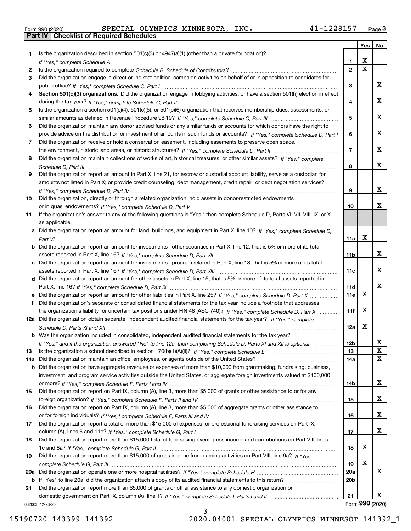Form 990 (2020) SPECIAL OLYMPICS MINNESOTA , INC **.** 41–1228157 <sub>Page</sub> 3<br>**Part IV** | Checklist of Required Schedules

|     |                                                                                                                                                                                                                                                    |                         | Yes                     | No |
|-----|----------------------------------------------------------------------------------------------------------------------------------------------------------------------------------------------------------------------------------------------------|-------------------------|-------------------------|----|
| 1.  | Is the organization described in section $501(c)(3)$ or $4947(a)(1)$ (other than a private foundation)?                                                                                                                                            |                         |                         |    |
|     |                                                                                                                                                                                                                                                    | 1                       | X                       |    |
| 2   |                                                                                                                                                                                                                                                    | $\overline{\mathbf{2}}$ | $\overline{\mathbf{x}}$ |    |
| 3   | Did the organization engage in direct or indirect political campaign activities on behalf of or in opposition to candidates for                                                                                                                    |                         |                         |    |
|     |                                                                                                                                                                                                                                                    | 3                       |                         | x  |
| 4   | Section 501(c)(3) organizations. Did the organization engage in lobbying activities, or have a section 501(h) election in effect                                                                                                                   |                         |                         |    |
|     |                                                                                                                                                                                                                                                    | 4                       |                         | x  |
| 5   | Is the organization a section 501(c)(4), 501(c)(5), or 501(c)(6) organization that receives membership dues, assessments, or                                                                                                                       |                         |                         |    |
|     |                                                                                                                                                                                                                                                    | 5                       |                         | x  |
| 6   | Did the organization maintain any donor advised funds or any similar funds or accounts for which donors have the right to                                                                                                                          |                         |                         | X. |
| 7   | provide advice on the distribution or investment of amounts in such funds or accounts? If "Yes," complete Schedule D, Part I<br>Did the organization receive or hold a conservation easement, including easements to preserve open space,          | 6                       |                         |    |
|     |                                                                                                                                                                                                                                                    | $\overline{7}$          |                         | X. |
| 8   | Did the organization maintain collections of works of art, historical treasures, or other similar assets? If "Yes," complete                                                                                                                       |                         |                         |    |
|     |                                                                                                                                                                                                                                                    | 8                       |                         | X. |
| 9   | Did the organization report an amount in Part X, line 21, for escrow or custodial account liability, serve as a custodian for                                                                                                                      |                         |                         |    |
|     | amounts not listed in Part X; or provide credit counseling, debt management, credit repair, or debt negotiation services?                                                                                                                          |                         |                         |    |
|     |                                                                                                                                                                                                                                                    | 9                       |                         | X. |
| 10  | Did the organization, directly or through a related organization, hold assets in donor-restricted endowments                                                                                                                                       |                         |                         |    |
|     |                                                                                                                                                                                                                                                    | 10                      |                         | x  |
| 11  | If the organization's answer to any of the following questions is "Yes," then complete Schedule D, Parts VI, VIII, VIII, IX, or X                                                                                                                  |                         |                         |    |
|     | as applicable.                                                                                                                                                                                                                                     |                         |                         |    |
|     | a Did the organization report an amount for land, buildings, and equipment in Part X, line 10? If "Yes," complete Schedule D,                                                                                                                      |                         |                         |    |
|     | Part VI                                                                                                                                                                                                                                            | 11a                     | X                       |    |
|     | <b>b</b> Did the organization report an amount for investments - other securities in Part X, line 12, that is 5% or more of its total                                                                                                              |                         |                         |    |
|     |                                                                                                                                                                                                                                                    | 11b                     |                         | x  |
|     | c Did the organization report an amount for investments - program related in Part X, line 13, that is 5% or more of its total                                                                                                                      |                         |                         |    |
|     |                                                                                                                                                                                                                                                    | 11c                     |                         | X. |
|     | d Did the organization report an amount for other assets in Part X, line 15, that is 5% or more of its total assets reported in                                                                                                                    |                         |                         | X. |
|     |                                                                                                                                                                                                                                                    | 11d<br>11e              | $\mathbf X$             |    |
| f   | e Did the organization report an amount for other liabilities in Part X, line 25? If "Yes," complete Schedule D, Part X<br>Did the organization's separate or consolidated financial statements for the tax year include a footnote that addresses |                         |                         |    |
|     | the organization's liability for uncertain tax positions under FIN 48 (ASC 740)? If "Yes," complete Schedule D, Part X                                                                                                                             | 11f                     | X                       |    |
|     | 12a Did the organization obtain separate, independent audited financial statements for the tax year? If "Yes," complete                                                                                                                            |                         |                         |    |
|     |                                                                                                                                                                                                                                                    | 12a                     | X                       |    |
|     | <b>b</b> Was the organization included in consolidated, independent audited financial statements for the tax year?                                                                                                                                 |                         |                         |    |
|     | If "Yes," and if the organization answered "No" to line 12a, then completing Schedule D, Parts XI and XII is optional                                                                                                                              | 12b                     |                         | A  |
| 13  |                                                                                                                                                                                                                                                    | 13                      |                         | X  |
| 14a | Did the organization maintain an office, employees, or agents outside of the United States?                                                                                                                                                        | 14a                     |                         | X  |
|     | b Did the organization have aggregate revenues or expenses of more than \$10,000 from grantmaking, fundraising, business,                                                                                                                          |                         |                         |    |
|     | investment, and program service activities outside the United States, or aggregate foreign investments valued at \$100,000                                                                                                                         |                         |                         |    |
|     |                                                                                                                                                                                                                                                    | 14b                     |                         | x  |
| 15  | Did the organization report on Part IX, column (A), line 3, more than \$5,000 of grants or other assistance to or for any                                                                                                                          |                         |                         |    |
|     |                                                                                                                                                                                                                                                    | 15                      |                         | x  |
| 16  | Did the organization report on Part IX, column (A), line 3, more than \$5,000 of aggregate grants or other assistance to                                                                                                                           |                         |                         |    |
|     | Did the organization report a total of more than \$15,000 of expenses for professional fundraising services on Part IX,                                                                                                                            | 16                      |                         | x  |
| 17  |                                                                                                                                                                                                                                                    | 17                      |                         | x  |
| 18  | Did the organization report more than \$15,000 total of fundraising event gross income and contributions on Part VIII, lines                                                                                                                       |                         |                         |    |
|     |                                                                                                                                                                                                                                                    | 18                      | х                       |    |
| 19  | Did the organization report more than \$15,000 of gross income from gaming activities on Part VIII, line 9a? If "Yes."                                                                                                                             |                         |                         |    |
|     |                                                                                                                                                                                                                                                    | 19                      | х                       |    |
|     |                                                                                                                                                                                                                                                    | 20a                     |                         | x  |
|     | b If "Yes" to line 20a, did the organization attach a copy of its audited financial statements to this return?                                                                                                                                     | 20 <sub>b</sub>         |                         |    |
| 21  | Did the organization report more than \$5,000 of grants or other assistance to any domestic organization or                                                                                                                                        |                         |                         |    |
|     |                                                                                                                                                                                                                                                    | 21                      |                         | X. |
|     | 032003 12-23-20                                                                                                                                                                                                                                    |                         | Form 990 (2020)         |    |

032003 12-23-20

3 15190720 143399 141392 2020.04001 SPECIAL OLYMPICS MINNESOT 141392\_1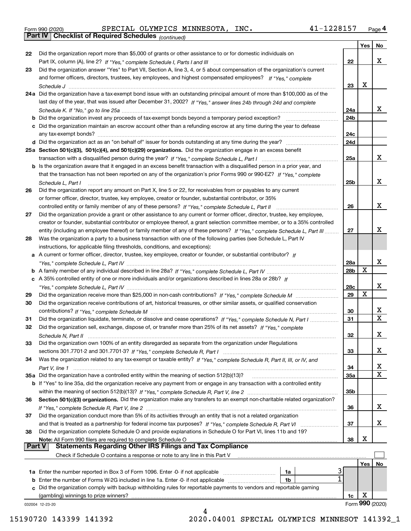|  | Form 990 (2020) |
|--|-----------------|
|  |                 |

*(continued)* Form 990 (2020) SPECIAL OLYMPICS MINNESOTA , INC **.** 41–1228157 <sub>Page</sub> 4<br>**Part IV | Checklist of Required Schedules** <sub>(continued)</sub>

|          |                                                                                                                              |                 | Yes | No               |
|----------|------------------------------------------------------------------------------------------------------------------------------|-----------------|-----|------------------|
| 22       | Did the organization report more than \$5,000 of grants or other assistance to or for domestic individuals on                |                 |     |                  |
|          |                                                                                                                              | 22              |     | х                |
| 23       | Did the organization answer "Yes" to Part VII, Section A, line 3, 4, or 5 about compensation of the organization's current   |                 |     |                  |
|          | and former officers, directors, trustees, key employees, and highest compensated employees? If "Yes," complete               |                 |     |                  |
|          |                                                                                                                              | 23              | x   |                  |
|          | 24a Did the organization have a tax-exempt bond issue with an outstanding principal amount of more than \$100,000 as of the  |                 |     |                  |
|          | last day of the year, that was issued after December 31, 2002? If "Yes," answer lines 24b through 24d and complete           |                 |     |                  |
|          |                                                                                                                              | 24a             |     | x                |
|          | <b>b</b> Did the organization invest any proceeds of tax-exempt bonds beyond a temporary period exception?                   | 24 <sub>b</sub> |     |                  |
|          | c Did the organization maintain an escrow account other than a refunding escrow at any time during the year to defease       |                 |     |                  |
|          |                                                                                                                              | 24c             |     |                  |
|          |                                                                                                                              | 24d             |     |                  |
|          | 25a Section 501(c)(3), 501(c)(4), and 501(c)(29) organizations. Did the organization engage in an excess benefit             |                 |     |                  |
|          |                                                                                                                              | 25a             |     | x                |
|          | b Is the organization aware that it engaged in an excess benefit transaction with a disqualified person in a prior year, and |                 |     |                  |
|          | that the transaction has not been reported on any of the organization's prior Forms 990 or 990-EZ? If "Yes." complete        |                 |     |                  |
|          | Schedule L, Part I                                                                                                           | 25b             |     | х                |
| 26       | Did the organization report any amount on Part X, line 5 or 22, for receivables from or payables to any current              |                 |     |                  |
|          | or former officer, director, trustee, key employee, creator or founder, substantial contributor, or 35%                      |                 |     |                  |
|          |                                                                                                                              | 26              |     | х                |
| 27       | Did the organization provide a grant or other assistance to any current or former officer, director, trustee, key employee,  |                 |     |                  |
|          | creator or founder, substantial contributor or employee thereof, a grant selection committee member, or to a 35% controlled  |                 |     |                  |
|          | entity (including an employee thereof) or family member of any of these persons? If "Yes," complete Schedule L, Part III     | 27              |     | x                |
| 28       | Was the organization a party to a business transaction with one of the following parties (see Schedule L, Part IV            |                 |     |                  |
|          | instructions, for applicable filing thresholds, conditions, and exceptions):                                                 |                 |     |                  |
|          | a A current or former officer, director, trustee, key employee, creator or founder, or substantial contributor? If           |                 |     |                  |
|          |                                                                                                                              | 28a             |     | х                |
|          |                                                                                                                              | 28 <sub>b</sub> | х   |                  |
|          |                                                                                                                              |                 |     |                  |
|          | c A 35% controlled entity of one or more individuals and/or organizations described in lines 28a or 28b? If                  |                 |     | х                |
|          |                                                                                                                              | 28c             | х   |                  |
| 29       |                                                                                                                              | 29              |     |                  |
| 30       | Did the organization receive contributions of art, historical treasures, or other similar assets, or qualified conservation  |                 |     |                  |
|          |                                                                                                                              | 30              |     | x<br>$\mathbf X$ |
| 31       | Did the organization liquidate, terminate, or dissolve and cease operations? If "Yes," complete Schedule N, Part I           | 31              |     |                  |
| 32       | Did the organization sell, exchange, dispose of, or transfer more than 25% of its net assets? If "Yes," complete             |                 |     |                  |
|          | Schedule N, Part II                                                                                                          | 32              |     | X                |
| 33       | Did the organization own 100% of an entity disregarded as separate from the organization under Regulations                   |                 |     |                  |
|          |                                                                                                                              | 33              |     | х                |
| 34       | Was the organization related to any tax-exempt or taxable entity? If "Yes," complete Schedule R, Part II, III, or IV, and    |                 |     |                  |
|          |                                                                                                                              | 34              |     | х                |
|          | 35a Did the organization have a controlled entity within the meaning of section 512(b)(13)?                                  | 35a             |     | $\mathbf X$      |
|          | b If "Yes" to line 35a, did the organization receive any payment from or engage in any transaction with a controlled entity  |                 |     |                  |
|          |                                                                                                                              | 35b             |     |                  |
| 36       | Section 501(c)(3) organizations. Did the organization make any transfers to an exempt non-charitable related organization?   |                 |     |                  |
|          |                                                                                                                              | 36              |     | x                |
| 37       | Did the organization conduct more than 5% of its activities through an entity that is not a related organization             |                 |     |                  |
|          | and that is treated as a partnership for federal income tax purposes? If "Yes," complete Schedule R, Part VI                 | 37              |     | X                |
| 38       | Did the organization complete Schedule O and provide explanations in Schedule O for Part VI, lines 11b and 19?               |                 |     |                  |
|          | Note: All Form 990 filers are required to complete Schedule O                                                                | 38              | х   |                  |
| ∣ Part V | <b>Statements Regarding Other IRS Filings and Tax Compliance</b>                                                             |                 |     |                  |
|          | Check if Schedule O contains a response or note to any line in this Part V                                                   |                 |     |                  |
|          |                                                                                                                              |                 | Yes | No               |
|          | 1a Enter the number reported in Box 3 of Form 1096. Enter -0- if not applicable<br>1a                                        |                 |     |                  |
|          | 1b                                                                                                                           |                 |     |                  |
|          | c Did the organization comply with backup withholding rules for reportable payments to vendors and reportable gaming         |                 |     |                  |
|          | (gambling) winnings to prize winners?                                                                                        | 1c              | X   |                  |
|          | 032004 12-23-20                                                                                                              |                 |     | Form 990 (2020)  |
|          | 4                                                                                                                            |                 |     |                  |

15190720 143399 141392 2020.04001 SPECIAL OLYMPICS MINNESOT 141392\_1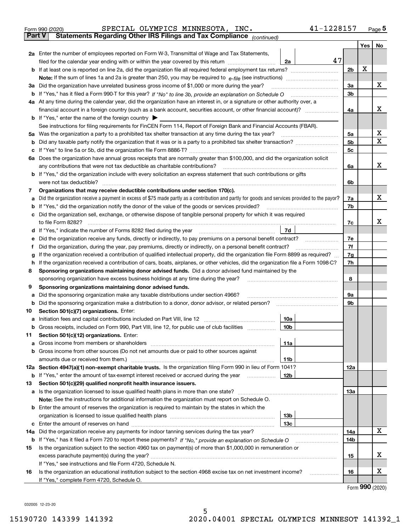| Form 990 (2020) |  | SPECIAL OLYMPICS MINNESOTA, INC.                                                               | 41-1228157 | Page $5$ |
|-----------------|--|------------------------------------------------------------------------------------------------|------------|----------|
|                 |  | <b>Part V</b> Statements Regarding Other IRS Filings and Tax Compliance <sub>(continued)</sub> |            |          |

| Part V | Statements Regarding Other IRS Filings and Tax Compilance<br>(continued)                                                                                                                                                                   |                |     |             |  |  |  |
|--------|--------------------------------------------------------------------------------------------------------------------------------------------------------------------------------------------------------------------------------------------|----------------|-----|-------------|--|--|--|
|        |                                                                                                                                                                                                                                            |                | Yes | No          |  |  |  |
|        | 2a Enter the number of employees reported on Form W-3, Transmittal of Wage and Tax Statements,                                                                                                                                             |                |     |             |  |  |  |
|        | 47<br>filed for the calendar year ending with or within the year covered by this return <i>manumumumum</i><br>2a                                                                                                                           |                |     |             |  |  |  |
|        |                                                                                                                                                                                                                                            | 2 <sub>b</sub> | х   |             |  |  |  |
|        |                                                                                                                                                                                                                                            |                |     |             |  |  |  |
|        | 3a Did the organization have unrelated business gross income of \$1,000 or more during the year?                                                                                                                                           | За             |     | х           |  |  |  |
|        |                                                                                                                                                                                                                                            |                |     |             |  |  |  |
|        | 4a At any time during the calendar year, did the organization have an interest in, or a signature or other authority over, a                                                                                                               |                |     |             |  |  |  |
|        |                                                                                                                                                                                                                                            | 4a             |     | х           |  |  |  |
|        | <b>b</b> If "Yes," enter the name of the foreign country                                                                                                                                                                                   |                |     |             |  |  |  |
|        | See instructions for filing requirements for FinCEN Form 114, Report of Foreign Bank and Financial Accounts (FBAR).                                                                                                                        |                |     |             |  |  |  |
|        | 5a Was the organization a party to a prohibited tax shelter transaction at any time during the tax year?                                                                                                                                   | 5a             |     | х           |  |  |  |
|        |                                                                                                                                                                                                                                            | 5b             |     | $\mathbf X$ |  |  |  |
| c      |                                                                                                                                                                                                                                            | 5 <sub>c</sub> |     |             |  |  |  |
|        | 6a Does the organization have annual gross receipts that are normally greater than \$100,000, and did the organization solicit                                                                                                             |                |     |             |  |  |  |
|        | any contributions that were not tax deductible as charitable contributions?                                                                                                                                                                | 6a             |     | х           |  |  |  |
|        | <b>b</b> If "Yes," did the organization include with every solicitation an express statement that such contributions or gifts                                                                                                              |                |     |             |  |  |  |
|        | were not tax deductible?                                                                                                                                                                                                                   | 6b             |     |             |  |  |  |
| 7      | Organizations that may receive deductible contributions under section 170(c).                                                                                                                                                              |                |     |             |  |  |  |
| а      | Did the organization receive a payment in excess of \$75 made partly as a contribution and partly for goods and services provided to the payor?                                                                                            | 7a             |     | х           |  |  |  |
|        | <b>b</b> If "Yes," did the organization notify the donor of the value of the goods or services provided?                                                                                                                                   | 7b             |     |             |  |  |  |
|        | c Did the organization sell, exchange, or otherwise dispose of tangible personal property for which it was required                                                                                                                        |                |     |             |  |  |  |
|        | to file Form 8282?                                                                                                                                                                                                                         | 7с             |     | х           |  |  |  |
|        | 7d<br>d If "Yes," indicate the number of Forms 8282 filed during the year                                                                                                                                                                  |                |     |             |  |  |  |
| е      | Did the organization receive any funds, directly or indirectly, to pay premiums on a personal benefit contract?                                                                                                                            | 7е<br>7f       |     |             |  |  |  |
|        | Did the organization, during the year, pay premiums, directly or indirectly, on a personal benefit contract?<br>f                                                                                                                          |                |     |             |  |  |  |
|        | If the organization received a contribution of qualified intellectual property, did the organization file Form 8899 as required?<br>g                                                                                                      |                |     |             |  |  |  |
| h.     | If the organization received a contribution of cars, boats, airplanes, or other vehicles, did the organization file a Form 1098-C?<br>Sponsoring organizations maintaining donor advised funds. Did a donor advised fund maintained by the | 7h             |     |             |  |  |  |
| 8      | sponsoring organization have excess business holdings at any time during the year?                                                                                                                                                         | 8              |     |             |  |  |  |
| 9      | Sponsoring organizations maintaining donor advised funds.                                                                                                                                                                                  |                |     |             |  |  |  |
| а      | Did the sponsoring organization make any taxable distributions under section 4966?                                                                                                                                                         | 9а             |     |             |  |  |  |
|        | <b>b</b> Did the sponsoring organization make a distribution to a donor, donor advisor, or related person?                                                                                                                                 | 9b             |     |             |  |  |  |
| 10     | Section 501(c)(7) organizations. Enter:                                                                                                                                                                                                    |                |     |             |  |  |  |
| а      | 10a<br>Initiation fees and capital contributions included on Part VIII, line 12 <i>manorana controllering</i>                                                                                                                              |                |     |             |  |  |  |
|        | b Gross receipts, included on Form 990, Part VIII, line 12, for public use of club facilities<br>10b                                                                                                                                       |                |     |             |  |  |  |
| 11.    | Section 501(c)(12) organizations. Enter:                                                                                                                                                                                                   |                |     |             |  |  |  |
|        | 11a                                                                                                                                                                                                                                        |                |     |             |  |  |  |
|        | <b>b</b> Gross income from other sources (Do not net amounts due or paid to other sources against                                                                                                                                          |                |     |             |  |  |  |
|        | 11b                                                                                                                                                                                                                                        |                |     |             |  |  |  |
|        | 12a Section 4947(a)(1) non-exempt charitable trusts. Is the organization filing Form 990 in lieu of Form 1041?                                                                                                                             | 12a            |     |             |  |  |  |
|        | 12b<br><b>b</b> If "Yes," enter the amount of tax-exempt interest received or accrued during the year                                                                                                                                      |                |     |             |  |  |  |
| 13     | Section 501(c)(29) qualified nonprofit health insurance issuers.                                                                                                                                                                           |                |     |             |  |  |  |
|        | a Is the organization licensed to issue qualified health plans in more than one state?                                                                                                                                                     | 13a            |     |             |  |  |  |
|        | Note: See the instructions for additional information the organization must report on Schedule O.                                                                                                                                          |                |     |             |  |  |  |
|        | <b>b</b> Enter the amount of reserves the organization is required to maintain by the states in which the                                                                                                                                  |                |     |             |  |  |  |
|        | 13 <sub>b</sub>                                                                                                                                                                                                                            |                |     |             |  |  |  |
|        | 13 <sub>c</sub>                                                                                                                                                                                                                            |                |     |             |  |  |  |
|        | <b>14a</b> Did the organization receive any payments for indoor tanning services during the tax year?                                                                                                                                      | 14a            |     | х           |  |  |  |
|        |                                                                                                                                                                                                                                            | 14b            |     |             |  |  |  |
| 15     | Is the organization subject to the section 4960 tax on payment(s) of more than \$1,000,000 in remuneration or                                                                                                                              |                |     |             |  |  |  |
|        |                                                                                                                                                                                                                                            | 15             |     | х           |  |  |  |
|        | If "Yes," see instructions and file Form 4720, Schedule N.                                                                                                                                                                                 |                |     |             |  |  |  |
| 16     | Is the organization an educational institution subject to the section 4968 excise tax on net investment income?                                                                                                                            | 16             |     | х           |  |  |  |
|        | If "Yes," complete Form 4720, Schedule O.                                                                                                                                                                                                  |                |     |             |  |  |  |

Form (2020) **990**

032005 12-23-20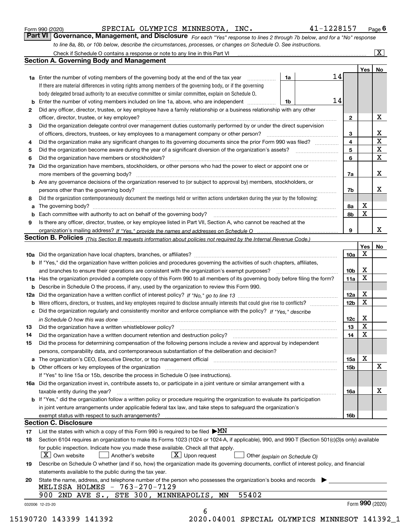|  | Form 990 (2020) |
|--|-----------------|
|  |                 |

SPECIAL OLYMPICS MINNESOTA, INC. 41-1228157

*For each "Yes" response to lines 2 through 7b below, and for a "No" response to line 8a, 8b, or 10b below, describe the circumstances, processes, or changes on Schedule O. See instructions.* Form 990 (2020) **CONFICT BESOU EXECTAL COMPRICS MINNESOTA, INC.** Alternal and the same of the same of the same of the same of the same of the same of the same of the same of the same of the same of the same of the same of Check if Schedule O contains a response or note to any line in this Part VI

|    |                                                                                                                                                                               |    |    |                         | Yes      | No                      |
|----|-------------------------------------------------------------------------------------------------------------------------------------------------------------------------------|----|----|-------------------------|----------|-------------------------|
|    | <b>1a</b> Enter the number of voting members of the governing body at the end of the tax year                                                                                 | 1a | 14 |                         |          |                         |
|    | If there are material differences in voting rights among members of the governing body, or if the governing                                                                   |    |    |                         |          |                         |
|    | body delegated broad authority to an executive committee or similar committee, explain on Schedule O.                                                                         |    |    |                         |          |                         |
|    |                                                                                                                                                                               | 1b | 14 |                         |          |                         |
| 2  | Did any officer, director, trustee, or key employee have a family relationship or a business relationship with any other                                                      |    |    |                         |          |                         |
|    | officer, director, trustee, or key employee?                                                                                                                                  |    |    | $\mathbf{2}$            |          | X                       |
| 3  | Did the organization delegate control over management duties customarily performed by or under the direct supervision                                                         |    |    |                         |          |                         |
|    |                                                                                                                                                                               |    |    | 3                       |          | X                       |
| 4  | Did the organization make any significant changes to its governing documents since the prior Form 990 was filed?                                                              |    |    | $\overline{\mathbf{4}}$ |          | $\overline{\textbf{X}}$ |
| 5  |                                                                                                                                                                               |    |    | 5                       |          | $\mathbf X$             |
| 6  | Did the organization have members or stockholders?                                                                                                                            |    |    | 6                       |          | $\mathbf x$             |
|    | 7a Did the organization have members, stockholders, or other persons who had the power to elect or appoint one or                                                             |    |    |                         |          |                         |
|    |                                                                                                                                                                               |    |    | 7a                      |          | x                       |
|    | <b>b</b> Are any governance decisions of the organization reserved to (or subject to approval by) members, stockholders, or                                                   |    |    |                         |          |                         |
|    | persons other than the governing body?                                                                                                                                        |    |    | 7b                      |          | х                       |
| 8  | Did the organization contemporaneously document the meetings held or written actions undertaken during the year by the following:                                             |    |    |                         |          |                         |
| a  |                                                                                                                                                                               |    |    | 8a                      | X        |                         |
|    |                                                                                                                                                                               |    |    | 8b                      | X        |                         |
| 9  |                                                                                                                                                                               |    |    |                         |          |                         |
|    | Is there any officer, director, trustee, or key employee listed in Part VII, Section A, who cannot be reached at the                                                          |    |    | 9                       |          | х                       |
|    |                                                                                                                                                                               |    |    |                         |          |                         |
|    | Section B. Policies (This Section B requests information about policies not required by the Internal Revenue Code.)                                                           |    |    |                         |          |                         |
|    |                                                                                                                                                                               |    |    |                         | Yes<br>Χ | No                      |
|    |                                                                                                                                                                               |    |    | 10a                     |          |                         |
|    | <b>b</b> If "Yes," did the organization have written policies and procedures governing the activities of such chapters, affiliates,                                           |    |    |                         |          |                         |
|    |                                                                                                                                                                               |    |    | 10 <sub>b</sub>         | Х        |                         |
|    | 11a Has the organization provided a complete copy of this Form 990 to all members of its governing body before filing the form?                                               |    |    | 11a                     | X        |                         |
|    | <b>b</b> Describe in Schedule O the process, if any, used by the organization to review this Form 990.                                                                        |    |    |                         |          |                         |
|    |                                                                                                                                                                               |    |    | 12a                     | X        |                         |
| b  |                                                                                                                                                                               |    |    | 12b                     | X        |                         |
|    | c Did the organization regularly and consistently monitor and enforce compliance with the policy? If "Yes," describe                                                          |    |    |                         |          |                         |
|    | in Schedule O how this was done manufactured and continuum control of the Schedule O how this was done manufactured and continuum control of the Schedule O how this was done |    |    | 12c                     | х        |                         |
| 13 |                                                                                                                                                                               |    |    | 13                      | X        |                         |
| 14 | Did the organization have a written document retention and destruction policy? manufactured and the organization have a written document retention and destruction policy?    |    |    | 14                      | X        |                         |
| 15 | Did the process for determining compensation of the following persons include a review and approval by independent                                                            |    |    |                         |          |                         |
|    | persons, comparability data, and contemporaneous substantiation of the deliberation and decision?                                                                             |    |    |                         |          |                         |
|    |                                                                                                                                                                               |    |    | 15a                     | X        |                         |
|    |                                                                                                                                                                               |    |    | 15 <sub>b</sub>         |          | $\mathbf X$             |
|    | If "Yes" to line 15a or 15b, describe the process in Schedule O (see instructions).                                                                                           |    |    |                         |          |                         |
|    | 16a Did the organization invest in, contribute assets to, or participate in a joint venture or similar arrangement with a                                                     |    |    |                         |          |                         |
|    | taxable entity during the year?                                                                                                                                               |    |    | 16a                     |          | X                       |
|    | <b>b</b> If "Yes," did the organization follow a written policy or procedure requiring the organization to evaluate its participation                                         |    |    |                         |          |                         |
|    | in joint venture arrangements under applicable federal tax law, and take steps to safeguard the organization's                                                                |    |    |                         |          |                         |
|    | exempt status with respect to such arrangements?                                                                                                                              |    |    | 16b                     |          |                         |
|    | <b>Section C. Disclosure</b>                                                                                                                                                  |    |    |                         |          |                         |
| 17 | List the states with which a copy of this Form 990 is required to be filed $\blacktriangleright MN$                                                                           |    |    |                         |          |                         |
| 18 | Section 6104 requires an organization to make its Forms 1023 (1024 or 1024-A, if applicable), 990, and 990-T (Section 501(c)(3)s only) available                              |    |    |                         |          |                         |
|    | for public inspection. Indicate how you made these available. Check all that apply.                                                                                           |    |    |                         |          |                         |
|    | $\lfloor X \rfloor$ Own website<br>$X$ Upon request<br>Another's website<br>Other (explain on Schedule O)                                                                     |    |    |                         |          |                         |
| 19 | Describe on Schedule O whether (and if so, how) the organization made its governing documents, conflict of interest policy, and financial                                     |    |    |                         |          |                         |
|    | statements available to the public during the tax year.                                                                                                                       |    |    |                         |          |                         |
|    |                                                                                                                                                                               |    |    |                         |          |                         |
| 20 | State the name, address, and telephone number of the person who possesses the organization's books and records<br>MELISSA HOLMES - 763-270-7129                               |    |    |                         |          |                         |
|    | 55402<br>STE 300, MINNEAPOLIS,<br>900 2ND AVE S.,<br>ΜN                                                                                                                       |    |    |                         |          |                         |
|    |                                                                                                                                                                               |    |    |                         |          | Form 990 (2020)         |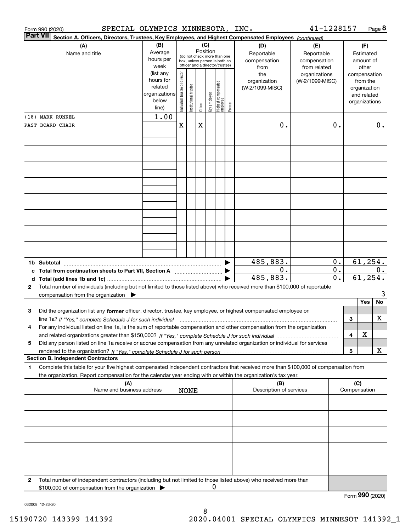|              | SPECIAL OLYMPICS MINNESOTA, INC.<br>Form 990 (2020)                                                                                                                                      |                                                                              |                                |                       |          |              |                                                                    |        |                                                | 41-1228157                                       |                                                 |                     |                                                                                   | Page 8 |
|--------------|------------------------------------------------------------------------------------------------------------------------------------------------------------------------------------------|------------------------------------------------------------------------------|--------------------------------|-----------------------|----------|--------------|--------------------------------------------------------------------|--------|------------------------------------------------|--------------------------------------------------|-------------------------------------------------|---------------------|-----------------------------------------------------------------------------------|--------|
|              | <b>Part VII</b><br>Section A. Officers, Directors, Trustees, Key Employees, and Highest Compensated Employees (continued)                                                                |                                                                              |                                |                       |          |              |                                                                    |        |                                                |                                                  |                                                 |                     |                                                                                   |        |
|              | (A)<br>Name and title                                                                                                                                                                    | (B)<br>Average<br>hours per                                                  |                                |                       | Position | (C)          | (do not check more than one<br>box, unless person is both an       |        | (D)<br>Reportable<br>compensation              | (E)<br>Reportable<br>compensation                |                                                 |                     | (F)<br>Estimated<br>amount of                                                     |        |
|              |                                                                                                                                                                                          | week<br>(list any<br>hours for<br>related<br>organizations<br>below<br>line) | Individual trustee or director | Institutional trustee | Officer  | key employee | officer and a director/trustee)<br>Highest compensated<br>employee | Former | from<br>the<br>organization<br>(W-2/1099-MISC) | from related<br>organizations<br>(W-2/1099-MISC) |                                                 |                     | other<br>compensation<br>from the<br>organization<br>and related<br>organizations |        |
|              | (18) MARK RUNKEL                                                                                                                                                                         | 1.00                                                                         |                                |                       |          |              |                                                                    |        |                                                |                                                  |                                                 |                     |                                                                                   |        |
|              | PAST BOARD CHAIR                                                                                                                                                                         |                                                                              | $\mathbf X$                    |                       | X        |              |                                                                    |        | 0.                                             |                                                  | 0.                                              |                     |                                                                                   | 0.     |
|              |                                                                                                                                                                                          |                                                                              |                                |                       |          |              |                                                                    |        |                                                |                                                  |                                                 |                     |                                                                                   |        |
|              |                                                                                                                                                                                          |                                                                              |                                |                       |          |              |                                                                    |        |                                                |                                                  |                                                 |                     |                                                                                   |        |
|              |                                                                                                                                                                                          |                                                                              |                                |                       |          |              |                                                                    |        |                                                |                                                  |                                                 |                     |                                                                                   |        |
|              |                                                                                                                                                                                          |                                                                              |                                |                       |          |              |                                                                    |        |                                                |                                                  |                                                 |                     |                                                                                   |        |
|              |                                                                                                                                                                                          |                                                                              |                                |                       |          |              |                                                                    |        |                                                |                                                  |                                                 |                     |                                                                                   |        |
|              | 1b Subtotal                                                                                                                                                                              |                                                                              |                                |                       |          |              |                                                                    |        | 485,883.                                       |                                                  | 0.                                              |                     | 61, 254.                                                                          |        |
|              | c Total from continuation sheets to Part VII, Section A <b>manufation</b> continuing                                                                                                     |                                                                              |                                |                       |          |              |                                                                    |        | 0.<br>485,883.                                 |                                                  | $\overline{0}$ .<br>$\overline{\mathfrak{o}}$ . |                     | 61, 254.                                                                          | 0.     |
| $\mathbf{2}$ | Total number of individuals (including but not limited to those listed above) who received more than \$100,000 of reportable<br>compensation from the organization $\blacktriangleright$ |                                                                              |                                |                       |          |              |                                                                    |        |                                                |                                                  |                                                 |                     |                                                                                   | 3      |
| з            | Did the organization list any former officer, director, trustee, key employee, or highest compensated employee on                                                                        |                                                                              |                                |                       |          |              |                                                                    |        |                                                |                                                  |                                                 |                     | Yes                                                                               | No     |
|              | line 1a? If "Yes," complete Schedule J for such individual manufactured contained and the Yes," complete Schedule J for such individual                                                  |                                                                              |                                |                       |          |              |                                                                    |        |                                                |                                                  |                                                 | 3                   |                                                                                   | х      |
| 4            | For any individual listed on line 1a, is the sum of reportable compensation and other compensation from the organization                                                                 |                                                                              |                                |                       |          |              |                                                                    |        |                                                |                                                  |                                                 | 4                   | X                                                                                 |        |
| 5            | Did any person listed on line 1a receive or accrue compensation from any unrelated organization or individual for services                                                               |                                                                              |                                |                       |          |              |                                                                    |        |                                                |                                                  |                                                 |                     |                                                                                   |        |
|              |                                                                                                                                                                                          |                                                                              |                                |                       |          |              |                                                                    |        |                                                |                                                  |                                                 | 5                   |                                                                                   | X      |
| 1            | <b>Section B. Independent Contractors</b><br>Complete this table for your five highest compensated independent contractors that received more than \$100,000 of compensation from        |                                                                              |                                |                       |          |              |                                                                    |        |                                                |                                                  |                                                 |                     |                                                                                   |        |
|              | the organization. Report compensation for the calendar year ending with or within the organization's tax year.                                                                           |                                                                              |                                |                       |          |              |                                                                    |        |                                                |                                                  |                                                 |                     |                                                                                   |        |
|              | (A)<br>Name and business address                                                                                                                                                         |                                                                              |                                | <b>NONE</b>           |          |              |                                                                    |        | (B)<br>Description of services                 |                                                  |                                                 | (C)<br>Compensation |                                                                                   |        |
|              |                                                                                                                                                                                          |                                                                              |                                |                       |          |              |                                                                    |        |                                                |                                                  |                                                 |                     |                                                                                   |        |
|              |                                                                                                                                                                                          |                                                                              |                                |                       |          |              |                                                                    |        |                                                |                                                  |                                                 |                     |                                                                                   |        |
|              |                                                                                                                                                                                          |                                                                              |                                |                       |          |              |                                                                    |        |                                                |                                                  |                                                 |                     |                                                                                   |        |
| 2            | Total number of independent contractors (including but not limited to those listed above) who received more than                                                                         |                                                                              |                                |                       |          |              |                                                                    |        |                                                |                                                  |                                                 |                     |                                                                                   |        |
|              | \$100,000 of compensation from the organization                                                                                                                                          |                                                                              |                                |                       |          | 0            |                                                                    |        |                                                |                                                  |                                                 | Form 990 (2020)     |                                                                                   |        |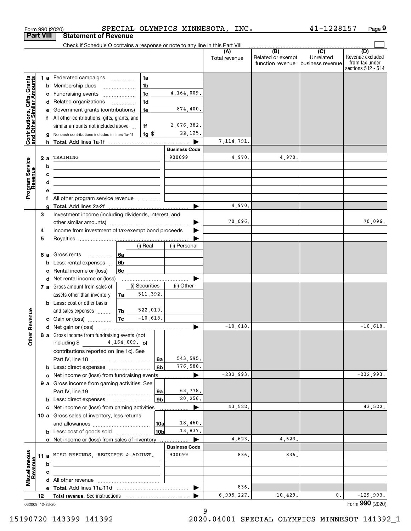|                                                           | <b>Part VIII</b> | <b>Statement of Revenue</b>                                                                                           |                |                |                      |                      |                                              |                                                 |                                                                 |
|-----------------------------------------------------------|------------------|-----------------------------------------------------------------------------------------------------------------------|----------------|----------------|----------------------|----------------------|----------------------------------------------|-------------------------------------------------|-----------------------------------------------------------------|
|                                                           |                  | Check if Schedule O contains a response or note to any line in this Part VIII                                         |                |                |                      |                      |                                              |                                                 |                                                                 |
|                                                           |                  |                                                                                                                       |                |                |                      | (A)<br>Total revenue | (B)<br>Related or exempt<br>function revenue | $\overline{C}$<br>Unrelated<br>business revenue | (D)<br>Revenue excluded<br>from tax under<br>sections 512 - 514 |
|                                                           |                  | <b>1 a</b> Federated campaigns                                                                                        | .              | 1a             |                      |                      |                                              |                                                 |                                                                 |
|                                                           | b                | Membership dues                                                                                                       |                | 1 <sub>b</sub> |                      |                      |                                              |                                                 |                                                                 |
|                                                           | c                | Fundraising events                                                                                                    |                | 1 <sub>c</sub> | 4,164,009.           |                      |                                              |                                                 |                                                                 |
| Contributions, Gifts, Grants<br>and Other Similar Amounts |                  | d Related organizations                                                                                               |                | 1 <sub>d</sub> |                      |                      |                                              |                                                 |                                                                 |
|                                                           | е                | Government grants (contributions)                                                                                     |                | 1e             | 874,400.             |                      |                                              |                                                 |                                                                 |
|                                                           | f                | All other contributions, gifts, grants, and                                                                           |                |                |                      |                      |                                              |                                                 |                                                                 |
|                                                           |                  | similar amounts not included above                                                                                    |                | 1f             | 2,076,382.           |                      |                                              |                                                 |                                                                 |
|                                                           |                  | Noncash contributions included in lines 1a-1f                                                                         |                | $1g$ \$        | 22,125.              |                      |                                              |                                                 |                                                                 |
|                                                           |                  |                                                                                                                       |                |                |                      | 7, 114, 791.         |                                              |                                                 |                                                                 |
|                                                           |                  |                                                                                                                       |                |                | <b>Business Code</b> |                      |                                              |                                                 |                                                                 |
|                                                           | 2a               | TRAINING                                                                                                              |                |                | 900099               | 4,970.               | 4,970.                                       |                                                 |                                                                 |
| Program Service<br>Revenue                                | b                | <u> 1980 - Johann Barbara, martxa alemaniar arg</u>                                                                   |                |                |                      |                      |                                              |                                                 |                                                                 |
|                                                           | c                | <u> 1989 - Johann Stein, marwolaethau a bhann an t-Amhair an t-Amhair an t-Amhair an t-Amhair an t-Amhair an t-A</u>  |                |                |                      |                      |                                              |                                                 |                                                                 |
|                                                           | d                | <u> 1989 - Johann Barbara, martin amerikan basar dan berasal dalam basar dalam basar dalam basar dalam basar dala</u> |                |                |                      |                      |                                              |                                                 |                                                                 |
|                                                           | е                |                                                                                                                       |                |                |                      |                      |                                              |                                                 |                                                                 |
|                                                           | f                |                                                                                                                       |                |                | ▶                    | 4,970.               |                                              |                                                 |                                                                 |
|                                                           | a<br>3           | Investment income (including dividends, interest, and                                                                 |                |                |                      |                      |                                              |                                                 |                                                                 |
|                                                           |                  |                                                                                                                       |                |                |                      | 70,096.              |                                              |                                                 | 70,096.                                                         |
|                                                           | 4                | Income from investment of tax-exempt bond proceeds                                                                    |                |                |                      |                      |                                              |                                                 |                                                                 |
|                                                           | 5                |                                                                                                                       |                |                |                      |                      |                                              |                                                 |                                                                 |
|                                                           |                  |                                                                                                                       |                | (i) Real       | (ii) Personal        |                      |                                              |                                                 |                                                                 |
|                                                           | 6а               | Gross rents                                                                                                           | 6a             |                |                      |                      |                                              |                                                 |                                                                 |
|                                                           | b                | Less: rental expenses                                                                                                 | 6 <sub>b</sub> |                |                      |                      |                                              |                                                 |                                                                 |
|                                                           | c                | Rental income or (loss)                                                                                               | 6c             |                |                      |                      |                                              |                                                 |                                                                 |
|                                                           | d                | Net rental income or (loss)                                                                                           |                |                |                      |                      |                                              |                                                 |                                                                 |
|                                                           |                  | 7 a Gross amount from sales of                                                                                        |                | (i) Securities | (ii) Other           |                      |                                              |                                                 |                                                                 |
|                                                           |                  | assets other than inventory                                                                                           | 7a             | 511,392.       |                      |                      |                                              |                                                 |                                                                 |
|                                                           |                  | <b>b</b> Less: cost or other basis                                                                                    |                |                |                      |                      |                                              |                                                 |                                                                 |
|                                                           |                  | and sales expenses                                                                                                    | 7b             | 522,010.       |                      |                      |                                              |                                                 |                                                                 |
| Revenue                                                   |                  | <b>c</b> Gain or (loss) $\ldots$                                                                                      | 7c             | $-10,618.$     |                      |                      |                                              |                                                 |                                                                 |
|                                                           |                  |                                                                                                                       |                |                | ▶                    | $-10,618.$           |                                              |                                                 | $-10,618.$                                                      |
| Othe                                                      |                  | 8 a Gross income from fundraising events (not                                                                         |                |                |                      |                      |                                              |                                                 |                                                                 |
|                                                           |                  | 4,164,009. of<br>including $$$                                                                                        |                |                |                      |                      |                                              |                                                 |                                                                 |
|                                                           |                  | contributions reported on line 1c). See                                                                               |                |                | 543,595.             |                      |                                              |                                                 |                                                                 |
|                                                           |                  | <b>b</b> Less: direct expenses                                                                                        |                | 8a<br>8b       | 776,588.             |                      |                                              |                                                 |                                                                 |
|                                                           |                  | c Net income or (loss) from fundraising events                                                                        |                |                | ▶<br>.               | $-232,993.$          |                                              |                                                 | $-232,993.$                                                     |
|                                                           |                  | 9 a Gross income from gaming activities. See                                                                          |                |                |                      |                      |                                              |                                                 |                                                                 |
|                                                           |                  |                                                                                                                       |                | 9а             | 63,778.              |                      |                                              |                                                 |                                                                 |
|                                                           |                  | <b>b</b> Less: direct expenses                                                                                        |                | 9 <sub>b</sub> | 20,256.              |                      |                                              |                                                 |                                                                 |
|                                                           |                  | c Net income or (loss) from gaming activities                                                                         |                |                | ▶                    | 43,522.              |                                              |                                                 | 43,522.                                                         |
|                                                           |                  | 10 a Gross sales of inventory, less returns                                                                           |                |                |                      |                      |                                              |                                                 |                                                                 |
|                                                           |                  |                                                                                                                       |                | 10a            | 18,460.              |                      |                                              |                                                 |                                                                 |
|                                                           |                  | <b>b</b> Less: cost of goods sold                                                                                     |                | 10bl           | 13,837.              |                      |                                              |                                                 |                                                                 |
|                                                           |                  | c Net income or (loss) from sales of inventory                                                                        |                |                | ▶                    | 4,623.               | 4,623.                                       |                                                 |                                                                 |
|                                                           |                  |                                                                                                                       |                |                | <b>Business Code</b> |                      |                                              |                                                 |                                                                 |
|                                                           |                  | 11 a MISC REFUNDS, RECEIPTS & ADJUST.                                                                                 |                |                | 900099               | 836.                 | 836.                                         |                                                 |                                                                 |
|                                                           | b                |                                                                                                                       |                |                |                      |                      |                                              |                                                 |                                                                 |
| Miscellaneous<br>Revenue                                  | c                |                                                                                                                       |                |                |                      |                      |                                              |                                                 |                                                                 |
|                                                           |                  |                                                                                                                       |                |                |                      |                      |                                              |                                                 |                                                                 |
|                                                           |                  |                                                                                                                       |                |                | ▶                    | 836.<br>6,995,227.   | 10,429.                                      | 0.                                              | $-129,993.$                                                     |
|                                                           | 12               |                                                                                                                       |                |                |                      |                      |                                              |                                                 | Form 990 (2020)                                                 |
|                                                           | 032009 12-23-20  |                                                                                                                       |                |                |                      |                      |                                              |                                                 |                                                                 |

Form 990 (2020) SPECIAL OLYMPICS MINNESOTA, INC. 41-1228157 Page

SPECIAL OLYMPICS MINNESOTA, INC.

**9**

41-1228157

9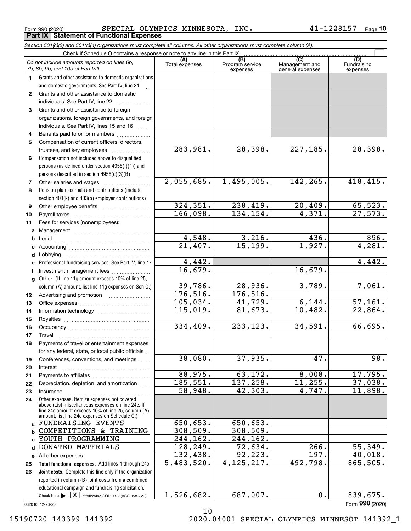Form 990 (2020) Page **Part IX Statement of Functional Expenses** SPECIAL OLYMPICS MINNESOTA, INC. 41-1228157

*Section 501(c)(3) and 501(c)(4) organizations must complete all columns. All other organizations must complete column (A).*

| Check if Schedule O contains a response or note to any line in this Part IX |                                                                                                                                                                                                                                                                     |                       |                                    |                                           |                                 |  |  |  |  |  |  |  |
|-----------------------------------------------------------------------------|---------------------------------------------------------------------------------------------------------------------------------------------------------------------------------------------------------------------------------------------------------------------|-----------------------|------------------------------------|-------------------------------------------|---------------------------------|--|--|--|--|--|--|--|
|                                                                             | Do not include amounts reported on lines 6b,<br>7b, 8b, 9b, and 10b of Part VIII.                                                                                                                                                                                   | Total expenses        | (B)<br>Program service<br>expenses | (C)<br>Management and<br>general expenses | (D)<br>Fundraising<br>expenses  |  |  |  |  |  |  |  |
| 1.                                                                          | Grants and other assistance to domestic organizations                                                                                                                                                                                                               |                       |                                    |                                           |                                 |  |  |  |  |  |  |  |
|                                                                             | and domestic governments. See Part IV, line 21                                                                                                                                                                                                                      |                       |                                    |                                           |                                 |  |  |  |  |  |  |  |
| $\mathbf{2}$                                                                | Grants and other assistance to domestic                                                                                                                                                                                                                             |                       |                                    |                                           |                                 |  |  |  |  |  |  |  |
|                                                                             | individuals. See Part IV, line 22<br>and a complete the complete state of the state of the state of the state of the state of the state of the state of the state of the state of the state of the state of the state of the state of the state of the state of the |                       |                                    |                                           |                                 |  |  |  |  |  |  |  |
| 3                                                                           | Grants and other assistance to foreign                                                                                                                                                                                                                              |                       |                                    |                                           |                                 |  |  |  |  |  |  |  |
|                                                                             | organizations, foreign governments, and foreign                                                                                                                                                                                                                     |                       |                                    |                                           |                                 |  |  |  |  |  |  |  |
|                                                                             | individuals. See Part IV, lines 15 and 16                                                                                                                                                                                                                           |                       |                                    |                                           |                                 |  |  |  |  |  |  |  |
| 4                                                                           | Benefits paid to or for members                                                                                                                                                                                                                                     |                       |                                    |                                           |                                 |  |  |  |  |  |  |  |
| 5                                                                           | Compensation of current officers, directors,                                                                                                                                                                                                                        |                       |                                    |                                           |                                 |  |  |  |  |  |  |  |
|                                                                             |                                                                                                                                                                                                                                                                     | 283,981.              | 28,398.                            | 227, 185.                                 | 28,398.                         |  |  |  |  |  |  |  |
| 6                                                                           | Compensation not included above to disqualified                                                                                                                                                                                                                     |                       |                                    |                                           |                                 |  |  |  |  |  |  |  |
|                                                                             | persons (as defined under section 4958(f)(1)) and                                                                                                                                                                                                                   |                       |                                    |                                           |                                 |  |  |  |  |  |  |  |
|                                                                             | persons described in section 4958(c)(3)(B)                                                                                                                                                                                                                          |                       |                                    |                                           |                                 |  |  |  |  |  |  |  |
| 7                                                                           |                                                                                                                                                                                                                                                                     | 2,055,685.            | 1,495,005.                         | 142, 265.                                 | 418, 415.                       |  |  |  |  |  |  |  |
| 8                                                                           | Pension plan accruals and contributions (include                                                                                                                                                                                                                    |                       |                                    |                                           |                                 |  |  |  |  |  |  |  |
|                                                                             | section 401(k) and 403(b) employer contributions)                                                                                                                                                                                                                   |                       |                                    |                                           |                                 |  |  |  |  |  |  |  |
| 9                                                                           |                                                                                                                                                                                                                                                                     | 324, 351.             | 238,419.<br>134, 154.              | $\frac{20,409.}{4,371.}$                  | 65,523.<br>$\overline{27,573.}$ |  |  |  |  |  |  |  |
| 10                                                                          |                                                                                                                                                                                                                                                                     | 166,098.              |                                    |                                           |                                 |  |  |  |  |  |  |  |
| 11                                                                          | Fees for services (nonemployees):                                                                                                                                                                                                                                   |                       |                                    |                                           |                                 |  |  |  |  |  |  |  |
| a                                                                           |                                                                                                                                                                                                                                                                     | 4,548.                | 3,216.                             | 436.                                      | 896.                            |  |  |  |  |  |  |  |
| b                                                                           |                                                                                                                                                                                                                                                                     | $\overline{21,407}$ . | 15, 199.                           | 1,927.                                    | 4,281.                          |  |  |  |  |  |  |  |
| c                                                                           |                                                                                                                                                                                                                                                                     |                       |                                    |                                           |                                 |  |  |  |  |  |  |  |
| d                                                                           | Lobbying<br>Professional fundraising services. See Part IV, line 17                                                                                                                                                                                                 | 4,442.                |                                    |                                           | 4,442.                          |  |  |  |  |  |  |  |
| f                                                                           |                                                                                                                                                                                                                                                                     | 16,679.               |                                    | 16,679.                                   |                                 |  |  |  |  |  |  |  |
|                                                                             | Other. (If line 11g amount exceeds 10% of line 25,                                                                                                                                                                                                                  |                       |                                    |                                           |                                 |  |  |  |  |  |  |  |
| g                                                                           | column (A) amount, list line 11g expenses on Sch O.)                                                                                                                                                                                                                | 39,786.               | 28,936.                            | 3,789.                                    | 7,061.                          |  |  |  |  |  |  |  |
| 12                                                                          |                                                                                                                                                                                                                                                                     | 176, 516.             | 176, 516.                          |                                           |                                 |  |  |  |  |  |  |  |
| 13                                                                          |                                                                                                                                                                                                                                                                     | 105,034.              | 41,729.                            | 6,144.                                    | 57,161.                         |  |  |  |  |  |  |  |
| 14                                                                          |                                                                                                                                                                                                                                                                     | 115,019.              | 81,673.                            | 10,482.                                   | 22,864.                         |  |  |  |  |  |  |  |
| 15                                                                          |                                                                                                                                                                                                                                                                     |                       |                                    |                                           |                                 |  |  |  |  |  |  |  |
| 16                                                                          |                                                                                                                                                                                                                                                                     | 334,409.              | 233, 123.                          | 34,591.                                   | 66,695.                         |  |  |  |  |  |  |  |
| 17                                                                          | Travel                                                                                                                                                                                                                                                              |                       |                                    |                                           |                                 |  |  |  |  |  |  |  |
| 18                                                                          | Payments of travel or entertainment expenses                                                                                                                                                                                                                        |                       |                                    |                                           |                                 |  |  |  |  |  |  |  |
|                                                                             | for any federal, state, or local public officials                                                                                                                                                                                                                   |                       |                                    |                                           |                                 |  |  |  |  |  |  |  |
| 19                                                                          | Conferences, conventions, and meetings                                                                                                                                                                                                                              | 38,080.               | 37,935.                            | 47.                                       | 98.                             |  |  |  |  |  |  |  |
| 20                                                                          | Interest                                                                                                                                                                                                                                                            |                       |                                    |                                           |                                 |  |  |  |  |  |  |  |
| 21                                                                          |                                                                                                                                                                                                                                                                     | 88,975.               | 63,172.                            | 8,008.                                    | 17,795.                         |  |  |  |  |  |  |  |
| 22                                                                          | Depreciation, depletion, and amortization                                                                                                                                                                                                                           | 185,551.              | 137, 258.                          | 11,255.                                   | 37,038.                         |  |  |  |  |  |  |  |
| 23                                                                          | Insurance                                                                                                                                                                                                                                                           | 58,948.               | 42,303.                            | 4,747.                                    | 11,898.                         |  |  |  |  |  |  |  |
| 24                                                                          | Other expenses. Itemize expenses not covered<br>above (List miscellaneous expenses on line 24e. If<br>line 24e amount exceeds 10% of line 25, column (A)                                                                                                            |                       |                                    |                                           |                                 |  |  |  |  |  |  |  |
|                                                                             | amount, list line 24e expenses on Schedule 0.)                                                                                                                                                                                                                      |                       |                                    |                                           |                                 |  |  |  |  |  |  |  |
| a                                                                           | <b>FUNDRAISING EVENTS</b>                                                                                                                                                                                                                                           | 650,653.<br>308,509.  | 650, 653.<br>308,509.              |                                           |                                 |  |  |  |  |  |  |  |
| b                                                                           | COMPETITIONS & TRAINING<br>YOUTH PROGRAMMING                                                                                                                                                                                                                        | 244,162.              | 244,162.                           |                                           |                                 |  |  |  |  |  |  |  |
| c                                                                           | DONATED MATERIALS                                                                                                                                                                                                                                                   | 128,249.              | 72,634.                            | 266.                                      | 55,349.                         |  |  |  |  |  |  |  |
| d                                                                           |                                                                                                                                                                                                                                                                     | 132,438.              | 92, 223.                           | $\overline{197}$ .                        | 40,018.                         |  |  |  |  |  |  |  |
|                                                                             | e All other expenses<br>Total functional expenses. Add lines 1 through 24e                                                                                                                                                                                          | 5,483,520.            | 4, 125, 217.                       | 492,798.                                  | 865, 505.                       |  |  |  |  |  |  |  |
| 25<br>26                                                                    | Joint costs. Complete this line only if the organization                                                                                                                                                                                                            |                       |                                    |                                           |                                 |  |  |  |  |  |  |  |
|                                                                             | reported in column (B) joint costs from a combined                                                                                                                                                                                                                  |                       |                                    |                                           |                                 |  |  |  |  |  |  |  |
|                                                                             | educational campaign and fundraising solicitation.                                                                                                                                                                                                                  |                       |                                    |                                           |                                 |  |  |  |  |  |  |  |
|                                                                             | $\boxed{\mathbf{X}}$ if following SOP 98-2 (ASC 958-720)<br>Check here $\blacktriangleright$                                                                                                                                                                        | 1,526,682.            | 687,007.                           | 0.                                        | 839,675.                        |  |  |  |  |  |  |  |
|                                                                             | 032010 12-23-20                                                                                                                                                                                                                                                     |                       |                                    |                                           | Form 990 (2020)                 |  |  |  |  |  |  |  |

032010 12-23-20

10 15190720 143399 141392 2020.04001 SPECIAL OLYMPICS MINNESOT 141392\_1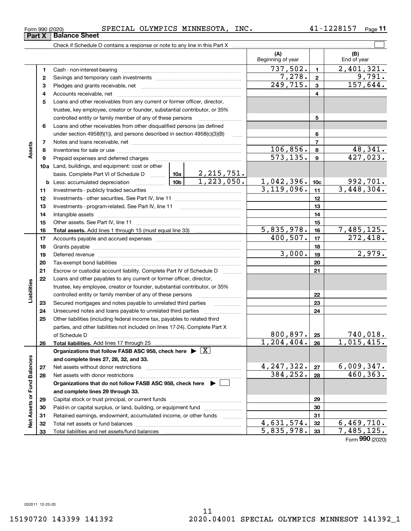**Part X Balance Sheet**<br>**Part X Balance Sheet** 

#### Form 990 (2020) SPECIAL OLYMPICS MINNESOTA, INC.  $41\text{--}1228157$   $_\text{Page}$

**11**

|                             |          |                                                                                                                                   |            |                 | (A)<br>Beginning of year    |                  | (B)<br>End of year            |
|-----------------------------|----------|-----------------------------------------------------------------------------------------------------------------------------------|------------|-----------------|-----------------------------|------------------|-------------------------------|
|                             | 1        |                                                                                                                                   |            |                 | 737,502.                    | $\mathbf{1}$     | 2,401,321.                    |
|                             | 2        |                                                                                                                                   |            |                 | 7,278.                      | $\mathbf{2}$     | 9,791.                        |
|                             | 3        |                                                                                                                                   |            |                 | $\overline{249,715.}$       | $\mathbf{3}$     | 157,644.                      |
|                             | 4        |                                                                                                                                   |            |                 |                             | 4                |                               |
|                             | 5        | Loans and other receivables from any current or former officer, director,                                                         |            |                 |                             |                  |                               |
|                             |          | trustee, key employee, creator or founder, substantial contributor, or 35%                                                        |            |                 |                             |                  |                               |
|                             |          | controlled entity or family member of any of these persons                                                                        |            |                 |                             | 5                |                               |
|                             | 6        | Loans and other receivables from other disqualified persons (as defined                                                           |            |                 |                             |                  |                               |
|                             |          | under section $4958(f)(1)$ , and persons described in section $4958(c)(3)(B)$                                                     |            | $\ldots$        |                             | 6                |                               |
|                             | 7        |                                                                                                                                   |            |                 |                             | $\overline{7}$   |                               |
| Assets                      | 8        |                                                                                                                                   |            |                 | 106,856.                    | 8                | 48,341.                       |
|                             | 9        | Prepaid expenses and deferred charges [11] [11] [11] [12] [12] [12] [12] [13] [13] [13] [13] [13] [13] [13] [1                    |            |                 | 573, 135.                   | $\boldsymbol{9}$ | 427,023.                      |
|                             |          | 10a Land, buildings, and equipment: cost or other                                                                                 |            |                 |                             |                  |                               |
|                             |          |                                                                                                                                   |            |                 |                             |                  |                               |
|                             |          | $\begin{array}{ c c c c c }\n\hline\n\textbf{10b} & \textbf{10b}\n\hline\n\end{array}$<br><b>b</b> Less: accumulated depreciation | 1,042,396. | 10 <sub>c</sub> | $\frac{992,701}{3,448,304}$ |                  |                               |
|                             | 11       |                                                                                                                                   |            | 3,119,096.      | 11                          |                  |                               |
|                             | 12       |                                                                                                                                   |            | 12              |                             |                  |                               |
|                             | 13       |                                                                                                                                   |            | 13              |                             |                  |                               |
|                             | 14       |                                                                                                                                   |            |                 | 14                          |                  |                               |
|                             | 15       |                                                                                                                                   |            |                 |                             | 15               |                               |
|                             | 16       |                                                                                                                                   |            |                 | 5,835,978.<br>400, 507.     | 16               | 7,485,125.<br>272,418.        |
|                             | 17       |                                                                                                                                   |            |                 |                             | 17               |                               |
|                             | 18       |                                                                                                                                   |            | 3,000.          | 18<br>19                    | 2,979.           |                               |
|                             | 19<br>20 | Deferred revenue manual contracts and contracts are all the manual contracts and contracts are all the contracts of               |            |                 | 20                          |                  |                               |
|                             | 21       | Escrow or custodial account liability. Complete Part IV of Schedule D                                                             |            |                 | 21                          |                  |                               |
|                             | 22       | Loans and other payables to any current or former officer, director,                                                              |            |                 |                             |                  |                               |
| Liabilities                 |          | trustee, key employee, creator or founder, substantial contributor, or 35%                                                        |            |                 |                             |                  |                               |
|                             |          | controlled entity or family member of any of these persons                                                                        |            |                 |                             | 22               |                               |
|                             | 23       | Secured mortgages and notes payable to unrelated third parties                                                                    |            |                 |                             | 23               |                               |
|                             | 24       |                                                                                                                                   |            |                 |                             | 24               |                               |
|                             | 25       | Other liabilities (including federal income tax, payables to related third                                                        |            |                 |                             |                  |                               |
|                             |          | parties, and other liabilities not included on lines 17-24). Complete Part X                                                      |            |                 |                             |                  |                               |
|                             |          |                                                                                                                                   |            |                 | 800, 897.                   | 25               | 740,018.                      |
|                             | 26       |                                                                                                                                   |            |                 | 1,204,404.                  | 26               | 1,015,415.                    |
|                             |          | Organizations that follow FASB ASC 958, check here $\blacktriangleright \lfloor X \rfloor$                                        |            |                 |                             |                  |                               |
|                             |          | and complete lines 27, 28, 32, and 33.                                                                                            |            |                 |                             |                  |                               |
|                             | 27       |                                                                                                                                   |            |                 | 4, 247, 322.                | 27               | 6,009,347.                    |
|                             | 28       |                                                                                                                                   |            |                 | 384, 252.                   | 28               | 460, 363.                     |
|                             |          | Organizations that do not follow FASB ASC 958, check here $\blacktriangleright \ \lfloor$                                         |            |                 |                             |                  |                               |
|                             |          | and complete lines 29 through 33.                                                                                                 |            |                 |                             |                  |                               |
|                             | 29       |                                                                                                                                   |            |                 | 29                          |                  |                               |
|                             | 30       | Paid-in or capital surplus, or land, building, or equipment fund                                                                  |            |                 |                             | 30               |                               |
| Net Assets or Fund Balances | 31       | Retained earnings, endowment, accumulated income, or other funds                                                                  |            |                 |                             | 31               |                               |
|                             | 32       |                                                                                                                                   |            |                 | 4,631,574.                  | 32               | 6,469,710.                    |
|                             | 33       | Total liabilities and net assets/fund balances                                                                                    |            |                 | 5,835,978.                  | 33               | 7,485,125.<br>Form 990 (2020) |
|                             |          |                                                                                                                                   |            |                 |                             |                  |                               |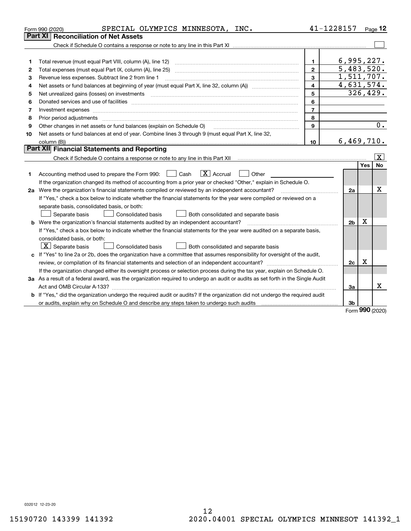|    | SPECIAL OLYMPICS MINNESOTA, INC.<br>Form 990 (2020)                                                                             | 41-1228157              |                |           | Page $12$               |
|----|---------------------------------------------------------------------------------------------------------------------------------|-------------------------|----------------|-----------|-------------------------|
|    | <b>Reconciliation of Net Assets</b><br>Part XI                                                                                  |                         |                |           |                         |
|    |                                                                                                                                 |                         |                |           |                         |
|    |                                                                                                                                 |                         |                |           |                         |
| 1  | Total revenue (must equal Part VIII, column (A), line 12)                                                                       | 1.                      | 6,995,227.     |           |                         |
| 2  | Total expenses (must equal Part IX, column (A), line 25)                                                                        | $\mathbf{2}$            | 5,483,520.     |           |                         |
| з  | Revenue less expenses. Subtract line 2 from line 1                                                                              | 3                       | 1,511,707.     |           |                         |
| 4  |                                                                                                                                 | $\overline{\mathbf{4}}$ | 4,631,574.     |           |                         |
| 5  | Net unrealized gains (losses) on investments                                                                                    | 5                       |                | 326, 429. |                         |
| 6  |                                                                                                                                 | 6                       |                |           |                         |
| 7  |                                                                                                                                 | $\overline{7}$          |                |           |                         |
| 8  | Prior period adjustments                                                                                                        | 8                       |                |           |                         |
| 9  | Other changes in net assets or fund balances (explain on Schedule O)                                                            | 9                       |                |           | 0.                      |
| 10 | Net assets or fund balances at end of year. Combine lines 3 through 9 (must equal Part X, line 32,                              |                         |                |           |                         |
|    |                                                                                                                                 | 10                      | 6,469,710.     |           |                         |
|    | Part XII Financial Statements and Reporting                                                                                     |                         |                |           |                         |
|    |                                                                                                                                 |                         |                |           | $\overline{\mathtt{x}}$ |
|    |                                                                                                                                 |                         |                | Yes       | No                      |
| 1  | $ X $ Accrual<br>Accounting method used to prepare the Form 990: <u>I</u> Cash<br>Other                                         |                         |                |           |                         |
|    | If the organization changed its method of accounting from a prior year or checked "Other," explain in Schedule O.               |                         |                |           |                         |
|    | 2a Were the organization's financial statements compiled or reviewed by an independent accountant?                              |                         | 2a             |           | Χ                       |
|    | If "Yes," check a box below to indicate whether the financial statements for the year were compiled or reviewed on a            |                         |                |           |                         |
|    | separate basis, consolidated basis, or both:                                                                                    |                         |                |           |                         |
|    | Both consolidated and separate basis<br>Separate basis<br>Consolidated basis                                                    |                         |                |           |                         |
|    | <b>b</b> Were the organization's financial statements audited by an independent accountant?                                     |                         | 2 <sub>b</sub> | X         |                         |
|    | If "Yes," check a box below to indicate whether the financial statements for the year were audited on a separate basis,         |                         |                |           |                         |
|    | consolidated basis, or both:                                                                                                    |                         |                |           |                         |
|    | $ \mathbf{X} $ Separate basis<br><b>Consolidated basis</b><br>Both consolidated and separate basis                              |                         |                |           |                         |
|    | c If "Yes" to line 2a or 2b, does the organization have a committee that assumes responsibility for oversight of the audit,     |                         |                |           |                         |
|    |                                                                                                                                 |                         | 2c             | X         |                         |
|    | If the organization changed either its oversight process or selection process during the tax year, explain on Schedule O.       |                         |                |           |                         |
|    | 3a As a result of a federal award, was the organization required to undergo an audit or audits as set forth in the Single Audit |                         |                |           |                         |
|    |                                                                                                                                 |                         | За             |           | x                       |
|    | b If "Yes," did the organization undergo the required audit or audits? If the organization did not undergo the required audit   |                         |                |           |                         |
|    |                                                                                                                                 |                         | 3b             | $\Omega$  |                         |

Form (2020) **990**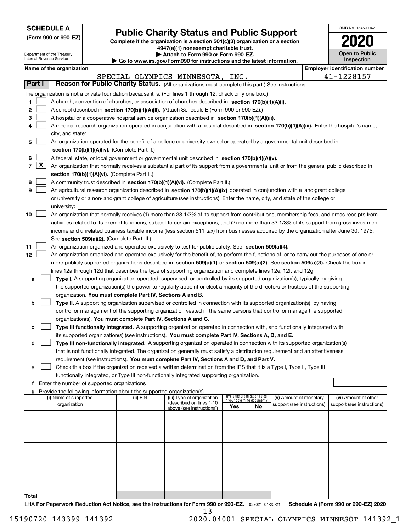| <b>SCHEDULE A</b> |
|-------------------|
|-------------------|

Department of the Treasury

**(Form 990 or 990-EZ)**

## **Public Charity Status and Public Support**

**Complete if the organization is a section 501(c)(3) organization or a section 4947(a)(1) nonexempt charitable trust. | Attach to Form 990 or Form 990-EZ.** 

|                                                                | $\blacktriangleright$ Attuon to Form over or Form over EE. |  |  |
|----------------------------------------------------------------|------------------------------------------------------------|--|--|
| www.irs.gov/Eorm990 for.instructions.and the latest informatio |                                                            |  |  |

|                               | OMB No. 1545-0047                   |  |  |  |  |  |  |
|-------------------------------|-------------------------------------|--|--|--|--|--|--|
|                               | 2020                                |  |  |  |  |  |  |
|                               | <b>Open to Public</b><br>Inspection |  |  |  |  |  |  |
| mployer identification number |                                     |  |  |  |  |  |  |
|                               | 4 0 0 0 4 F F                       |  |  |  |  |  |  |

|    |                     | Internal Revenue Service |                                               |                                                                        | $\blacktriangleright$ Go to www.irs.gov/Form990 for instructions and the latest information.                                                 |      |                                   |                            | <b>Inspection</b>                     |
|----|---------------------|--------------------------|-----------------------------------------------|------------------------------------------------------------------------|----------------------------------------------------------------------------------------------------------------------------------------------|------|-----------------------------------|----------------------------|---------------------------------------|
|    |                     | Name of the organization |                                               |                                                                        |                                                                                                                                              |      |                                   |                            | <b>Employer identification number</b> |
|    |                     |                          |                                               |                                                                        | SPECIAL OLYMPICS MINNESOTA,                                                                                                                  | INC. |                                   |                            | 41-1228157                            |
|    | Part I              |                          |                                               |                                                                        | Reason for Public Charity Status. (All organizations must complete this part.) See instructions.                                             |      |                                   |                            |                                       |
|    |                     |                          |                                               |                                                                        | The organization is not a private foundation because it is: (For lines 1 through 12, check only one box.)                                    |      |                                   |                            |                                       |
| 1. |                     |                          |                                               |                                                                        | A church, convention of churches, or association of churches described in section 170(b)(1)(A)(i).                                           |      |                                   |                            |                                       |
| 2  |                     |                          |                                               |                                                                        | A school described in section 170(b)(1)(A)(ii). (Attach Schedule E (Form 990 or 990-EZ).)                                                    |      |                                   |                            |                                       |
| 3  |                     |                          |                                               |                                                                        | A hospital or a cooperative hospital service organization described in section 170(b)(1)(A)(iii).                                            |      |                                   |                            |                                       |
| 4  |                     |                          |                                               |                                                                        | A medical research organization operated in conjunction with a hospital described in section 170(b)(1)(A)(iii). Enter the hospital's name,   |      |                                   |                            |                                       |
|    |                     | city, and state:         |                                               |                                                                        |                                                                                                                                              |      |                                   |                            |                                       |
| 5  |                     |                          |                                               |                                                                        | An organization operated for the benefit of a college or university owned or operated by a governmental unit described in                    |      |                                   |                            |                                       |
|    |                     |                          |                                               | section 170(b)(1)(A)(iv). (Complete Part II.)                          |                                                                                                                                              |      |                                   |                            |                                       |
| 6  |                     |                          |                                               |                                                                        | A federal, state, or local government or governmental unit described in section 170(b)(1)(A)(v).                                             |      |                                   |                            |                                       |
| 7  | $\lfloor x \rfloor$ |                          |                                               |                                                                        | An organization that normally receives a substantial part of its support from a governmental unit or from the general public described in    |      |                                   |                            |                                       |
|    |                     |                          |                                               | section 170(b)(1)(A)(vi). (Complete Part II.)                          |                                                                                                                                              |      |                                   |                            |                                       |
| 8  |                     |                          |                                               |                                                                        | A community trust described in section 170(b)(1)(A)(vi). (Complete Part II.)                                                                 |      |                                   |                            |                                       |
| 9  |                     |                          |                                               |                                                                        | An agricultural research organization described in section 170(b)(1)(A)(ix) operated in conjunction with a land-grant college                |      |                                   |                            |                                       |
|    |                     |                          |                                               |                                                                        | or university or a non-land-grant college of agriculture (see instructions). Enter the name, city, and state of the college or               |      |                                   |                            |                                       |
|    |                     | university:              |                                               |                                                                        |                                                                                                                                              |      |                                   |                            |                                       |
| 10 |                     |                          |                                               |                                                                        | An organization that normally receives (1) more than 33 1/3% of its support from contributions, membership fees, and gross receipts from     |      |                                   |                            |                                       |
|    |                     |                          |                                               |                                                                        | activities related to its exempt functions, subject to certain exceptions; and (2) no more than 33 1/3% of its support from gross investment |      |                                   |                            |                                       |
|    |                     |                          |                                               |                                                                        | income and unrelated business taxable income (less section 511 tax) from businesses acquired by the organization after June 30, 1975.        |      |                                   |                            |                                       |
|    |                     |                          |                                               | See section 509(a)(2). (Complete Part III.)                            |                                                                                                                                              |      |                                   |                            |                                       |
| 11 |                     |                          |                                               |                                                                        | An organization organized and operated exclusively to test for public safety. See section 509(a)(4).                                         |      |                                   |                            |                                       |
| 12 |                     |                          |                                               |                                                                        | An organization organized and operated exclusively for the benefit of, to perform the functions of, or to carry out the purposes of one or   |      |                                   |                            |                                       |
|    |                     |                          |                                               |                                                                        | more publicly supported organizations described in section 509(a)(1) or section 509(a)(2). See section 509(a)(3). Check the box in           |      |                                   |                            |                                       |
|    |                     |                          |                                               |                                                                        | lines 12a through 12d that describes the type of supporting organization and complete lines 12e, 12f, and 12g.                               |      |                                   |                            |                                       |
| а  |                     |                          |                                               |                                                                        | Type I. A supporting organization operated, supervised, or controlled by its supported organization(s), typically by giving                  |      |                                   |                            |                                       |
|    |                     |                          |                                               |                                                                        | the supported organization(s) the power to regularly appoint or elect a majority of the directors or trustees of the supporting              |      |                                   |                            |                                       |
|    |                     |                          |                                               | organization. You must complete Part IV, Sections A and B.             |                                                                                                                                              |      |                                   |                            |                                       |
| b  |                     |                          |                                               |                                                                        | Type II. A supporting organization supervised or controlled in connection with its supported organization(s), by having                      |      |                                   |                            |                                       |
|    |                     |                          |                                               |                                                                        | control or management of the supporting organization vested in the same persons that control or manage the supported                         |      |                                   |                            |                                       |
|    |                     |                          |                                               |                                                                        | organization(s). You must complete Part IV, Sections A and C.                                                                                |      |                                   |                            |                                       |
| с  |                     |                          |                                               |                                                                        | Type III functionally integrated. A supporting organization operated in connection with, and functionally integrated with,                   |      |                                   |                            |                                       |
|    |                     |                          |                                               |                                                                        | its supported organization(s) (see instructions). You must complete Part IV, Sections A, D, and E.                                           |      |                                   |                            |                                       |
| d  |                     |                          |                                               |                                                                        | Type III non-functionally integrated. A supporting organization operated in connection with its supported organization(s)                    |      |                                   |                            |                                       |
|    |                     |                          |                                               |                                                                        | that is not functionally integrated. The organization generally must satisfy a distribution requirement and an attentiveness                 |      |                                   |                            |                                       |
|    |                     |                          |                                               |                                                                        | requirement (see instructions). You must complete Part IV, Sections A and D, and Part V.                                                     |      |                                   |                            |                                       |
| е  |                     |                          |                                               |                                                                        | Check this box if the organization received a written determination from the IRS that it is a Type I, Type II, Type III                      |      |                                   |                            |                                       |
|    |                     |                          |                                               |                                                                        | functionally integrated, or Type III non-functionally integrated supporting organization.                                                    |      |                                   |                            |                                       |
|    |                     |                          | f Enter the number of supported organizations | Provide the following information about the supported organization(s). |                                                                                                                                              |      |                                   |                            |                                       |
|    |                     | (i) Name of supported    |                                               | (ii) EIN                                                               | (iii) Type of organization                                                                                                                   |      | (iv) Is the organization listed   | (v) Amount of monetary     | (vi) Amount of other                  |
|    |                     | organization             |                                               |                                                                        | (described on lines 1-10                                                                                                                     | Yes  | in your governing document?<br>No | support (see instructions) | support (see instructions)            |
|    |                     |                          |                                               |                                                                        | above (see instructions))                                                                                                                    |      |                                   |                            |                                       |
|    |                     |                          |                                               |                                                                        |                                                                                                                                              |      |                                   |                            |                                       |
|    |                     |                          |                                               |                                                                        |                                                                                                                                              |      |                                   |                            |                                       |
|    |                     |                          |                                               |                                                                        |                                                                                                                                              |      |                                   |                            |                                       |
|    |                     |                          |                                               |                                                                        |                                                                                                                                              |      |                                   |                            |                                       |
|    |                     |                          |                                               |                                                                        |                                                                                                                                              |      |                                   |                            |                                       |
|    |                     |                          |                                               |                                                                        |                                                                                                                                              |      |                                   |                            |                                       |
|    |                     |                          |                                               |                                                                        |                                                                                                                                              |      |                                   |                            |                                       |
|    |                     |                          |                                               |                                                                        |                                                                                                                                              |      |                                   |                            |                                       |
|    |                     |                          |                                               |                                                                        |                                                                                                                                              |      |                                   |                            |                                       |
|    |                     |                          |                                               |                                                                        |                                                                                                                                              |      |                                   |                            |                                       |

**Total**

LHA For Paperwork Reduction Act Notice, see the Instructions for Form 990 or 990-EZ. <sub>032021</sub> o1-25-21 Schedule A (Form 990 or 990-EZ) 2020 13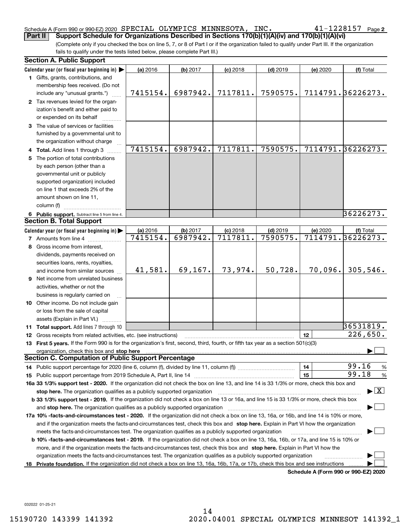#### Schedule A (Form 990 or 990-EZ) 2020  ${\tt SPECIAL}$   ${\tt OLYMPICS}$   ${\tt MINNESOTA}$ ,  ${\tt INC.}$   ${\tt 41-1228157}$   ${\tt Page}$ **Part II Support Schedule for Organizations Described in Sections 170(b)(1)(A)(iv) and 170(b)(1)(A)(vi)** SPECIAL OLYMPICS MINNESOTA, INC. 41-1228157

 $41 - 1228157$  Page 2

(Complete only if you checked the box on line 5, 7, or 8 of Part I or if the organization failed to qualify under Part III. If the organization fails to qualify under the tests listed below, please complete Part III.)

|    | <b>Section A. Public Support</b>                                                                                                                                                                                               |          |          |            |            |          |                                          |  |  |  |
|----|--------------------------------------------------------------------------------------------------------------------------------------------------------------------------------------------------------------------------------|----------|----------|------------|------------|----------|------------------------------------------|--|--|--|
|    | Calendar year (or fiscal year beginning in) $\blacktriangleright$                                                                                                                                                              | (a) 2016 | (b) 2017 | $(c)$ 2018 | $(d)$ 2019 | (e) 2020 | (f) Total                                |  |  |  |
|    | 1 Gifts, grants, contributions, and<br>membership fees received. (Do not                                                                                                                                                       |          |          |            |            |          |                                          |  |  |  |
|    | include any "unusual grants.")                                                                                                                                                                                                 | 7415154. | 6987942. | 7117811.   | 7590575.   |          | 7114791.36226273.                        |  |  |  |
|    | 2 Tax revenues levied for the organ-<br>ization's benefit and either paid to<br>or expended on its behalf                                                                                                                      |          |          |            |            |          |                                          |  |  |  |
|    | 3 The value of services or facilities<br>furnished by a governmental unit to                                                                                                                                                   |          |          |            |            |          |                                          |  |  |  |
|    | the organization without charge                                                                                                                                                                                                |          |          |            |            |          |                                          |  |  |  |
|    | 4 Total. Add lines 1 through 3                                                                                                                                                                                                 | 7415154. | 6987942. | 7117811.   | 7590575.   |          | 7114791.36226273.                        |  |  |  |
| 5. | The portion of total contributions                                                                                                                                                                                             |          |          |            |            |          |                                          |  |  |  |
|    | by each person (other than a                                                                                                                                                                                                   |          |          |            |            |          |                                          |  |  |  |
|    | governmental unit or publicly                                                                                                                                                                                                  |          |          |            |            |          |                                          |  |  |  |
|    | supported organization) included                                                                                                                                                                                               |          |          |            |            |          |                                          |  |  |  |
|    | on line 1 that exceeds 2% of the                                                                                                                                                                                               |          |          |            |            |          |                                          |  |  |  |
|    | amount shown on line 11,                                                                                                                                                                                                       |          |          |            |            |          |                                          |  |  |  |
|    | column (f)                                                                                                                                                                                                                     |          |          |            |            |          |                                          |  |  |  |
|    | 6 Public support. Subtract line 5 from line 4.                                                                                                                                                                                 |          |          |            |            |          | 36226273.                                |  |  |  |
|    | <b>Section B. Total Support</b>                                                                                                                                                                                                |          |          |            |            |          |                                          |  |  |  |
|    | Calendar year (or fiscal year beginning in)                                                                                                                                                                                    | (a) 2016 | (b) 2017 | $(c)$ 2018 | $(d)$ 2019 | (e) 2020 | (f) Total                                |  |  |  |
|    | <b>7</b> Amounts from line 4                                                                                                                                                                                                   | 7415154. | 6987942. | 7117811.   | 7590575.   |          | 7114791.36226273.                        |  |  |  |
| 8  | Gross income from interest,                                                                                                                                                                                                    |          |          |            |            |          |                                          |  |  |  |
|    | dividends, payments received on                                                                                                                                                                                                |          |          |            |            |          |                                          |  |  |  |
|    | securities loans, rents, royalties,                                                                                                                                                                                            |          |          |            |            |          |                                          |  |  |  |
|    | and income from similar sources                                                                                                                                                                                                | 41,581.  | 69,167.  | 73,974.    | 50,728.    | 70,096.  | 305,546.                                 |  |  |  |
|    | <b>9</b> Net income from unrelated business                                                                                                                                                                                    |          |          |            |            |          |                                          |  |  |  |
|    | activities, whether or not the                                                                                                                                                                                                 |          |          |            |            |          |                                          |  |  |  |
|    | business is regularly carried on                                                                                                                                                                                               |          |          |            |            |          |                                          |  |  |  |
|    | 10 Other income. Do not include gain                                                                                                                                                                                           |          |          |            |            |          |                                          |  |  |  |
|    | or loss from the sale of capital                                                                                                                                                                                               |          |          |            |            |          |                                          |  |  |  |
|    | assets (Explain in Part VI.)                                                                                                                                                                                                   |          |          |            |            |          |                                          |  |  |  |
|    | 11 Total support. Add lines 7 through 10                                                                                                                                                                                       |          |          |            |            |          | 36531819.                                |  |  |  |
|    | 12 Gross receipts from related activities, etc. (see instructions)                                                                                                                                                             |          |          |            |            | 12       | $\overline{226}$ , 650.                  |  |  |  |
|    | 13 First 5 years. If the Form 990 is for the organization's first, second, third, fourth, or fifth tax year as a section 501(c)(3)                                                                                             |          |          |            |            |          |                                          |  |  |  |
|    | organization, check this box and stop here manufactured and stop here and stop here are all the control of the state of the state of the state of the state of the state of the state of the state of the state of the state o |          |          |            |            |          |                                          |  |  |  |
|    | <b>Section C. Computation of Public Support Percentage</b>                                                                                                                                                                     |          |          |            |            |          |                                          |  |  |  |
|    |                                                                                                                                                                                                                                |          |          |            |            | 14       | 99.16<br>$\frac{9}{6}$                   |  |  |  |
|    |                                                                                                                                                                                                                                |          |          |            |            | 15       | 99.18<br>%                               |  |  |  |
|    | 16a 33 1/3% support test - 2020. If the organization did not check the box on line 13, and line 14 is 33 1/3% or more, check this box and                                                                                      |          |          |            |            |          |                                          |  |  |  |
|    | stop here. The organization qualifies as a publicly supported organization                                                                                                                                                     |          |          |            |            |          | $\blacktriangleright$ $\boxed{\text{X}}$ |  |  |  |
|    | b 33 1/3% support test - 2019. If the organization did not check a box on line 13 or 16a, and line 15 is 33 1/3% or more, check this box                                                                                       |          |          |            |            |          |                                          |  |  |  |
|    | and stop here. The organization qualifies as a publicly supported organization                                                                                                                                                 |          |          |            |            |          |                                          |  |  |  |
|    | 17a 10% -facts-and-circumstances test - 2020. If the organization did not check a box on line 13, 16a, or 16b, and line 14 is 10% or more,                                                                                     |          |          |            |            |          |                                          |  |  |  |
|    | and if the organization meets the facts-and-circumstances test, check this box and stop here. Explain in Part VI how the organization                                                                                          |          |          |            |            |          |                                          |  |  |  |
|    | meets the facts-and-circumstances test. The organization qualifies as a publicly supported organization                                                                                                                        |          |          |            |            |          |                                          |  |  |  |
|    | <b>b 10% -facts-and-circumstances test - 2019.</b> If the organization did not check a box on line 13, 16a, 16b, or 17a, and line 15 is 10% or                                                                                 |          |          |            |            |          |                                          |  |  |  |
|    | more, and if the organization meets the facts-and-circumstances test, check this box and stop here. Explain in Part VI how the                                                                                                 |          |          |            |            |          |                                          |  |  |  |
|    | organization meets the facts-and-circumstances test. The organization qualifies as a publicly supported organization                                                                                                           |          |          |            |            |          |                                          |  |  |  |
| 18 | Private foundation. If the organization did not check a box on line 13, 16a, 16b, 17a, or 17b, check this box and see instructions                                                                                             |          |          |            |            |          |                                          |  |  |  |
|    |                                                                                                                                                                                                                                |          |          |            |            |          | Schedule A (Form 990 or 990-EZ) 2020     |  |  |  |

032022 01-25-21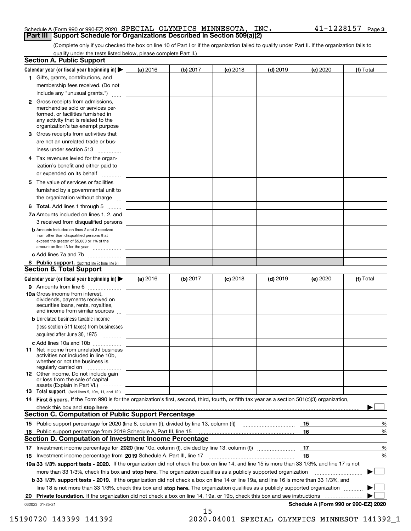#### Schedule A (Form 990 or 990-EZ) 2020  ${\tt SPECIAL}$   ${\tt OLYMPICS}$   ${\tt MINRESOTA}$  ,  ${\tt INC.}$   ${\tt 41-1228157}$   ${\tt Page}$ **Part III Support Schedule for Organizations Described in Section 509(a)(2)**

(Complete only if you checked the box on line 10 of Part I or if the organization failed to qualify under Part II. If the organization fails to qualify under the tests listed below, please complete Part II.)

|    | <b>Section A. Public Support</b>                                                                                                                                                                |          |          |            |            |          |                                      |
|----|-------------------------------------------------------------------------------------------------------------------------------------------------------------------------------------------------|----------|----------|------------|------------|----------|--------------------------------------|
|    | Calendar year (or fiscal year beginning in) $\blacktriangleright$                                                                                                                               | (a) 2016 | (b) 2017 | $(c)$ 2018 | $(d)$ 2019 | (e) 2020 | (f) Total                            |
|    | 1 Gifts, grants, contributions, and                                                                                                                                                             |          |          |            |            |          |                                      |
|    | membership fees received. (Do not                                                                                                                                                               |          |          |            |            |          |                                      |
|    | include any "unusual grants.")                                                                                                                                                                  |          |          |            |            |          |                                      |
|    | <b>2</b> Gross receipts from admissions,<br>merchandise sold or services per-<br>formed, or facilities furnished in<br>any activity that is related to the<br>organization's tax-exempt purpose |          |          |            |            |          |                                      |
|    | 3 Gross receipts from activities that<br>are not an unrelated trade or bus-                                                                                                                     |          |          |            |            |          |                                      |
|    | iness under section 513                                                                                                                                                                         |          |          |            |            |          |                                      |
|    | 4 Tax revenues levied for the organ-<br>ization's benefit and either paid to                                                                                                                    |          |          |            |            |          |                                      |
|    | or expended on its behalf                                                                                                                                                                       |          |          |            |            |          |                                      |
|    | 5 The value of services or facilities<br>furnished by a governmental unit to                                                                                                                    |          |          |            |            |          |                                      |
|    | the organization without charge                                                                                                                                                                 |          |          |            |            |          |                                      |
|    | <b>6 Total.</b> Add lines 1 through 5                                                                                                                                                           |          |          |            |            |          |                                      |
|    | 7a Amounts included on lines 1, 2, and<br>3 received from disqualified persons                                                                                                                  |          |          |            |            |          |                                      |
|    | <b>b</b> Amounts included on lines 2 and 3 received<br>from other than disqualified persons that<br>exceed the greater of \$5,000 or 1% of the<br>amount on line 13 for the year                |          |          |            |            |          |                                      |
|    | c Add lines 7a and 7b                                                                                                                                                                           |          |          |            |            |          |                                      |
|    | 8 Public support. (Subtract line 7c from line 6.)<br><b>Section B. Total Support</b>                                                                                                            |          |          |            |            |          |                                      |
|    | Calendar year (or fiscal year beginning in)                                                                                                                                                     | (a) 2016 | (b) 2017 | $(c)$ 2018 | $(d)$ 2019 | (e) 2020 | (f) Total                            |
|    | 9 Amounts from line 6                                                                                                                                                                           |          |          |            |            |          |                                      |
|    | <b>10a</b> Gross income from interest,<br>dividends, payments received on<br>securities loans, rents, royalties,<br>and income from similar sources                                             |          |          |            |            |          |                                      |
|    | <b>b</b> Unrelated business taxable income<br>(less section 511 taxes) from businesses                                                                                                          |          |          |            |            |          |                                      |
|    | acquired after June 30, 1975                                                                                                                                                                    |          |          |            |            |          |                                      |
|    | c Add lines 10a and 10b                                                                                                                                                                         |          |          |            |            |          |                                      |
|    | 11 Net income from unrelated business<br>activities not included in line 10b,<br>whether or not the business is<br>regularly carried on                                                         |          |          |            |            |          |                                      |
|    | 12 Other income. Do not include gain<br>or loss from the sale of capital<br>assets (Explain in Part VI.)                                                                                        |          |          |            |            |          |                                      |
|    | 13 Total support. (Add lines 9, 10c, 11, and 12.)                                                                                                                                               |          |          |            |            |          |                                      |
|    | 14 First 5 years. If the Form 990 is for the organization's first, second, third, fourth, or fifth tax year as a section 501(c)(3) organization,                                                |          |          |            |            |          |                                      |
|    |                                                                                                                                                                                                 |          |          |            |            |          |                                      |
|    | <b>Section C. Computation of Public Support Percentage</b>                                                                                                                                      |          |          |            |            |          |                                      |
|    |                                                                                                                                                                                                 |          |          |            |            | 15       | %                                    |
| 16 | Public support percentage from 2019 Schedule A, Part III, line 15                                                                                                                               |          |          |            |            | 16       | %                                    |
|    | Section D. Computation of Investment Income Percentage                                                                                                                                          |          |          |            |            |          |                                      |
|    | 17 Investment income percentage for 2020 (line 10c, column (f), divided by line 13, column (f))<br>18 Investment income percentage from 2019 Schedule A, Part III, line 17                      |          |          |            |            | 17<br>18 | %<br>%                               |
|    | 19a 33 1/3% support tests - 2020. If the organization did not check the box on line 14, and line 15 is more than 33 1/3%, and line 17 is not                                                    |          |          |            |            |          |                                      |
|    | more than 33 1/3%, check this box and stop here. The organization qualifies as a publicly supported organization                                                                                |          |          |            |            |          |                                      |
|    | b 33 1/3% support tests - 2019. If the organization did not check a box on line 14 or line 19a, and line 16 is more than 33 1/3%, and                                                           |          |          |            |            |          |                                      |
|    | line 18 is not more than 33 1/3%, check this box and stop here. The organization qualifies as a publicly supported organization                                                                 |          |          |            |            |          |                                      |
| 20 | <b>Private foundation.</b> If the organization did not check a box on line 14, 19a, or 19b, check this box and see instructions                                                                 |          |          |            |            |          | .                                    |
|    | 032023 01-25-21                                                                                                                                                                                 |          |          |            |            |          | Schedule A (Form 990 or 990-EZ) 2020 |
|    |                                                                                                                                                                                                 |          | 15       |            |            |          |                                      |

 <sup>15190720 143399 141392 2020.04001</sup> SPECIAL OLYMPICS MINNESOT 141392\_1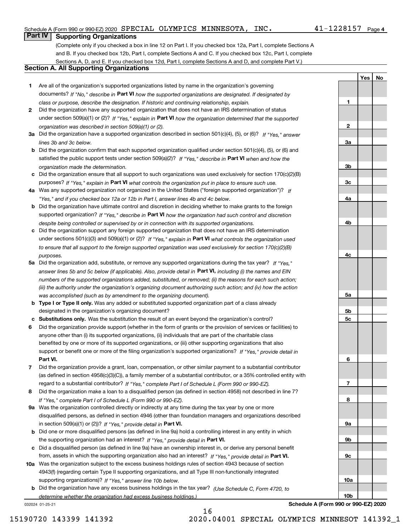#### Schedule A (Form 990 or 990-EZ) 2020  ${\tt SPECIAL}$   ${\tt OLYMPICS}$   ${\tt MINRESOTA}$  ,  ${\tt INC.}$   ${\tt 41-1228157}$   ${\tt Page}$

### $41 - 1228157$  Page 4

**1**

**2**

**3a**

**3b**

**3c**

**4a**

**4b**

**4c**

**5a**

**5b5c**

**6**

**7**

**8**

**9a**

**9b**

**9c**

**10a**

**10b**

**YesNo**

## **Part IV Supporting Organizations**

(Complete only if you checked a box in line 12 on Part I. If you checked box 12a, Part I, complete Sections A and B. If you checked box 12b, Part I, complete Sections A and C. If you checked box 12c, Part I, complete Sections A, D, and E. If you checked box 12d, Part I, complete Sections A and D, and complete Part V.)

### **Section A. All Supporting Organizations**

- **1** Are all of the organization's supported organizations listed by name in the organization's governing documents? If "No," describe in **Part VI** how the supported organizations are designated. If designated by *class or purpose, describe the designation. If historic and continuing relationship, explain.*
- **2** Did the organization have any supported organization that does not have an IRS determination of status under section 509(a)(1) or (2)? If "Yes," explain in Part VI how the organization determined that the supported *organization was described in section 509(a)(1) or (2).*
- **3a** Did the organization have a supported organization described in section 501(c)(4), (5), or (6)? If "Yes," answer *lines 3b and 3c below.*
- **b** Did the organization confirm that each supported organization qualified under section 501(c)(4), (5), or (6) and satisfied the public support tests under section 509(a)(2)? If "Yes," describe in **Part VI** when and how the *organization made the determination.*
- **c**Did the organization ensure that all support to such organizations was used exclusively for section 170(c)(2)(B) purposes? If "Yes," explain in **Part VI** what controls the organization put in place to ensure such use.
- **4a***If* Was any supported organization not organized in the United States ("foreign supported organization")? *"Yes," and if you checked box 12a or 12b in Part I, answer lines 4b and 4c below.*
- **b** Did the organization have ultimate control and discretion in deciding whether to make grants to the foreign supported organization? If "Yes," describe in **Part VI** how the organization had such control and discretion *despite being controlled or supervised by or in connection with its supported organizations.*
- **c** Did the organization support any foreign supported organization that does not have an IRS determination under sections 501(c)(3) and 509(a)(1) or (2)? If "Yes," explain in **Part VI** what controls the organization used *to ensure that all support to the foreign supported organization was used exclusively for section 170(c)(2)(B) purposes.*
- **5a** Did the organization add, substitute, or remove any supported organizations during the tax year? If "Yes," answer lines 5b and 5c below (if applicable). Also, provide detail in **Part VI,** including (i) the names and EIN *numbers of the supported organizations added, substituted, or removed; (ii) the reasons for each such action; (iii) the authority under the organization's organizing document authorizing such action; and (iv) how the action was accomplished (such as by amendment to the organizing document).*
- **b** Type I or Type II only. Was any added or substituted supported organization part of a class already designated in the organization's organizing document?
- **cSubstitutions only.**  Was the substitution the result of an event beyond the organization's control?
- **6** Did the organization provide support (whether in the form of grants or the provision of services or facilities) to **Part VI.** *If "Yes," provide detail in* support or benefit one or more of the filing organization's supported organizations? anyone other than (i) its supported organizations, (ii) individuals that are part of the charitable class benefited by one or more of its supported organizations, or (iii) other supporting organizations that also
- **7**Did the organization provide a grant, loan, compensation, or other similar payment to a substantial contributor *If "Yes," complete Part I of Schedule L (Form 990 or 990-EZ).* regard to a substantial contributor? (as defined in section 4958(c)(3)(C)), a family member of a substantial contributor, or a 35% controlled entity with
- **8** Did the organization make a loan to a disqualified person (as defined in section 4958) not described in line 7? *If "Yes," complete Part I of Schedule L (Form 990 or 990-EZ).*
- **9a** Was the organization controlled directly or indirectly at any time during the tax year by one or more in section 509(a)(1) or (2))? If "Yes," *provide detail in* <code>Part VI.</code> disqualified persons, as defined in section 4946 (other than foundation managers and organizations described
- **b** Did one or more disqualified persons (as defined in line 9a) hold a controlling interest in any entity in which the supporting organization had an interest? If "Yes," provide detail in P**art VI**.
- **c**Did a disqualified person (as defined in line 9a) have an ownership interest in, or derive any personal benefit from, assets in which the supporting organization also had an interest? If "Yes," provide detail in P**art VI.**
- **10a** Was the organization subject to the excess business holdings rules of section 4943 because of section supporting organizations)? If "Yes," answer line 10b below. 4943(f) (regarding certain Type II supporting organizations, and all Type III non-functionally integrated
- **b** Did the organization have any excess business holdings in the tax year? (Use Schedule C, Form 4720, to *determine whether the organization had excess business holdings.)*

16

032024 01-25-21

**Schedule A (Form 990 or 990-EZ) 2020**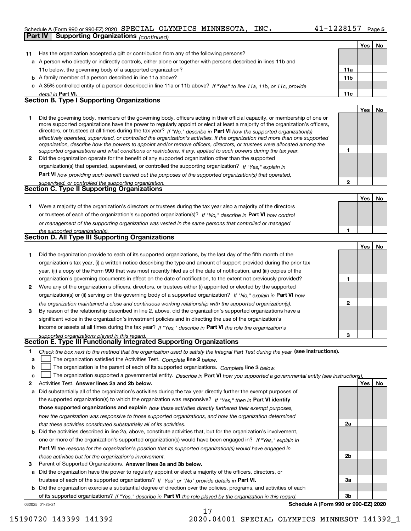#### Schedule A (Form 990 or 990-EZ) 2020  ${\tt SPECIAL}$   ${\tt OLYMPICS}$   ${\tt MINRESOTA}$  ,  ${\tt INC.}$   ${\tt 41-1228157}$   ${\tt Page}$ **Part IV Supporting Organizations** *(continued)*

**Yes No**

| 11           | Has the organization accepted a gift or contribution from any of the following persons?                                                                                                                                                                   |                |            |    |
|--------------|-----------------------------------------------------------------------------------------------------------------------------------------------------------------------------------------------------------------------------------------------------------|----------------|------------|----|
|              | a A person who directly or indirectly controls, either alone or together with persons described in lines 11b and                                                                                                                                          |                |            |    |
|              | 11c below, the governing body of a supported organization?                                                                                                                                                                                                | 11a            |            |    |
|              | <b>b</b> A family member of a person described in line 11a above?                                                                                                                                                                                         | 11b            |            |    |
|              | c A 35% controlled entity of a person described in line 11a or 11b above? If "Yes" to line 11a, 11b, or 11c, provide                                                                                                                                      |                |            |    |
|              | detail in Part VI.                                                                                                                                                                                                                                        | 11c            |            |    |
|              | <b>Section B. Type I Supporting Organizations</b>                                                                                                                                                                                                         |                |            |    |
|              |                                                                                                                                                                                                                                                           |                | Yes        | No |
| 1.           | Did the governing body, members of the governing body, officers acting in their official capacity, or membership of one or                                                                                                                                |                |            |    |
|              | more supported organizations have the power to regularly appoint or elect at least a majority of the organization's officers,                                                                                                                             |                |            |    |
|              | directors, or trustees at all times during the tax year? If "No," describe in Part VI how the supported organization(s)<br>effectively operated, supervised, or controlled the organization's activities. If the organization had more than one supported |                |            |    |
|              | organization, describe how the powers to appoint and/or remove officers, directors, or trustees were allocated among the                                                                                                                                  |                |            |    |
|              | supported organizations and what conditions or restrictions, if any, applied to such powers during the tax year.                                                                                                                                          | 1              |            |    |
| $\mathbf{2}$ | Did the organization operate for the benefit of any supported organization other than the supported                                                                                                                                                       |                |            |    |
|              | organization(s) that operated, supervised, or controlled the supporting organization? If "Yes," explain in                                                                                                                                                |                |            |    |
|              | Part VI how providing such benefit carried out the purposes of the supported organization(s) that operated,                                                                                                                                               |                |            |    |
|              | supervised, or controlled the supporting organization.                                                                                                                                                                                                    | $\overline{2}$ |            |    |
|              | <b>Section C. Type II Supporting Organizations</b>                                                                                                                                                                                                        |                |            |    |
|              |                                                                                                                                                                                                                                                           |                | Yes        | No |
| 1.           | Were a majority of the organization's directors or trustees during the tax year also a majority of the directors                                                                                                                                          |                |            |    |
|              | or trustees of each of the organization's supported organization(s)? If "No," describe in Part VI how control                                                                                                                                             |                |            |    |
|              | or management of the supporting organization was vested in the same persons that controlled or managed                                                                                                                                                    |                |            |    |
|              | the supported organization(s).                                                                                                                                                                                                                            | 1              |            |    |
|              | <b>Section D. All Type III Supporting Organizations</b>                                                                                                                                                                                                   |                |            |    |
|              |                                                                                                                                                                                                                                                           |                | Yes        | No |
| 1.           | Did the organization provide to each of its supported organizations, by the last day of the fifth month of the                                                                                                                                            |                |            |    |
|              | organization's tax year, (i) a written notice describing the type and amount of support provided during the prior tax                                                                                                                                     |                |            |    |
|              | year, (ii) a copy of the Form 990 that was most recently filed as of the date of notification, and (iii) copies of the                                                                                                                                    |                |            |    |
|              | organization's governing documents in effect on the date of notification, to the extent not previously provided?                                                                                                                                          | 1              |            |    |
| 2            | Were any of the organization's officers, directors, or trustees either (i) appointed or elected by the supported                                                                                                                                          |                |            |    |
|              | organization(s) or (ii) serving on the governing body of a supported organization? If "No," explain in Part VI how                                                                                                                                        |                |            |    |
|              | the organization maintained a close and continuous working relationship with the supported organization(s).                                                                                                                                               | $\mathbf{2}$   |            |    |
| 3            | By reason of the relationship described in line 2, above, did the organization's supported organizations have a                                                                                                                                           |                |            |    |
|              | significant voice in the organization's investment policies and in directing the use of the organization's                                                                                                                                                |                |            |    |
|              | income or assets at all times during the tax year? If "Yes," describe in Part VI the role the organization's                                                                                                                                              |                |            |    |
|              | supported organizations played in this regard.<br>Section E. Type III Functionally Integrated Supporting Organizations                                                                                                                                    | 3              |            |    |
|              |                                                                                                                                                                                                                                                           |                |            |    |
|              | Check the box next to the method that the organization used to satisfy the Integral Part Test during the year (see instructions).                                                                                                                         |                |            |    |
| a            | The organization satisfied the Activities Test. Complete line 2 below.                                                                                                                                                                                    |                |            |    |
| b            | The organization is the parent of each of its supported organizations. Complete line 3 below.                                                                                                                                                             |                |            |    |
| c            | The organization supported a governmental entity. Describe in Part VI how you supported a governmental entity (see instructions).<br>Activities Test. Answer lines 2a and 2b below.                                                                       |                | <b>Yes</b> | No |
| 2            | Did substantially all of the organization's activities during the tax year directly further the exempt purposes of                                                                                                                                        |                |            |    |
| a            | the supported organization(s) to which the organization was responsive? If "Yes." then in Part VI identify                                                                                                                                                |                |            |    |
|              | those supported organizations and explain how these activities directly furthered their exempt purposes,                                                                                                                                                  |                |            |    |
|              |                                                                                                                                                                                                                                                           |                |            |    |
|              | how the organization was responsive to those supported organizations, and how the organization determined                                                                                                                                                 | 2a             |            |    |
| b            | that these activities constituted substantially all of its activities.<br>Did the activities described in line 2a, above, constitute activities that, but for the organization's involvement,                                                             |                |            |    |
|              | one or more of the organization's supported organization(s) would have been engaged in? If "Yes," explain in                                                                                                                                              |                |            |    |
|              | <b>Part VI</b> the reasons for the organization's position that its supported organization(s) would have engaged in                                                                                                                                       |                |            |    |
|              | these activities but for the organization's involvement.                                                                                                                                                                                                  | 2b             |            |    |
| 3            | Parent of Supported Organizations. Answer lines 3a and 3b below.                                                                                                                                                                                          |                |            |    |
| а            | Did the organization have the power to regularly appoint or elect a majority of the officers, directors, or                                                                                                                                               |                |            |    |
|              | trustees of each of the supported organizations? If "Yes" or "No" provide details in Part VI.                                                                                                                                                             | За             |            |    |
|              | <b>b</b> Did the organization exercise a substantial degree of direction over the policies, programs, and activities of each                                                                                                                              |                |            |    |
|              | of its supported organizations? If "Yes," describe in Part VI the role played by the organization in this regard.                                                                                                                                         | 3b             |            |    |

17

032025 01-25-21

**Schedule A (Form 990 or 990-EZ) 2020**

15190720 143399 141392 2020.04001 SPECIAL OLYMPICS MINNESOT 141392\_1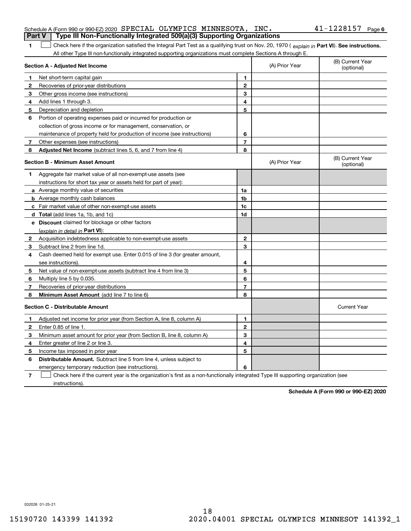| <b>Part V</b> | Schedule A (Form 990 or 990-EZ) 2020 SPECIAL OLYMPICS MINNESOTA, INC.<br>Type III Non-Functionally Integrated 509(a)(3) Supporting Organizations |                |                | $41 - 1228157$ Page 6          |
|---------------|--------------------------------------------------------------------------------------------------------------------------------------------------|----------------|----------------|--------------------------------|
|               |                                                                                                                                                  |                |                |                                |
| 1             | Check here if the organization satisfied the Integral Part Test as a qualifying trust on Nov. 20, 1970 (explain in Part VI). See instructions.   |                |                |                                |
|               | All other Type III non-functionally integrated supporting organizations must complete Sections A through E.                                      |                |                |                                |
|               | Section A - Adjusted Net Income                                                                                                                  |                | (A) Prior Year | (B) Current Year<br>(optional) |
| 1             | Net short-term capital gain                                                                                                                      | 1              |                |                                |
| 2             | Recoveries of prior-year distributions                                                                                                           | $\mathbf{2}$   |                |                                |
| 3             | Other gross income (see instructions)                                                                                                            | 3              |                |                                |
| 4             | Add lines 1 through 3.                                                                                                                           | 4              |                |                                |
| 5             | Depreciation and depletion                                                                                                                       | 5              |                |                                |
| 6             | Portion of operating expenses paid or incurred for production or                                                                                 |                |                |                                |
|               | collection of gross income or for management, conservation, or                                                                                   |                |                |                                |
|               | maintenance of property held for production of income (see instructions)                                                                         | 6              |                |                                |
| 7             | Other expenses (see instructions)                                                                                                                | $\overline{7}$ |                |                                |
| 8             | <b>Adjusted Net Income</b> (subtract lines 5, 6, and 7 from line 4)                                                                              | 8              |                |                                |
|               | <b>Section B - Minimum Asset Amount</b>                                                                                                          |                | (A) Prior Year | (B) Current Year<br>(optional) |
| 1.            | Aggregate fair market value of all non-exempt-use assets (see                                                                                    |                |                |                                |
|               | instructions for short tax year or assets held for part of year):                                                                                |                |                |                                |
|               | a Average monthly value of securities                                                                                                            | 1a             |                |                                |
|               | <b>b</b> Average monthly cash balances                                                                                                           | 1 <sub>b</sub> |                |                                |
|               | c Fair market value of other non-exempt-use assets                                                                                               | 1 <sub>c</sub> |                |                                |
|               | d Total (add lines 1a, 1b, and 1c)                                                                                                               | 1d             |                |                                |
|               | <b>e</b> Discount claimed for blockage or other factors                                                                                          |                |                |                                |
|               | (explain in detail in <b>Part VI</b> ):                                                                                                          |                |                |                                |
| 2             | Acquisition indebtedness applicable to non-exempt-use assets                                                                                     | $\mathbf{2}$   |                |                                |
| 3             | Subtract line 2 from line 1d.                                                                                                                    | 3              |                |                                |
| 4             | Cash deemed held for exempt use. Enter 0.015 of line 3 (for greater amount,                                                                      |                |                |                                |
|               | see instructions).                                                                                                                               | 4              |                |                                |
| 5             | Net value of non-exempt-use assets (subtract line 4 from line 3)                                                                                 | 5              |                |                                |
| 6             | Multiply line 5 by 0.035.                                                                                                                        | 6              |                |                                |
| 7             | Recoveries of prior-year distributions                                                                                                           | $\overline{7}$ |                |                                |
| 8             | Minimum Asset Amount (add line 7 to line 6)                                                                                                      | 8              |                |                                |
|               | <b>Section C - Distributable Amount</b>                                                                                                          |                |                | <b>Current Year</b>            |
| 1             | Adjusted net income for prior year (from Section A, line 8, column A)                                                                            | 1              |                |                                |
| $\mathbf{2}$  | Enter 0.85 of line 1.                                                                                                                            | $\mathbf{2}$   |                |                                |
| 3             | Minimum asset amount for prior year (from Section B, line 8, column A)                                                                           | 3              |                |                                |
| 4             | Enter greater of line 2 or line 3.                                                                                                               | 4              |                |                                |
| 5             | Income tax imposed in prior year                                                                                                                 | 5              |                |                                |
| 6             | <b>Distributable Amount.</b> Subtract line 5 from line 4, unless subject to                                                                      |                |                |                                |
|               | emergency temporary reduction (see instructions).                                                                                                | 6              |                |                                |
|               |                                                                                                                                                  |                |                |                                |

**7** Check here if the current year is the organization's first as a non-functionally integrated Type III supporting organization (see instructions).

**Schedule A (Form 990 or 990-EZ) 2020**

032026 01-25-21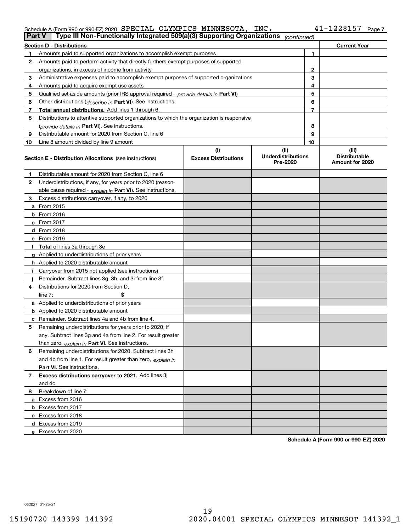### Schedule A (Form 990 or 990-EZ) 2020  ${\tt SPECIAL}$   ${\tt OLYMPICS}$   ${\tt MINRESOTA}$  ,  ${\tt INC.}$   ${\tt 41-1228157}$   ${\tt Page}$

|                | Type III Non-Functionally Integrated 509(a)(3) Supporting Organizations<br>Part V<br>(continued) |                                    |                                               |    |                                                  |
|----------------|--------------------------------------------------------------------------------------------------|------------------------------------|-----------------------------------------------|----|--------------------------------------------------|
|                | <b>Section D - Distributions</b>                                                                 |                                    |                                               |    | <b>Current Year</b>                              |
| 1              | Amounts paid to supported organizations to accomplish exempt purposes                            |                                    |                                               | 1  |                                                  |
| 2              | Amounts paid to perform activity that directly furthers exempt purposes of supported             |                                    |                                               |    |                                                  |
|                | organizations, in excess of income from activity                                                 |                                    |                                               | 2  |                                                  |
| 3              | Administrative expenses paid to accomplish exempt purposes of supported organizations            |                                    |                                               | 3  |                                                  |
| 4              | Amounts paid to acquire exempt-use assets                                                        |                                    |                                               | 4  |                                                  |
| 5              | Qualified set-aside amounts (prior IRS approval required - provide details in Part VI)           |                                    |                                               | 5  |                                                  |
| 6              | Other distributions ( <i>describe in</i> Part VI). See instructions.                             |                                    |                                               | 6  |                                                  |
| 7              | Total annual distributions. Add lines 1 through 6.                                               |                                    |                                               | 7  |                                                  |
| 8              | Distributions to attentive supported organizations to which the organization is responsive       |                                    |                                               |    |                                                  |
|                | (provide details in Part VI). See instructions.                                                  |                                    |                                               | 8  |                                                  |
| 9              | Distributable amount for 2020 from Section C, line 6                                             |                                    |                                               | 9  |                                                  |
| 10             | Line 8 amount divided by line 9 amount                                                           |                                    |                                               | 10 |                                                  |
|                | <b>Section E - Distribution Allocations</b> (see instructions)                                   | (i)<br><b>Excess Distributions</b> | (ii)<br><b>Underdistributions</b><br>Pre-2020 |    | (iii)<br><b>Distributable</b><br>Amount for 2020 |
| 1              | Distributable amount for 2020 from Section C, line 6                                             |                                    |                                               |    |                                                  |
| 2              | Underdistributions, if any, for years prior to 2020 (reason-                                     |                                    |                                               |    |                                                  |
|                | able cause required - explain in Part VI). See instructions.                                     |                                    |                                               |    |                                                  |
| 3              | Excess distributions carryover, if any, to 2020                                                  |                                    |                                               |    |                                                  |
|                | <b>a</b> From 2015                                                                               |                                    |                                               |    |                                                  |
|                | <b>b</b> From 2016                                                                               |                                    |                                               |    |                                                  |
|                | $c$ From 2017                                                                                    |                                    |                                               |    |                                                  |
|                | d From 2018                                                                                      |                                    |                                               |    |                                                  |
|                | e From 2019                                                                                      |                                    |                                               |    |                                                  |
|                | f Total of lines 3a through 3e                                                                   |                                    |                                               |    |                                                  |
|                | g Applied to underdistributions of prior years                                                   |                                    |                                               |    |                                                  |
|                | <b>h</b> Applied to 2020 distributable amount                                                    |                                    |                                               |    |                                                  |
|                | Carryover from 2015 not applied (see instructions)                                               |                                    |                                               |    |                                                  |
|                | Remainder. Subtract lines 3g, 3h, and 3i from line 3f.                                           |                                    |                                               |    |                                                  |
| 4              | Distributions for 2020 from Section D.                                                           |                                    |                                               |    |                                                  |
|                | line $7:$                                                                                        |                                    |                                               |    |                                                  |
|                | a Applied to underdistributions of prior years                                                   |                                    |                                               |    |                                                  |
|                | <b>b</b> Applied to 2020 distributable amount                                                    |                                    |                                               |    |                                                  |
|                | c Remainder. Subtract lines 4a and 4b from line 4.                                               |                                    |                                               |    |                                                  |
| 5              | Remaining underdistributions for years prior to 2020, if                                         |                                    |                                               |    |                                                  |
|                | any. Subtract lines 3g and 4a from line 2. For result greater                                    |                                    |                                               |    |                                                  |
|                | than zero, explain in Part VI. See instructions.                                                 |                                    |                                               |    |                                                  |
| 6              | Remaining underdistributions for 2020. Subtract lines 3h                                         |                                    |                                               |    |                                                  |
|                | and 4b from line 1. For result greater than zero, explain in                                     |                                    |                                               |    |                                                  |
|                | <b>Part VI.</b> See instructions.                                                                |                                    |                                               |    |                                                  |
| $\overline{7}$ | Excess distributions carryover to 2021. Add lines 3j                                             |                                    |                                               |    |                                                  |
|                | and 4c.                                                                                          |                                    |                                               |    |                                                  |
| 8              | Breakdown of line 7:                                                                             |                                    |                                               |    |                                                  |
|                | a Excess from 2016                                                                               |                                    |                                               |    |                                                  |
|                | <b>b</b> Excess from 2017                                                                        |                                    |                                               |    |                                                  |
|                | c Excess from 2018                                                                               |                                    |                                               |    |                                                  |
|                | d Excess from 2019                                                                               |                                    |                                               |    |                                                  |
|                | e Excess from 2020                                                                               |                                    |                                               |    |                                                  |

**Schedule A (Form 990 or 990-EZ) 2020**

032027 01-25-21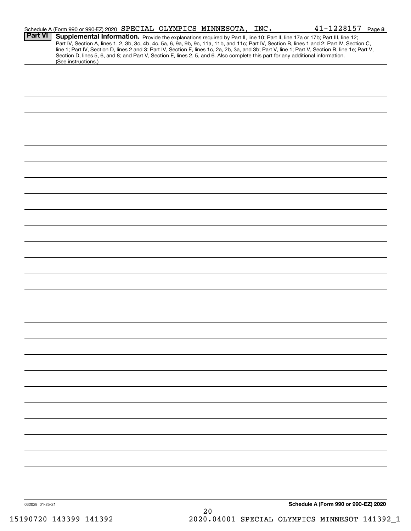|                 | Schedule A (Form 990 or 990-EZ) 2020 SPECIAL OLYMPICS MINNESOTA, INC.                                                                                  |  |    | $41 - 1228157$ Page 8                                                                                                                                                                                                                                                                                                                                                                                                             |  |
|-----------------|--------------------------------------------------------------------------------------------------------------------------------------------------------|--|----|-----------------------------------------------------------------------------------------------------------------------------------------------------------------------------------------------------------------------------------------------------------------------------------------------------------------------------------------------------------------------------------------------------------------------------------|--|
| <b>Part VI</b>  |                                                                                                                                                        |  |    | Supplemental Information. Provide the explanations required by Part II, line 10; Part II, line 17a or 17b; Part III, line 12;<br>Part IV, Section A, lines 1, 2, 3b, 3c, 4b, 4c, 5a, 6, 9a, 9b, 9c, 11a, 11b, and 11c; Part IV, Section B, lines 1 and 2; Part IV, Section C,<br>line 1; Part IV, Section D, lines 2 and 3; Part IV, Section E, lines 1c, 2a, 2b, 3a, and 3b; Part V, line 1; Part V, Section B, line 1e; Part V, |  |
|                 | Section D, lines 5, 6, and 8; and Part V, Section E, lines 2, 5, and 6. Also complete this part for any additional information.<br>(See instructions.) |  |    |                                                                                                                                                                                                                                                                                                                                                                                                                                   |  |
|                 |                                                                                                                                                        |  |    |                                                                                                                                                                                                                                                                                                                                                                                                                                   |  |
|                 |                                                                                                                                                        |  |    |                                                                                                                                                                                                                                                                                                                                                                                                                                   |  |
|                 |                                                                                                                                                        |  |    |                                                                                                                                                                                                                                                                                                                                                                                                                                   |  |
|                 |                                                                                                                                                        |  |    |                                                                                                                                                                                                                                                                                                                                                                                                                                   |  |
|                 |                                                                                                                                                        |  |    |                                                                                                                                                                                                                                                                                                                                                                                                                                   |  |
|                 |                                                                                                                                                        |  |    |                                                                                                                                                                                                                                                                                                                                                                                                                                   |  |
|                 |                                                                                                                                                        |  |    |                                                                                                                                                                                                                                                                                                                                                                                                                                   |  |
|                 |                                                                                                                                                        |  |    |                                                                                                                                                                                                                                                                                                                                                                                                                                   |  |
|                 |                                                                                                                                                        |  |    |                                                                                                                                                                                                                                                                                                                                                                                                                                   |  |
|                 |                                                                                                                                                        |  |    |                                                                                                                                                                                                                                                                                                                                                                                                                                   |  |
|                 |                                                                                                                                                        |  |    |                                                                                                                                                                                                                                                                                                                                                                                                                                   |  |
|                 |                                                                                                                                                        |  |    |                                                                                                                                                                                                                                                                                                                                                                                                                                   |  |
|                 |                                                                                                                                                        |  |    |                                                                                                                                                                                                                                                                                                                                                                                                                                   |  |
|                 |                                                                                                                                                        |  |    |                                                                                                                                                                                                                                                                                                                                                                                                                                   |  |
|                 |                                                                                                                                                        |  |    |                                                                                                                                                                                                                                                                                                                                                                                                                                   |  |
|                 |                                                                                                                                                        |  |    |                                                                                                                                                                                                                                                                                                                                                                                                                                   |  |
|                 |                                                                                                                                                        |  |    |                                                                                                                                                                                                                                                                                                                                                                                                                                   |  |
|                 |                                                                                                                                                        |  |    |                                                                                                                                                                                                                                                                                                                                                                                                                                   |  |
|                 |                                                                                                                                                        |  |    |                                                                                                                                                                                                                                                                                                                                                                                                                                   |  |
|                 |                                                                                                                                                        |  |    |                                                                                                                                                                                                                                                                                                                                                                                                                                   |  |
|                 |                                                                                                                                                        |  |    |                                                                                                                                                                                                                                                                                                                                                                                                                                   |  |
|                 |                                                                                                                                                        |  |    |                                                                                                                                                                                                                                                                                                                                                                                                                                   |  |
|                 |                                                                                                                                                        |  |    |                                                                                                                                                                                                                                                                                                                                                                                                                                   |  |
|                 |                                                                                                                                                        |  |    |                                                                                                                                                                                                                                                                                                                                                                                                                                   |  |
|                 |                                                                                                                                                        |  |    |                                                                                                                                                                                                                                                                                                                                                                                                                                   |  |
|                 |                                                                                                                                                        |  |    |                                                                                                                                                                                                                                                                                                                                                                                                                                   |  |
|                 |                                                                                                                                                        |  |    |                                                                                                                                                                                                                                                                                                                                                                                                                                   |  |
|                 |                                                                                                                                                        |  |    |                                                                                                                                                                                                                                                                                                                                                                                                                                   |  |
|                 |                                                                                                                                                        |  |    |                                                                                                                                                                                                                                                                                                                                                                                                                                   |  |
|                 |                                                                                                                                                        |  |    |                                                                                                                                                                                                                                                                                                                                                                                                                                   |  |
|                 |                                                                                                                                                        |  |    |                                                                                                                                                                                                                                                                                                                                                                                                                                   |  |
|                 |                                                                                                                                                        |  |    |                                                                                                                                                                                                                                                                                                                                                                                                                                   |  |
|                 |                                                                                                                                                        |  |    |                                                                                                                                                                                                                                                                                                                                                                                                                                   |  |
|                 |                                                                                                                                                        |  |    |                                                                                                                                                                                                                                                                                                                                                                                                                                   |  |
|                 |                                                                                                                                                        |  |    |                                                                                                                                                                                                                                                                                                                                                                                                                                   |  |
|                 |                                                                                                                                                        |  |    |                                                                                                                                                                                                                                                                                                                                                                                                                                   |  |
|                 |                                                                                                                                                        |  |    |                                                                                                                                                                                                                                                                                                                                                                                                                                   |  |
| 032028 01-25-21 |                                                                                                                                                        |  | 20 | Schedule A (Form 990 or 990-EZ) 2020                                                                                                                                                                                                                                                                                                                                                                                              |  |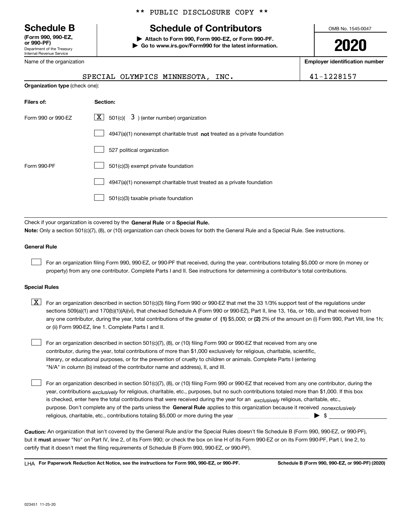Department of the Treasury Internal Revenue Service **(Form 990, 990-EZ, or 990-PF)**

Name of the organization

### \*\* PUBLIC DISCLOSURE COPY \*\*

# **Schedule B Schedule of Contributors**

**| Attach to Form 990, Form 990-EZ, or Form 990-PF. | Go to www.irs.gov/Form990 for the latest information.** OMB No. 1545-0047

**2020**

**Employer identification number**

|                                | SPECIAL OLYMPICS MINNESOTA,<br>INC.                                                                                                                                                                                                                                              | 41-1228157 |  |  |  |
|--------------------------------|----------------------------------------------------------------------------------------------------------------------------------------------------------------------------------------------------------------------------------------------------------------------------------|------------|--|--|--|
| Organization type (check one): |                                                                                                                                                                                                                                                                                  |            |  |  |  |
| Filers of:                     | Section:                                                                                                                                                                                                                                                                         |            |  |  |  |
| Form 990 or 990-EZ             | $ \mathbf{X} $ 501(c)( 3) (enter number) organization                                                                                                                                                                                                                            |            |  |  |  |
|                                | 4947(a)(1) nonexempt charitable trust not treated as a private foundation                                                                                                                                                                                                        |            |  |  |  |
|                                | 527 political organization                                                                                                                                                                                                                                                       |            |  |  |  |
| Form 990-PF                    | 501(c)(3) exempt private foundation                                                                                                                                                                                                                                              |            |  |  |  |
|                                | 4947(a)(1) nonexempt charitable trust treated as a private foundation                                                                                                                                                                                                            |            |  |  |  |
|                                | 501(c)(3) taxable private foundation                                                                                                                                                                                                                                             |            |  |  |  |
|                                |                                                                                                                                                                                                                                                                                  |            |  |  |  |
|                                | Check if your organization is covered by the General Rule or a Special Rule.                                                                                                                                                                                                     |            |  |  |  |
|                                | Note: Only a section 501(c)(7), (8), or (10) organization can check boxes for both the General Rule and a Special Rule. See instructions.                                                                                                                                        |            |  |  |  |
| <b>General Rule</b>            |                                                                                                                                                                                                                                                                                  |            |  |  |  |
|                                | For an organization filing Form 990, 990-EZ, or 990-PF that received, during the year, contributions totaling \$5,000 or more (in money or<br>property) from any one contributor. Complete Parts I and II. See instructions for determining a contributor's total contributions. |            |  |  |  |

**Special Rules**

| $\boxed{\textbf{X}}$ For an organization described in section 501(c)(3) filing Form 990 or 990-EZ that met the 33 1/3% support test of the regulations under |
|--------------------------------------------------------------------------------------------------------------------------------------------------------------|
| sections 509(a)(1) and 170(b)(1)(A)(vi), that checked Schedule A (Form 990 or 990-EZ), Part II, line 13, 16a, or 16b, and that received from                 |
| any one contributor, during the year, total contributions of the greater of (1) \$5,000; or (2) 2% of the amount on (i) Form 990, Part VIII, line 1h;        |
| or (ii) Form 990-EZ, line 1. Complete Parts I and II.                                                                                                        |

For an organization described in section 501(c)(7), (8), or (10) filing Form 990 or 990-EZ that received from any one contributor, during the year, total contributions of more than \$1,000 exclusively for religious, charitable, scientific, literary, or educational purposes, or for the prevention of cruelty to children or animals. Complete Parts I (entering "N/A" in column (b) instead of the contributor name and address), II, and III.  $\mathcal{L}^{\text{max}}$ 

purpose. Don't complete any of the parts unless the **General Rule** applies to this organization because it received *nonexclusively* year, contributions <sub>exclusively</sub> for religious, charitable, etc., purposes, but no such contributions totaled more than \$1,000. If this box is checked, enter here the total contributions that were received during the year for an  $\;$ exclusively religious, charitable, etc., For an organization described in section 501(c)(7), (8), or (10) filing Form 990 or 990-EZ that received from any one contributor, during the religious, charitable, etc., contributions totaling \$5,000 or more during the year  $\Box$ — $\Box$  =  $\Box$  $\mathcal{L}^{\text{max}}$ 

**Caution:**  An organization that isn't covered by the General Rule and/or the Special Rules doesn't file Schedule B (Form 990, 990-EZ, or 990-PF),  **must** but it answer "No" on Part IV, line 2, of its Form 990; or check the box on line H of its Form 990-EZ or on its Form 990-PF, Part I, line 2, to certify that it doesn't meet the filing requirements of Schedule B (Form 990, 990-EZ, or 990-PF).

**For Paperwork Reduction Act Notice, see the instructions for Form 990, 990-EZ, or 990-PF. Schedule B (Form 990, 990-EZ, or 990-PF) (2020)** LHA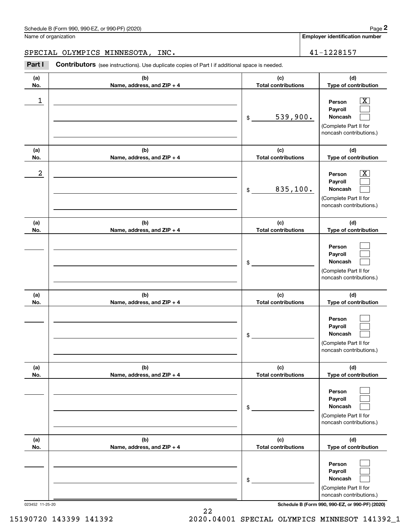**Employer identification number**

SPECIAL OLYMPICS MINNESOTA, INC. 41-1228157

Contributors (see instructions). Use duplicate copies of Part I if additional space is needed. Chedule B (Form 990, 990-EZ, or 990-PF) (2020)<br> **2PART AI COLYMPICS MINNESOTA, INC.**<br> **2PECIAL OLYMPICS MINNESOTA, INC.**<br> **2PECIAL Contributors** (see instructions). Use duplicate copies of Part I if additional space is nee

| (a)        | (b)                               | (c)                               | (d)                                                                                                         |
|------------|-----------------------------------|-----------------------------------|-------------------------------------------------------------------------------------------------------------|
| No.        | Name, address, and ZIP + 4        | <b>Total contributions</b>        | Type of contribution                                                                                        |
| 1          |                                   | 539,900.<br>$\$$                  | $\overline{\mathbf{x}}$<br>Person<br>Payroll<br>Noncash<br>(Complete Part II for<br>noncash contributions.) |
| (a)        | (b)                               | (c)                               | (d)                                                                                                         |
| No.        | Name, address, and ZIP + 4        | <b>Total contributions</b>        | Type of contribution                                                                                        |
| 2          |                                   | 835,100.<br>$$\mathbb{S}$$        | $\overline{\mathbf{x}}$<br>Person<br>Payroll<br>Noncash<br>(Complete Part II for<br>noncash contributions.) |
| (a)<br>No. | (b)<br>Name, address, and ZIP + 4 | (c)<br><b>Total contributions</b> | (d)<br>Type of contribution                                                                                 |
|            |                                   | \$                                | Person<br>Payroll<br>Noncash<br>(Complete Part II for<br>noncash contributions.)                            |
| (a)<br>No. | (b)<br>Name, address, and ZIP + 4 | (c)<br><b>Total contributions</b> | (d)<br>Type of contribution                                                                                 |
|            |                                   | \$                                | Person<br>Payroll<br>Noncash<br>(Complete Part II for<br>noncash contributions.)                            |
| (a)<br>No. | (b)<br>Name, address, and ZIP + 4 | (c)<br><b>Total contributions</b> | (d)<br>Type of contribution                                                                                 |
|            |                                   | \$                                | Person<br>Payroll<br>Noncash<br>(Complete Part II for<br>noncash contributions.)                            |
| (a)<br>No. | (b)<br>Name, address, and ZIP + 4 | (c)<br><b>Total contributions</b> | (d)<br>Type of contribution                                                                                 |
|            |                                   | \$                                | Person<br>Payroll<br>Noncash<br>(Complete Part II for<br>noncash contributions.)                            |

023452 11-25-20 **Schedule B (Form 990, 990-EZ, or 990-PF) (2020)**

15190720 143399 141392 2020.04001 SPECIAL OLYMPICS MINNESOT 141392\_1

22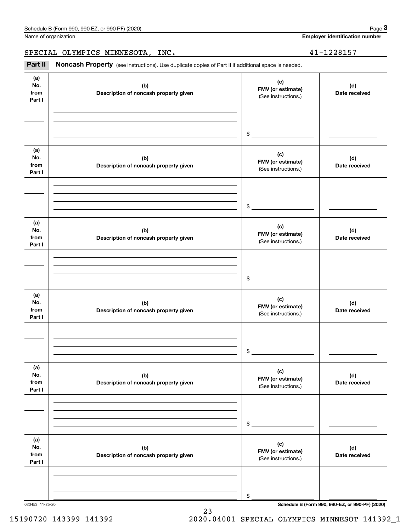Name of organization

**Employer identification number**

SPECIAL OLYMPICS MINNESOTA, INC. 41-1228157

Chedule B (Form 990, 990-EZ, or 990-PF) (2020)<br> **3PECIAL OLYMPICS MINNESOTA, INC.**<br> **3PECIAL OLYMPICS MINNESOTA, INC.**<br> **3PECIAL Noncash Property** (see instructions). Use duplicate copies of Part II if additional space is

| (a)<br>No.<br>from<br>Part I | (b)<br>Description of noncash property given | (c)<br>FMV (or estimate)<br>(See instructions.) | (d)<br>Date received                            |
|------------------------------|----------------------------------------------|-------------------------------------------------|-------------------------------------------------|
|                              |                                              | $\frac{1}{2}$                                   |                                                 |
| (a)<br>No.<br>from<br>Part I | (b)<br>Description of noncash property given | (c)<br>FMV (or estimate)<br>(See instructions.) | (d)<br>Date received                            |
|                              |                                              | $\frac{1}{2}$                                   |                                                 |
| (a)<br>No.<br>from<br>Part I | (b)<br>Description of noncash property given | (c)<br>FMV (or estimate)<br>(See instructions.) | (d)<br>Date received                            |
|                              |                                              | $\frac{1}{2}$                                   |                                                 |
| (a)<br>No.<br>from<br>Part I | (b)<br>Description of noncash property given | (c)<br>FMV (or estimate)<br>(See instructions.) | (d)<br>Date received                            |
|                              |                                              | $\mathsf{\$}$                                   |                                                 |
| (a)<br>No.<br>from<br>Part I | (b)<br>Description of noncash property given | (c)<br>FMV (or estimate)<br>(See instructions.) | (d)<br>Date received                            |
|                              |                                              | \$                                              |                                                 |
| (a)<br>No.<br>from<br>Part I | (b)<br>Description of noncash property given | (c)<br>FMV (or estimate)<br>(See instructions.) | (d)<br>Date received                            |
| 023453 11-25-20              |                                              | \$                                              | Schedule B (Form 990, 990-EZ, or 990-PF) (2020) |

23

15190720 143399 141392 2020.04001 SPECIAL OLYMPICS MINNESOT 141392\_1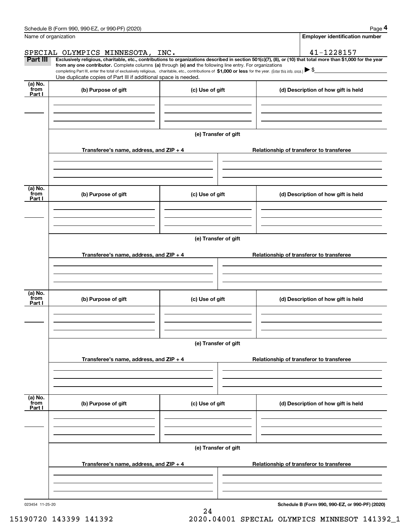| Schedule B (Form 990, 990-EZ, or 990-PF)<br>(2020)<br>Page |
|------------------------------------------------------------|
|------------------------------------------------------------|

|                           | Schedule B (Form 990, 990-EZ, or 990-PF) (2020)                                                                                                                                                                                                                                                 |                      |  | Page 4                                                                                                                                                         |  |
|---------------------------|-------------------------------------------------------------------------------------------------------------------------------------------------------------------------------------------------------------------------------------------------------------------------------------------------|----------------------|--|----------------------------------------------------------------------------------------------------------------------------------------------------------------|--|
| Name of organization      |                                                                                                                                                                                                                                                                                                 |                      |  | <b>Employer identification number</b>                                                                                                                          |  |
|                           | SPECIAL OLYMPICS MINNESOTA, INC.                                                                                                                                                                                                                                                                |                      |  | 41-1228157                                                                                                                                                     |  |
| Part III                  | from any one contributor. Complete columns (a) through (e) and the following line entry. For organizations<br>completing Part III, enter the total of exclusively religious, charitable, etc., contributions of \$1,000 or less for the year. (Enter this info. once.) $\blacktriangleright$ \$ |                      |  | Exclusively religious, charitable, etc., contributions to organizations described in section 501(c)(7), (8), or (10) that total more than \$1,000 for the year |  |
|                           | Use duplicate copies of Part III if additional space is needed.                                                                                                                                                                                                                                 |                      |  |                                                                                                                                                                |  |
| (a) No.<br>from<br>Part I | (b) Purpose of gift                                                                                                                                                                                                                                                                             | (c) Use of gift      |  | (d) Description of how gift is held                                                                                                                            |  |
|                           |                                                                                                                                                                                                                                                                                                 |                      |  |                                                                                                                                                                |  |
|                           |                                                                                                                                                                                                                                                                                                 |                      |  |                                                                                                                                                                |  |
|                           |                                                                                                                                                                                                                                                                                                 | (e) Transfer of gift |  |                                                                                                                                                                |  |
|                           | Transferee's name, address, and ZIP + 4                                                                                                                                                                                                                                                         |                      |  | Relationship of transferor to transferee                                                                                                                       |  |
|                           |                                                                                                                                                                                                                                                                                                 |                      |  |                                                                                                                                                                |  |
| (a) No.<br>from           | (b) Purpose of gift                                                                                                                                                                                                                                                                             | (c) Use of gift      |  | (d) Description of how gift is held                                                                                                                            |  |
| Part I                    |                                                                                                                                                                                                                                                                                                 |                      |  |                                                                                                                                                                |  |
|                           |                                                                                                                                                                                                                                                                                                 |                      |  |                                                                                                                                                                |  |
|                           | (e) Transfer of gift                                                                                                                                                                                                                                                                            |                      |  |                                                                                                                                                                |  |
|                           | Transferee's name, address, and ZIP + 4                                                                                                                                                                                                                                                         |                      |  | Relationship of transferor to transferee                                                                                                                       |  |
|                           |                                                                                                                                                                                                                                                                                                 |                      |  |                                                                                                                                                                |  |
|                           |                                                                                                                                                                                                                                                                                                 |                      |  |                                                                                                                                                                |  |
| (a) No.<br>from<br>Part I | (b) Purpose of gift                                                                                                                                                                                                                                                                             | (c) Use of gift      |  | (d) Description of how gift is held                                                                                                                            |  |
|                           |                                                                                                                                                                                                                                                                                                 |                      |  |                                                                                                                                                                |  |
|                           |                                                                                                                                                                                                                                                                                                 |                      |  |                                                                                                                                                                |  |
|                           | (e) Transfer of gift                                                                                                                                                                                                                                                                            |                      |  |                                                                                                                                                                |  |
|                           | Transferee's name, address, and ZIP + 4                                                                                                                                                                                                                                                         |                      |  | Relationship of transferor to transferee                                                                                                                       |  |
|                           |                                                                                                                                                                                                                                                                                                 |                      |  |                                                                                                                                                                |  |
| (a) No.                   |                                                                                                                                                                                                                                                                                                 |                      |  |                                                                                                                                                                |  |
| `from<br>Part I           | (b) Purpose of gift                                                                                                                                                                                                                                                                             | (c) Use of gift      |  | (d) Description of how gift is held                                                                                                                            |  |
|                           |                                                                                                                                                                                                                                                                                                 |                      |  |                                                                                                                                                                |  |
|                           |                                                                                                                                                                                                                                                                                                 | (e) Transfer of gift |  |                                                                                                                                                                |  |
|                           | Transferee's name, address, and $ZIP + 4$                                                                                                                                                                                                                                                       |                      |  | Relationship of transferor to transferee                                                                                                                       |  |
|                           |                                                                                                                                                                                                                                                                                                 |                      |  |                                                                                                                                                                |  |
|                           |                                                                                                                                                                                                                                                                                                 |                      |  |                                                                                                                                                                |  |

24

**Schedule B (Form 990, 990-EZ, or 990-PF) (2020)**

15190720 143399 141392 2020.04001 SPECIAL OLYMPICS MINNESOT 141392\_1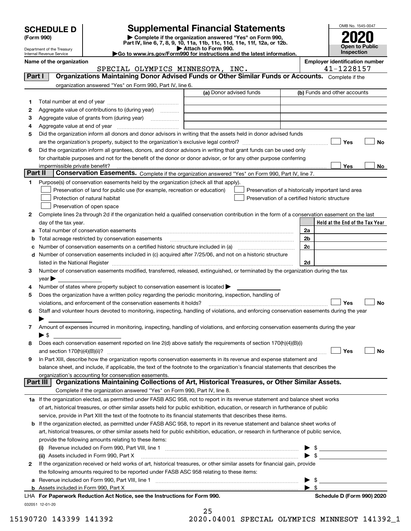| (Form 990) |  |
|------------|--|
|------------|--|

## **SCHEDULE D Supplemental Financial Statements**

(Form 990)<br>
Pepartment of the Treasury<br>
Department of the Treasury<br>
Department of the Treasury<br>
Department of the Treasury<br> **Co to www.irs.gov/Form990 for instructions and the latest information.**<br> **Co to www.irs.gov/Form9** 



Department of the Treasury Internal Revenue Service

|         | Name of the organization<br>SPECIAL OLYMPICS MINNESOTA, INC.                                                                                   |                         |                                                    |                          | <b>Employer identification number</b> | 41-1228157 |                                 |
|---------|------------------------------------------------------------------------------------------------------------------------------------------------|-------------------------|----------------------------------------------------|--------------------------|---------------------------------------|------------|---------------------------------|
| Part I  | Organizations Maintaining Donor Advised Funds or Other Similar Funds or Accounts. Complete if the                                              |                         |                                                    |                          |                                       |            |                                 |
|         |                                                                                                                                                |                         |                                                    |                          |                                       |            |                                 |
|         | organization answered "Yes" on Form 990, Part IV, line 6.                                                                                      | (a) Donor advised funds |                                                    |                          | (b) Funds and other accounts          |            |                                 |
|         |                                                                                                                                                |                         |                                                    |                          |                                       |            |                                 |
| 1       |                                                                                                                                                |                         |                                                    |                          |                                       |            |                                 |
| 2       | Aggregate value of contributions to (during year)                                                                                              |                         |                                                    |                          |                                       |            |                                 |
| з       | Aggregate value of grants from (during year)                                                                                                   |                         |                                                    |                          |                                       |            |                                 |
| 4       |                                                                                                                                                |                         |                                                    |                          |                                       |            |                                 |
| 5       | Did the organization inform all donors and donor advisors in writing that the assets held in donor advised funds                               |                         |                                                    |                          |                                       |            |                                 |
|         |                                                                                                                                                |                         |                                                    |                          |                                       | Yes        | No                              |
| 6       | Did the organization inform all grantees, donors, and donor advisors in writing that grant funds can be used only                              |                         |                                                    |                          |                                       |            |                                 |
|         | for charitable purposes and not for the benefit of the donor or donor advisor, or for any other purpose conferring                             |                         |                                                    |                          |                                       |            |                                 |
|         | impermissible private benefit?                                                                                                                 |                         |                                                    |                          |                                       | Yes        | No                              |
| Part II | Conservation Easements. Complete if the organization answered "Yes" on Form 990, Part IV, line 7.                                              |                         |                                                    |                          |                                       |            |                                 |
| 1       | Purpose(s) of conservation easements held by the organization (check all that apply).                                                          |                         |                                                    |                          |                                       |            |                                 |
|         | Preservation of land for public use (for example, recreation or education)                                                                     |                         | Preservation of a historically important land area |                          |                                       |            |                                 |
|         | Protection of natural habitat                                                                                                                  |                         | Preservation of a certified historic structure     |                          |                                       |            |                                 |
|         | Preservation of open space                                                                                                                     |                         |                                                    |                          |                                       |            |                                 |
| 2       | Complete lines 2a through 2d if the organization held a qualified conservation contribution in the form of a conservation easement on the last |                         |                                                    |                          |                                       |            |                                 |
|         | day of the tax year.                                                                                                                           |                         |                                                    |                          |                                       |            | Held at the End of the Tax Year |
| а       |                                                                                                                                                |                         |                                                    | 2a                       |                                       |            |                                 |
| b       | Total acreage restricted by conservation easements                                                                                             |                         |                                                    | 2b                       |                                       |            |                                 |
|         |                                                                                                                                                |                         |                                                    | 2c                       |                                       |            |                                 |
| d       | Number of conservation easements included in (c) acquired after 7/25/06, and not on a historic structure                                       |                         |                                                    |                          |                                       |            |                                 |
|         |                                                                                                                                                |                         |                                                    | 2d                       |                                       |            |                                 |
| 3       | Number of conservation easements modified, transferred, released, extinguished, or terminated by the organization during the tax               |                         |                                                    |                          |                                       |            |                                 |
|         | year                                                                                                                                           |                         |                                                    |                          |                                       |            |                                 |
| 4       | Number of states where property subject to conservation easement is located >                                                                  |                         |                                                    |                          |                                       |            |                                 |
| 5       | Does the organization have a written policy regarding the periodic monitoring, inspection, handling of                                         |                         |                                                    |                          |                                       |            |                                 |
|         | violations, and enforcement of the conservation easements it holds?                                                                            |                         |                                                    |                          |                                       | Yes        | <b>No</b>                       |
| 6       | Staff and volunteer hours devoted to monitoring, inspecting, handling of violations, and enforcing conservation easements during the year      |                         |                                                    |                          |                                       |            |                                 |
|         |                                                                                                                                                |                         |                                                    |                          |                                       |            |                                 |
| 7       | Amount of expenses incurred in monitoring, inspecting, handling of violations, and enforcing conservation easements during the year            |                         |                                                    |                          |                                       |            |                                 |
|         | $\blacktriangleright$ \$                                                                                                                       |                         |                                                    |                          |                                       |            |                                 |
| 8       | Does each conservation easement reported on line 2(d) above satisfy the requirements of section 170(h)(4)(B)(i)                                |                         |                                                    |                          |                                       |            |                                 |
|         |                                                                                                                                                |                         |                                                    |                          |                                       | Yes        | No                              |
|         | In Part XIII, describe how the organization reports conservation easements in its revenue and expense statement and                            |                         |                                                    |                          |                                       |            |                                 |
|         | balance sheet, and include, if applicable, the text of the footnote to the organization's financial statements that describes the              |                         |                                                    |                          |                                       |            |                                 |
|         | organization's accounting for conservation easements.                                                                                          |                         |                                                    |                          |                                       |            |                                 |
|         | Organizations Maintaining Collections of Art, Historical Treasures, or Other Similar Assets.<br>Part III                                       |                         |                                                    |                          |                                       |            |                                 |
|         | Complete if the organization answered "Yes" on Form 990, Part IV, line 8.                                                                      |                         |                                                    |                          |                                       |            |                                 |
|         | 1a If the organization elected, as permitted under FASB ASC 958, not to report in its revenue statement and balance sheet works                |                         |                                                    |                          |                                       |            |                                 |
|         | of art, historical treasures, or other similar assets held for public exhibition, education, or research in furtherance of public              |                         |                                                    |                          |                                       |            |                                 |
|         | service, provide in Part XIII the text of the footnote to its financial statements that describes these items.                                 |                         |                                                    |                          |                                       |            |                                 |
| b       | If the organization elected, as permitted under FASB ASC 958, to report in its revenue statement and balance sheet works of                    |                         |                                                    |                          |                                       |            |                                 |
|         | art, historical treasures, or other similar assets held for public exhibition, education, or research in furtherance of public service,        |                         |                                                    |                          |                                       |            |                                 |
|         | provide the following amounts relating to these items:                                                                                         |                         |                                                    |                          |                                       |            |                                 |
|         | (i)                                                                                                                                            |                         |                                                    |                          | $\mathbb{S}$ .                        |            |                                 |
|         | (ii) Assets included in Form 990, Part X                                                                                                       |                         |                                                    | $\blacktriangleright$ \$ |                                       |            |                                 |
| 2       | If the organization received or held works of art, historical treasures, or other similar assets for financial gain, provide                   |                         |                                                    |                          |                                       |            |                                 |
|         | the following amounts required to be reported under FASB ASC 958 relating to these items:                                                      |                         |                                                    |                          |                                       |            |                                 |
| a       |                                                                                                                                                |                         |                                                    |                          | -\$                                   |            |                                 |
|         | <b>b</b> Assets included in Form 990, Part X                                                                                                   |                         |                                                    | $\blacktriangleright$ s  |                                       |            |                                 |
|         | LHA For Paperwork Reduction Act Notice, see the Instructions for Form 990.                                                                     |                         |                                                    |                          | Schedule D (Form 990) 2020            |            |                                 |
|         | 032051 12-01-20                                                                                                                                |                         |                                                    |                          |                                       |            |                                 |
|         |                                                                                                                                                | 25                      |                                                    |                          |                                       |            |                                 |

| 15190720 143399 141392 |  | 2020.04001 SPECIAL OLYMPICS MINNESOT 141392 1 |  |  |  |
|------------------------|--|-----------------------------------------------|--|--|--|
|                        |  |                                               |  |  |  |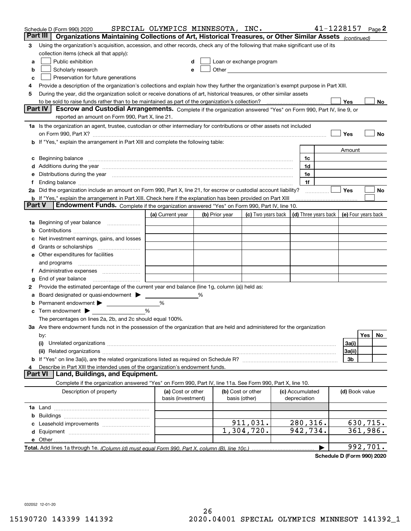|        | Schedule D (Form 990) 2020                                                                                                                                                                                                     | SPECIAL OLYMPICS MINNESOTA, INC. |   |                |                                                                                                                                                                                                                               |                 |   | $41 - 1228157$  | Page 2              |
|--------|--------------------------------------------------------------------------------------------------------------------------------------------------------------------------------------------------------------------------------|----------------------------------|---|----------------|-------------------------------------------------------------------------------------------------------------------------------------------------------------------------------------------------------------------------------|-----------------|---|-----------------|---------------------|
|        | Part III<br>Organizations Maintaining Collections of Art, Historical Treasures, or Other Similar Assets (continued)                                                                                                            |                                  |   |                |                                                                                                                                                                                                                               |                 |   |                 |                     |
| 3      | Using the organization's acquisition, accession, and other records, check any of the following that make significant use of its                                                                                                |                                  |   |                |                                                                                                                                                                                                                               |                 |   |                 |                     |
|        | collection items (check all that apply):                                                                                                                                                                                       |                                  |   |                |                                                                                                                                                                                                                               |                 |   |                 |                     |
| a      | Public exhibition                                                                                                                                                                                                              |                                  |   |                | Loan or exchange program                                                                                                                                                                                                      |                 |   |                 |                     |
| b      | Scholarly research                                                                                                                                                                                                             |                                  |   |                | Other and the contract of the contract of the contract of the contract of the contract of the contract of the contract of the contract of the contract of the contract of the contract of the contract of the contract of the |                 |   |                 |                     |
| с      | Preservation for future generations                                                                                                                                                                                            |                                  |   |                |                                                                                                                                                                                                                               |                 |   |                 |                     |
| 4      | Provide a description of the organization's collections and explain how they further the organization's exempt purpose in Part XIII.                                                                                           |                                  |   |                |                                                                                                                                                                                                                               |                 |   |                 |                     |
| 5      | During the year, did the organization solicit or receive donations of art, historical treasures, or other similar assets                                                                                                       |                                  |   |                |                                                                                                                                                                                                                               |                 |   |                 |                     |
|        | to be sold to raise funds rather than to be maintained as part of the organization's collection?                                                                                                                               |                                  |   |                |                                                                                                                                                                                                                               |                 |   | Yes             | No                  |
|        | Escrow and Custodial Arrangements. Complete if the organization answered "Yes" on Form 990, Part IV, line 9, or<br><b>Part IV</b><br>reported an amount on Form 990, Part X, line 21.                                          |                                  |   |                |                                                                                                                                                                                                                               |                 |   |                 |                     |
|        |                                                                                                                                                                                                                                |                                  |   |                |                                                                                                                                                                                                                               |                 |   |                 |                     |
|        | 1a Is the organization an agent, trustee, custodian or other intermediary for contributions or other assets not included                                                                                                       |                                  |   |                |                                                                                                                                                                                                                               |                 |   | Yes             | No                  |
|        | on Form 990, Part X? [11] matter contracts and contracts and contracts are contracted as a form 990, Part X?<br><b>b</b> If "Yes," explain the arrangement in Part XIII and complete the following table:                      |                                  |   |                |                                                                                                                                                                                                                               |                 |   |                 |                     |
|        |                                                                                                                                                                                                                                |                                  |   |                |                                                                                                                                                                                                                               |                 |   | Amount          |                     |
| c      | Beginning balance <u>www.marent.com married was contracted</u> and the contracted and the contracted and the contracted                                                                                                        |                                  |   |                |                                                                                                                                                                                                                               | 1c              |   |                 |                     |
|        |                                                                                                                                                                                                                                |                                  |   |                |                                                                                                                                                                                                                               | 1d              |   |                 |                     |
|        | e Distributions during the year manufactured and continuum and contained and the year manufactured and contained and the year manufactured and contained and contained and contained and contained and contained and contained |                                  |   |                |                                                                                                                                                                                                                               | 1e              |   |                 |                     |
|        |                                                                                                                                                                                                                                |                                  |   |                |                                                                                                                                                                                                                               | 1f              |   |                 |                     |
|        | 2a Did the organization include an amount on Form 990, Part X, line 21, for escrow or custodial account liability?                                                                                                             |                                  |   |                |                                                                                                                                                                                                                               | .               |   | Yes             | No                  |
|        | <b>b</b> If "Yes," explain the arrangement in Part XIII. Check here if the explanation has been provided on Part XIII                                                                                                          |                                  |   |                |                                                                                                                                                                                                                               |                 |   |                 |                     |
| Part V | Endowment Funds. Complete if the organization answered "Yes" on Form 990, Part IV, line 10.                                                                                                                                    |                                  |   |                |                                                                                                                                                                                                                               |                 |   |                 |                     |
|        |                                                                                                                                                                                                                                | (a) Current year                 |   | (b) Prior year | (c) Two years back $\vert$ (d) Three years back $\vert$                                                                                                                                                                       |                 |   |                 | (e) Four years back |
|        | 1a Beginning of year balance                                                                                                                                                                                                   |                                  |   |                |                                                                                                                                                                                                                               |                 |   |                 |                     |
| b      |                                                                                                                                                                                                                                |                                  |   |                |                                                                                                                                                                                                                               |                 |   |                 |                     |
|        | Net investment earnings, gains, and losses                                                                                                                                                                                     |                                  |   |                |                                                                                                                                                                                                                               |                 |   |                 |                     |
|        |                                                                                                                                                                                                                                |                                  |   |                |                                                                                                                                                                                                                               |                 |   |                 |                     |
|        | e Other expenditures for facilities                                                                                                                                                                                            |                                  |   |                |                                                                                                                                                                                                                               |                 |   |                 |                     |
|        |                                                                                                                                                                                                                                |                                  |   |                |                                                                                                                                                                                                                               |                 |   |                 |                     |
|        | f Administrative expenses                                                                                                                                                                                                      |                                  |   |                |                                                                                                                                                                                                                               |                 |   |                 |                     |
| g      | End of year balance <i>manually contained</i>                                                                                                                                                                                  |                                  |   |                |                                                                                                                                                                                                                               |                 |   |                 |                     |
| 2      | Provide the estimated percentage of the current year end balance (line 1g, column (a)) held as:                                                                                                                                |                                  |   |                |                                                                                                                                                                                                                               |                 |   |                 |                     |
| а      | Board designated or quasi-endowment >                                                                                                                                                                                          |                                  | % |                |                                                                                                                                                                                                                               |                 |   |                 |                     |
| b      | Permanent endowment >                                                                                                                                                                                                          | %                                |   |                |                                                                                                                                                                                                                               |                 |   |                 |                     |
|        | <b>c</b> Term endowment $\blacktriangleright$                                                                                                                                                                                  | %                                |   |                |                                                                                                                                                                                                                               |                 |   |                 |                     |
|        | The percentages on lines 2a, 2b, and 2c should equal 100%.                                                                                                                                                                     |                                  |   |                |                                                                                                                                                                                                                               |                 |   |                 |                     |
|        | 3a Are there endowment funds not in the possession of the organization that are held and administered for the organization                                                                                                     |                                  |   |                |                                                                                                                                                                                                                               |                 |   |                 | Yes                 |
|        | by:<br>(i)                                                                                                                                                                                                                     |                                  |   |                |                                                                                                                                                                                                                               |                 |   |                 | No                  |
|        |                                                                                                                                                                                                                                |                                  |   |                |                                                                                                                                                                                                                               |                 |   | 3a(i)<br>3a(ii) |                     |
|        |                                                                                                                                                                                                                                |                                  |   |                |                                                                                                                                                                                                                               |                 |   | 3b              |                     |
|        | Describe in Part XIII the intended uses of the organization's endowment funds.                                                                                                                                                 |                                  |   |                |                                                                                                                                                                                                                               |                 |   |                 |                     |
|        | Land, Buildings, and Equipment.<br>Part VI                                                                                                                                                                                     |                                  |   |                |                                                                                                                                                                                                                               |                 |   |                 |                     |
|        | Complete if the organization answered "Yes" on Form 990, Part IV, line 11a. See Form 990, Part X, line 10.                                                                                                                     |                                  |   |                |                                                                                                                                                                                                                               |                 |   |                 |                     |
|        | Description of property                                                                                                                                                                                                        | (a) Cost or other                |   |                | (b) Cost or other                                                                                                                                                                                                             | (c) Accumulated |   | (d) Book value  |                     |
|        |                                                                                                                                                                                                                                | basis (investment)               |   |                | basis (other)                                                                                                                                                                                                                 | depreciation    |   |                 |                     |
|        |                                                                                                                                                                                                                                |                                  |   |                |                                                                                                                                                                                                                               |                 |   |                 |                     |
| b      |                                                                                                                                                                                                                                |                                  |   |                |                                                                                                                                                                                                                               |                 |   |                 |                     |
|        |                                                                                                                                                                                                                                |                                  |   |                | 911,031.                                                                                                                                                                                                                      | 280,316.        |   |                 | 630,715.            |
|        |                                                                                                                                                                                                                                |                                  |   |                | 1,304,720.                                                                                                                                                                                                                    | 942,734.        |   |                 | 361,986.            |
|        |                                                                                                                                                                                                                                |                                  |   |                |                                                                                                                                                                                                                               |                 |   |                 |                     |
|        |                                                                                                                                                                                                                                |                                  |   |                |                                                                                                                                                                                                                               |                 | ▶ |                 | 992,701.            |

**Schedule D (Form 990) 2020**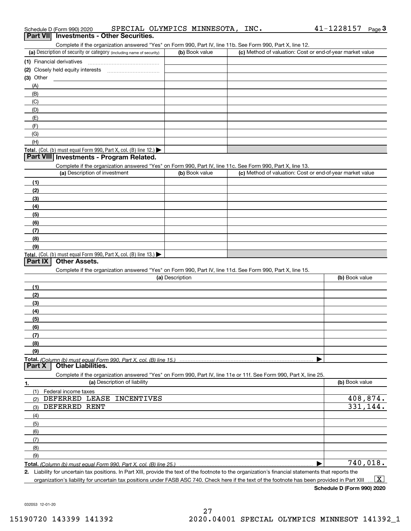| Complete if the organization answered "Yes" on Form 990, Part IV, line 11b. See Form 990, Part X, line 12.                                                                                                                |                 |                                                           |                |
|---------------------------------------------------------------------------------------------------------------------------------------------------------------------------------------------------------------------------|-----------------|-----------------------------------------------------------|----------------|
| (a) Description of security or category (including name of security)                                                                                                                                                      | (b) Book value  | (c) Method of valuation: Cost or end-of-year market value |                |
| (1) Financial derivatives                                                                                                                                                                                                 |                 |                                                           |                |
|                                                                                                                                                                                                                           |                 |                                                           |                |
| (3) Other                                                                                                                                                                                                                 |                 |                                                           |                |
| (A)                                                                                                                                                                                                                       |                 |                                                           |                |
| (B)                                                                                                                                                                                                                       |                 |                                                           |                |
| (C)                                                                                                                                                                                                                       |                 |                                                           |                |
| (D)                                                                                                                                                                                                                       |                 |                                                           |                |
| (E)                                                                                                                                                                                                                       |                 |                                                           |                |
| (F)                                                                                                                                                                                                                       |                 |                                                           |                |
| (G)                                                                                                                                                                                                                       |                 |                                                           |                |
| (H)                                                                                                                                                                                                                       |                 |                                                           |                |
| Total. (Col. (b) must equal Form 990, Part X, col. (B) line 12.)                                                                                                                                                          |                 |                                                           |                |
| Part VIII Investments - Program Related.                                                                                                                                                                                  |                 |                                                           |                |
| Complete if the organization answered "Yes" on Form 990, Part IV, line 11c. See Form 990, Part X, line 13.                                                                                                                |                 |                                                           |                |
| (a) Description of investment                                                                                                                                                                                             | (b) Book value  | (c) Method of valuation: Cost or end-of-year market value |                |
| (1)                                                                                                                                                                                                                       |                 |                                                           |                |
| (2)                                                                                                                                                                                                                       |                 |                                                           |                |
| (3)                                                                                                                                                                                                                       |                 |                                                           |                |
| (4)                                                                                                                                                                                                                       |                 |                                                           |                |
| (5)                                                                                                                                                                                                                       |                 |                                                           |                |
|                                                                                                                                                                                                                           |                 |                                                           |                |
| (6)                                                                                                                                                                                                                       |                 |                                                           |                |
| (7)                                                                                                                                                                                                                       |                 |                                                           |                |
| (8)                                                                                                                                                                                                                       |                 |                                                           |                |
| (9)                                                                                                                                                                                                                       |                 |                                                           |                |
| Total. (Col. (b) must equal Form 990, Part X, col. (B) line 13.)<br><b>Other Assets.</b><br>Part IX                                                                                                                       |                 |                                                           |                |
|                                                                                                                                                                                                                           |                 |                                                           |                |
| Complete if the organization answered "Yes" on Form 990, Part IV, line 11d. See Form 990, Part X, line 15.                                                                                                                |                 |                                                           |                |
|                                                                                                                                                                                                                           | (a) Description |                                                           | (b) Book value |
| (1)                                                                                                                                                                                                                       |                 |                                                           |                |
| (2)                                                                                                                                                                                                                       |                 |                                                           |                |
| (3)                                                                                                                                                                                                                       |                 |                                                           |                |
| (4)                                                                                                                                                                                                                       |                 |                                                           |                |
| (5)                                                                                                                                                                                                                       |                 |                                                           |                |
| (6)                                                                                                                                                                                                                       |                 |                                                           |                |
| (7)                                                                                                                                                                                                                       |                 |                                                           |                |
| (8)                                                                                                                                                                                                                       |                 |                                                           |                |
| (9)                                                                                                                                                                                                                       |                 |                                                           |                |
|                                                                                                                                                                                                                           |                 |                                                           |                |
| <b>Other Liabilities.</b><br>Part X                                                                                                                                                                                       |                 |                                                           |                |
| Complete if the organization answered "Yes" on Form 990, Part IV, line 11e or 11f. See Form 990, Part X, line 25.                                                                                                         |                 |                                                           |                |
| (a) Description of liability<br>1.                                                                                                                                                                                        |                 |                                                           | (b) Book value |
| (1) Federal income taxes                                                                                                                                                                                                  |                 |                                                           |                |
| DEFERRED LEASE INCENTIVES<br>(2)                                                                                                                                                                                          |                 |                                                           | 408,874.       |
| DEFERRED RENT<br>(3)                                                                                                                                                                                                      |                 |                                                           | 331,144.       |
| (4)                                                                                                                                                                                                                       |                 |                                                           |                |
| (5)                                                                                                                                                                                                                       |                 |                                                           |                |
| (6)                                                                                                                                                                                                                       |                 |                                                           |                |
| (7)                                                                                                                                                                                                                       |                 |                                                           |                |
| (8)                                                                                                                                                                                                                       |                 |                                                           |                |
| (9)                                                                                                                                                                                                                       |                 |                                                           |                |
|                                                                                                                                                                                                                           |                 |                                                           | 740,018.       |
| Total. (Column (b) must equal Form 990. Part X, col. (B) line 25.)<br>2 Lighility for uncertain tax positions. In Part XIII, provide the text of the footpote to the organization's financial statements that reports the |                 |                                                           |                |

Liability for uncertain tax positions. In Part XIII, provide the text of the footnote to the organization's financial statements that reports the

**Schedule D (Form 990) 2020**

032053 12-01-20

Complete if the organization answered "Yes" on Form 990, Part IV, line 11b. See Form 990, Part X, line 12.

| OUTIQUE IT CHING OF QUITE CONTROLLED TO SHILL ON THE COUNTRIES. OCC. I OITH JUD, I GIT A, THIN TE.           |                |                                                           |
|--------------------------------------------------------------------------------------------------------------|----------------|-----------------------------------------------------------|
| (a) Description of security or category (including name of security)                                         | (b) Book value | (c) Method of valuation: Cost or end-of-year market value |
| (1) Financial derivatives                                                                                    |                |                                                           |
| (2) Closely held equity interests                                                                            |                |                                                           |
| $(3)$ Other                                                                                                  |                |                                                           |
| (A)                                                                                                          |                |                                                           |
| (B)                                                                                                          |                |                                                           |
| (C)                                                                                                          |                |                                                           |
| (D)                                                                                                          |                |                                                           |
| (E)                                                                                                          |                |                                                           |
| (F)                                                                                                          |                |                                                           |
| (G)                                                                                                          |                |                                                           |
| (H)                                                                                                          |                |                                                           |
| $\tau$ . L. L. (O. L. (L.), assessing a set $\Gamma$ cases 000, $\Gamma$ and $V$ and $\Gamma$ (D) than 40 ). |                |                                                           |

| (a) Description of investment                                          | <b>(D)</b> DOOK Value | <b>C)</b> Metrica of Valuation. Cost of end-or-year market value |
|------------------------------------------------------------------------|-----------------------|------------------------------------------------------------------|
| (1)                                                                    |                       |                                                                  |
| (2)                                                                    |                       |                                                                  |
| $\frac{1}{2}$                                                          |                       |                                                                  |
| (4)                                                                    |                       |                                                                  |
| $\frac{1}{1}$                                                          |                       |                                                                  |
| (6)                                                                    |                       |                                                                  |
| (7)                                                                    |                       |                                                                  |
| (8)                                                                    |                       |                                                                  |
| (9)                                                                    |                       |                                                                  |
| <b>Total</b> $(Ch)$ (b) must equal Form 990, Part X, col. (B) line 13) |                       |                                                                  |

**2.**

organization's liability for uncertain tax positions under FASB ASC 740. Check here if the text of the footnote has been provided in Part XIII.  $\boxed{\text{X}}$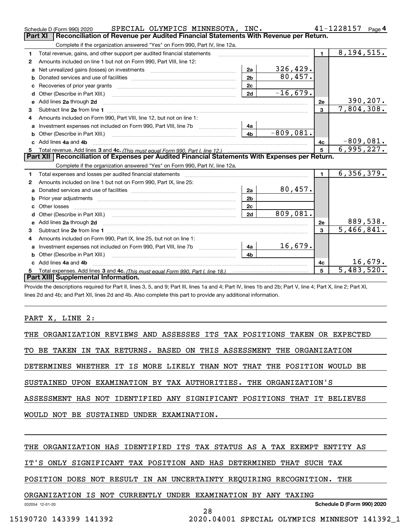|   | SPECIAL OLYMPICS MINNESOTA, INC.<br>Schedule D (Form 990) 2020                                                                                                                                                                      |                |                 |                | 41-1228157<br>Page $4$ |  |
|---|-------------------------------------------------------------------------------------------------------------------------------------------------------------------------------------------------------------------------------------|----------------|-----------------|----------------|------------------------|--|
|   | Reconciliation of Revenue per Audited Financial Statements With Revenue per Return.<br><b>Part XI</b>                                                                                                                               |                |                 |                |                        |  |
|   | Complete if the organization answered "Yes" on Form 990, Part IV, line 12a.                                                                                                                                                         |                |                 |                |                        |  |
| 1 | Total revenue, gains, and other support per audited financial statements                                                                                                                                                            |                |                 | $\blacksquare$ | 8, 194, 515.           |  |
| 2 | Amounts included on line 1 but not on Form 990, Part VIII, line 12:                                                                                                                                                                 |                |                 |                |                        |  |
| a | Net unrealized gains (losses) on investments [11] matter contracts and the unrealized gains (losses) on investments                                                                                                                 | 2a             | 326, 429.       |                |                        |  |
| b |                                                                                                                                                                                                                                     | 2 <sub>b</sub> | 80,457.         |                |                        |  |
|   |                                                                                                                                                                                                                                     | 2c             |                 |                |                        |  |
| d |                                                                                                                                                                                                                                     | 2d             | $-16,679.$      |                |                        |  |
| е | Add lines 2a through 2d                                                                                                                                                                                                             |                |                 | <b>2e</b>      | 390, 207.              |  |
| 3 |                                                                                                                                                                                                                                     |                |                 | $\mathbf{3}$   | 7,804,308.             |  |
| 4 | Amounts included on Form 990, Part VIII, line 12, but not on line 1:                                                                                                                                                                |                |                 |                |                        |  |
| a |                                                                                                                                                                                                                                     | 4a             |                 |                |                        |  |
|   |                                                                                                                                                                                                                                     | 4 <sub>h</sub> | $-809,081.$     |                |                        |  |
|   | c Add lines 4a and 4b                                                                                                                                                                                                               |                |                 | 4с             | $-809,081.$            |  |
| 5 |                                                                                                                                                                                                                                     |                | $5\phantom{.0}$ | 6,995,227.     |                        |  |
|   | Part XII   Reconciliation of Expenses per Audited Financial Statements With Expenses per Return.                                                                                                                                    |                |                 |                |                        |  |
|   | Complete if the organization answered "Yes" on Form 990, Part IV, line 12a.                                                                                                                                                         |                |                 |                |                        |  |
| 1 | Total expenses and losses per audited financial statements                                                                                                                                                                          |                |                 | $\mathbf{1}$   | 6, 356, 379.           |  |
| 2 | Amounts included on line 1 but not on Form 990, Part IX, line 25:                                                                                                                                                                   |                |                 |                |                        |  |
| a |                                                                                                                                                                                                                                     | 2a             | 80,457.         |                |                        |  |
| b | Prior year adjustments material contracts and all prior year adjustments and continuum contracts and the contracts of                                                                                                               | 2 <sub>b</sub> |                 |                |                        |  |
|   | Other losses                                                                                                                                                                                                                        | 2 <sub>c</sub> |                 |                |                        |  |
| d |                                                                                                                                                                                                                                     | 2d             | 809,081.        |                |                        |  |
|   | e Add lines 2a through 2d <b>contract and all anomination</b> and all and all anomalism and all anomalism and all anomalism and all anomalism and all anomalism and all anomalism and all anomalism and all anomalism and all anoma |                |                 | 2e             | <u>889,538.</u>        |  |
| 3 |                                                                                                                                                                                                                                     |                |                 | $\mathbf{3}$   | 5,466,841.             |  |
| 4 | Amounts included on Form 990, Part IX, line 25, but not on line 1:                                                                                                                                                                  |                |                 |                |                        |  |
| a |                                                                                                                                                                                                                                     | 4a             | 16,679.         |                |                        |  |
| b | Other (Describe in Part XIII.)                                                                                                                                                                                                      | 4 <sub>b</sub> |                 |                |                        |  |
|   | c Add lines 4a and 4b                                                                                                                                                                                                               |                |                 | 4c             | 16,679.                |  |
| 5 |                                                                                                                                                                                                                                     |                |                 | 5              | 5,483,520.             |  |
|   | Part XIII Supplemental Information.                                                                                                                                                                                                 |                |                 |                |                        |  |
|   |                                                                                                                                                                                                                                     |                |                 |                |                        |  |

Provide the descriptions required for Part II, lines 3, 5, and 9; Part III, lines 1a and 4; Part IV, lines 1b and 2b; Part V, line 4; Part X, line 2; Part XI, lines 2d and 4b; and Part XII, lines 2d and 4b. Also complete this part to provide any additional information.

### PART X, LINE 2:

|                                           |  |  |  |  |  |  |  |  |  |  |                                                                   | THE ORGANIZATION REVIEWS AND ASSESSES ITS TAX POSITIONS TAKEN OR EXPECTED |  |
|-------------------------------------------|--|--|--|--|--|--|--|--|--|--|-------------------------------------------------------------------|---------------------------------------------------------------------------|--|
|                                           |  |  |  |  |  |  |  |  |  |  |                                                                   | TO BE TAKEN IN TAX RETURNS. BASED ON THIS ASSESSMENT THE ORGANIZATION     |  |
|                                           |  |  |  |  |  |  |  |  |  |  |                                                                   | DETERMINES WHETHER IT IS MORE LIKELY THAN NOT THAT THE POSITION WOULD BE  |  |
|                                           |  |  |  |  |  |  |  |  |  |  | SUSTAINED UPON EXAMINATION BY TAX AUTHORITIES. THE ORGANIZATION'S |                                                                           |  |
|                                           |  |  |  |  |  |  |  |  |  |  |                                                                   | ASSESSMENT HAS NOT IDENTIFIED ANY SIGNIFICANT POSITIONS THAT IT BELIEVES  |  |
| WOULD NOT BE SUSTAINED UNDER EXAMINATION. |  |  |  |  |  |  |  |  |  |  |                                                                   |                                                                           |  |
|                                           |  |  |  |  |  |  |  |  |  |  |                                                                   |                                                                           |  |
|                                           |  |  |  |  |  |  |  |  |  |  |                                                                   |                                                                           |  |

THE ORGANIZATION HAS IDENTIFIED ITS TAX STATUS AS A TAX EXEMPT ENTITY AS

IT'S ONLY SIGNIFICANT TAX POSITION AND HAS DETERMINED THAT SUCH TAX

POSITION DOES NOT RESULT IN AN UNCERTAINTY REQUIRING RECOGNITION. THE

#### ORGANIZATION IS NOT CURRENTLY UNDER EXAMINATION BY ANY TAXING

032054 12-01-20

**Schedule D (Form 990) 2020**

28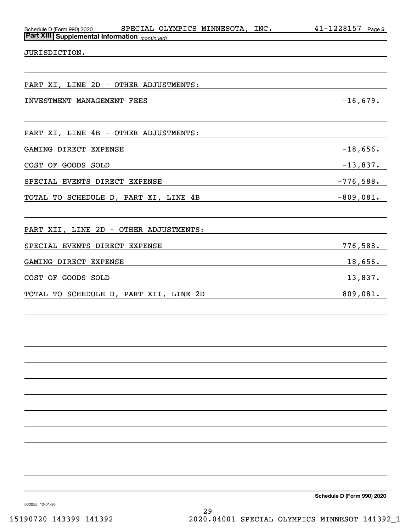| SPECIAL OLYMPICS MINNESOTA, INC.<br>Schedule D (Form 990) 2020                                                  | $41 - 1228157$ Page 5 |
|-----------------------------------------------------------------------------------------------------------------|-----------------------|
| <b>Part XIII Supplemental Information</b> (continued)                                                           |                       |
| JURISDICTION.                                                                                                   |                       |
|                                                                                                                 |                       |
| PART XI, LINE 2D - OTHER ADJUSTMENTS:                                                                           |                       |
|                                                                                                                 |                       |
| INVESTMENT MANAGEMENT FEES                                                                                      | $-16,679.$            |
|                                                                                                                 |                       |
| PART XI, LINE 4B - OTHER ADJUSTMENTS:                                                                           |                       |
| GAMING DIRECT EXPENSE                                                                                           | $-18,656.$            |
| COST OF GOODS SOLD                                                                                              | $-13,837.$            |
| SPECIAL EVENTS DIRECT EXPENSE                                                                                   | $-776,588.$           |
| TOTAL TO SCHEDULE D, PART XI, LINE 4B                                                                           | $-809,081.$           |
|                                                                                                                 |                       |
|                                                                                                                 |                       |
| PART XII, LINE 2D - OTHER ADJUSTMENTS:                                                                          |                       |
| SPECIAL EVENTS DIRECT EXPENSE                                                                                   | 776,588.              |
| GAMING DIRECT EXPENSE                                                                                           | 18,656.               |
| COST OF GOODS SOLD<br>the control of the control of the control of the control of the control of the control of | 13,837.               |
| TOTAL TO SCHEDULE D, PART XII, LINE 2D                                                                          | 809,081.              |
|                                                                                                                 |                       |
|                                                                                                                 |                       |
|                                                                                                                 |                       |
|                                                                                                                 |                       |
|                                                                                                                 |                       |
|                                                                                                                 |                       |
|                                                                                                                 |                       |
|                                                                                                                 |                       |
|                                                                                                                 |                       |
|                                                                                                                 |                       |
|                                                                                                                 |                       |
|                                                                                                                 |                       |
|                                                                                                                 |                       |
|                                                                                                                 |                       |

**Schedule D (Form 990) 2020**

032055 12-01-20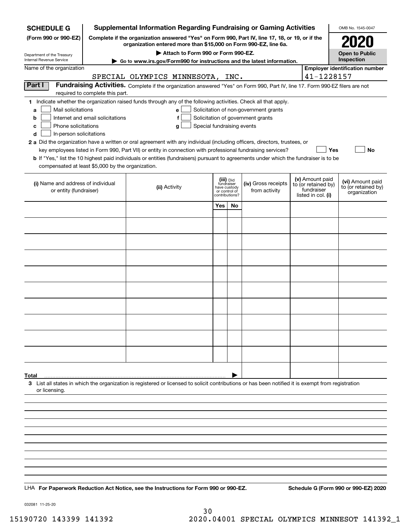| <b>SCHEDULE G</b>                                                                                                                                                                                                                                                                                                                                                                                                                                                                  | <b>Supplemental Information Regarding Fundraising or Gaming Activities</b> |                                  | OMB No. 1545-0047                         |     |                                                                            |                                                                                                                                                                                           |  |                                                                            |                                                         |
|------------------------------------------------------------------------------------------------------------------------------------------------------------------------------------------------------------------------------------------------------------------------------------------------------------------------------------------------------------------------------------------------------------------------------------------------------------------------------------|----------------------------------------------------------------------------|----------------------------------|-------------------------------------------|-----|----------------------------------------------------------------------------|-------------------------------------------------------------------------------------------------------------------------------------------------------------------------------------------|--|----------------------------------------------------------------------------|---------------------------------------------------------|
| (Form 990 or 990-EZ)                                                                                                                                                                                                                                                                                                                                                                                                                                                               |                                                                            |                                  |                                           |     |                                                                            | Complete if the organization answered "Yes" on Form 990, Part IV, line 17, 18, or 19, or if the<br>organization entered more than \$15,000 on Form 990-EZ, line 6a.                       |  |                                                                            | 2020                                                    |
|                                                                                                                                                                                                                                                                                                                                                                                                                                                                                    |                                                                            |                                  | Attach to Form 990 or Form 990-EZ.        |     |                                                                            |                                                                                                                                                                                           |  |                                                                            | <b>Open to Public</b>                                   |
| Department of the Treasury<br>Internal Revenue Service                                                                                                                                                                                                                                                                                                                                                                                                                             |                                                                            |                                  |                                           |     |                                                                            | Go to www.irs.gov/Form990 for instructions and the latest information.                                                                                                                    |  |                                                                            | Inspection                                              |
| Name of the organization                                                                                                                                                                                                                                                                                                                                                                                                                                                           |                                                                            | SPECIAL OLYMPICS MINNESOTA, INC. |                                           |     |                                                                            |                                                                                                                                                                                           |  | 41-1228157                                                                 | <b>Employer identification number</b>                   |
| Part I                                                                                                                                                                                                                                                                                                                                                                                                                                                                             |                                                                            |                                  |                                           |     |                                                                            | Fundraising Activities. Complete if the organization answered "Yes" on Form 990, Part IV, line 17. Form 990-EZ filers are not                                                             |  |                                                                            |                                                         |
|                                                                                                                                                                                                                                                                                                                                                                                                                                                                                    | required to complete this part.                                            |                                  |                                           |     |                                                                            |                                                                                                                                                                                           |  |                                                                            |                                                         |
| 1 Indicate whether the organization raised funds through any of the following activities. Check all that apply.<br>Mail solicitations<br>a<br>b<br>Phone solicitations<br>c<br>In-person solicitations<br>d<br>2 a Did the organization have a written or oral agreement with any individual (including officers, directors, trustees, or<br>b If "Yes," list the 10 highest paid individuals or entities (fundraisers) pursuant to agreements under which the fundraiser is to be | Internet and email solicitations                                           |                                  | e<br>f<br>Special fundraising events<br>g |     |                                                                            | Solicitation of non-government grants<br>Solicitation of government grants<br>key employees listed in Form 990, Part VII) or entity in connection with professional fundraising services? |  | Yes                                                                        | No                                                      |
| compensated at least \$5,000 by the organization.                                                                                                                                                                                                                                                                                                                                                                                                                                  |                                                                            |                                  |                                           |     |                                                                            |                                                                                                                                                                                           |  |                                                                            |                                                         |
| (i) Name and address of individual<br>or entity (fundraiser)                                                                                                                                                                                                                                                                                                                                                                                                                       |                                                                            | (ii) Activity                    |                                           |     | (iii) Did<br>fundraiser<br>have custody<br>or control of<br>contributions? | (iv) Gross receipts<br>from activity                                                                                                                                                      |  | (v) Amount paid<br>to (or retained by)<br>fundraiser<br>listed in col. (i) | (vi) Amount paid<br>to (or retained by)<br>organization |
|                                                                                                                                                                                                                                                                                                                                                                                                                                                                                    |                                                                            |                                  |                                           | Yes | No                                                                         |                                                                                                                                                                                           |  |                                                                            |                                                         |
|                                                                                                                                                                                                                                                                                                                                                                                                                                                                                    |                                                                            |                                  |                                           |     |                                                                            |                                                                                                                                                                                           |  |                                                                            |                                                         |
|                                                                                                                                                                                                                                                                                                                                                                                                                                                                                    |                                                                            |                                  |                                           |     |                                                                            |                                                                                                                                                                                           |  |                                                                            |                                                         |
|                                                                                                                                                                                                                                                                                                                                                                                                                                                                                    |                                                                            |                                  |                                           |     |                                                                            |                                                                                                                                                                                           |  |                                                                            |                                                         |
|                                                                                                                                                                                                                                                                                                                                                                                                                                                                                    |                                                                            |                                  |                                           |     |                                                                            |                                                                                                                                                                                           |  |                                                                            |                                                         |
|                                                                                                                                                                                                                                                                                                                                                                                                                                                                                    |                                                                            |                                  |                                           |     |                                                                            |                                                                                                                                                                                           |  |                                                                            |                                                         |
|                                                                                                                                                                                                                                                                                                                                                                                                                                                                                    |                                                                            |                                  |                                           |     |                                                                            |                                                                                                                                                                                           |  |                                                                            |                                                         |
|                                                                                                                                                                                                                                                                                                                                                                                                                                                                                    |                                                                            |                                  |                                           |     |                                                                            |                                                                                                                                                                                           |  |                                                                            |                                                         |
|                                                                                                                                                                                                                                                                                                                                                                                                                                                                                    |                                                                            |                                  |                                           |     |                                                                            |                                                                                                                                                                                           |  |                                                                            |                                                         |
|                                                                                                                                                                                                                                                                                                                                                                                                                                                                                    |                                                                            |                                  |                                           |     |                                                                            |                                                                                                                                                                                           |  |                                                                            |                                                         |
|                                                                                                                                                                                                                                                                                                                                                                                                                                                                                    |                                                                            |                                  |                                           |     |                                                                            |                                                                                                                                                                                           |  |                                                                            |                                                         |
|                                                                                                                                                                                                                                                                                                                                                                                                                                                                                    |                                                                            |                                  |                                           |     |                                                                            |                                                                                                                                                                                           |  |                                                                            |                                                         |
|                                                                                                                                                                                                                                                                                                                                                                                                                                                                                    |                                                                            |                                  |                                           |     |                                                                            |                                                                                                                                                                                           |  |                                                                            |                                                         |
|                                                                                                                                                                                                                                                                                                                                                                                                                                                                                    |                                                                            |                                  |                                           |     |                                                                            |                                                                                                                                                                                           |  |                                                                            |                                                         |
| Total                                                                                                                                                                                                                                                                                                                                                                                                                                                                              |                                                                            |                                  |                                           |     |                                                                            |                                                                                                                                                                                           |  |                                                                            |                                                         |
| 3 List all states in which the organization is registered or licensed to solicit contributions or has been notified it is exempt from registration<br>or licensing.                                                                                                                                                                                                                                                                                                                |                                                                            |                                  |                                           |     |                                                                            |                                                                                                                                                                                           |  |                                                                            |                                                         |
|                                                                                                                                                                                                                                                                                                                                                                                                                                                                                    |                                                                            |                                  |                                           |     |                                                                            |                                                                                                                                                                                           |  |                                                                            |                                                         |
|                                                                                                                                                                                                                                                                                                                                                                                                                                                                                    |                                                                            |                                  |                                           |     |                                                                            |                                                                                                                                                                                           |  |                                                                            |                                                         |
|                                                                                                                                                                                                                                                                                                                                                                                                                                                                                    |                                                                            |                                  |                                           |     |                                                                            |                                                                                                                                                                                           |  |                                                                            |                                                         |
|                                                                                                                                                                                                                                                                                                                                                                                                                                                                                    |                                                                            |                                  |                                           |     |                                                                            |                                                                                                                                                                                           |  |                                                                            |                                                         |
|                                                                                                                                                                                                                                                                                                                                                                                                                                                                                    |                                                                            |                                  |                                           |     |                                                                            |                                                                                                                                                                                           |  |                                                                            |                                                         |
|                                                                                                                                                                                                                                                                                                                                                                                                                                                                                    |                                                                            |                                  |                                           |     |                                                                            |                                                                                                                                                                                           |  |                                                                            |                                                         |
|                                                                                                                                                                                                                                                                                                                                                                                                                                                                                    |                                                                            |                                  |                                           |     |                                                                            |                                                                                                                                                                                           |  |                                                                            |                                                         |
|                                                                                                                                                                                                                                                                                                                                                                                                                                                                                    |                                                                            |                                  |                                           |     |                                                                            |                                                                                                                                                                                           |  |                                                                            |                                                         |
| LHA For Paperwork Reduction Act Notice, see the Instructions for Form 990 or 990-EZ.                                                                                                                                                                                                                                                                                                                                                                                               |                                                                            |                                  |                                           |     |                                                                            |                                                                                                                                                                                           |  |                                                                            | Schedule G (Form 990 or 990-EZ) 2020                    |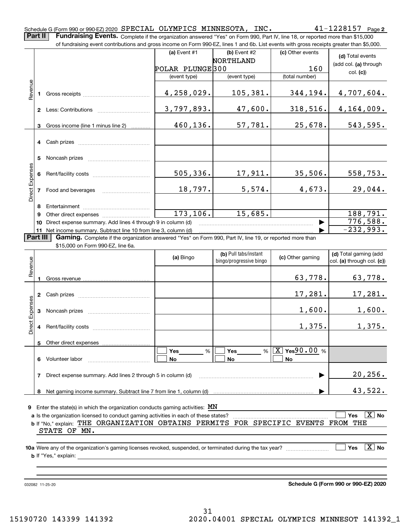of fundraising event contributions and gross income on Form 990-EZ, lines 1 and 6b. List events with gross receipts greater than \$5,000.

|                        |          |                                                                                                          | (a) Event $#1$   | $(b)$ Event #2          | (c) Other events | (d) Total events                     |
|------------------------|----------|----------------------------------------------------------------------------------------------------------|------------------|-------------------------|------------------|--------------------------------------|
|                        |          |                                                                                                          |                  | <b>NORTHLAND</b>        |                  | (add col. (a) through                |
|                        |          |                                                                                                          | POLAR PLUNGE 300 |                         | 160              | col. (c)                             |
|                        |          |                                                                                                          | (event type)     | (event type)            | (total number)   |                                      |
|                        |          |                                                                                                          |                  |                         |                  |                                      |
| Revenue                | 1.       |                                                                                                          | 4,258,029.       | 105,381.                | 344, 194.        | 4,707,604.                           |
|                        |          |                                                                                                          |                  |                         |                  |                                      |
|                        |          |                                                                                                          | 3,797,893.       | 47,600.                 | 318, 516.        | <u>4,164,009.</u>                    |
|                        |          |                                                                                                          |                  |                         |                  |                                      |
|                        |          |                                                                                                          | 460,136.         | 57,781.                 | 25,678.          | 543,595.                             |
|                        |          | 3 Gross income (line 1 minus line 2)                                                                     |                  |                         |                  |                                      |
|                        |          |                                                                                                          |                  |                         |                  |                                      |
|                        |          |                                                                                                          |                  |                         |                  |                                      |
|                        |          |                                                                                                          |                  |                         |                  |                                      |
| Direct Expenses        | 5        |                                                                                                          |                  |                         |                  |                                      |
|                        |          |                                                                                                          |                  |                         |                  |                                      |
|                        | 6        |                                                                                                          | 505, 336.        | 17,911.                 | 35,506.          | 558,753.                             |
|                        |          |                                                                                                          |                  |                         |                  |                                      |
|                        | 7        | Food and beverages                                                                                       | 18,797.          | 5, 574.                 | 4,673.           | 29,044.                              |
|                        |          |                                                                                                          |                  |                         |                  |                                      |
|                        | 8.       |                                                                                                          |                  |                         |                  |                                      |
|                        | 9        |                                                                                                          | 173, 106.        | 15,685.                 |                  | 188,791.                             |
|                        | 10       | Direct expense summary. Add lines 4 through 9 in column (d)                                              |                  |                         |                  | 776,588.                             |
|                        |          | 11 Net income summary. Subtract line 10 from line 3, column (d)                                          |                  |                         |                  | $-232,993.$                          |
|                        | Part III | Gaming. Complete if the organization answered "Yes" on Form 990, Part IV, line 19, or reported more than |                  |                         |                  |                                      |
|                        |          | \$15,000 on Form 990-EZ, line 6a.                                                                        |                  |                         |                  |                                      |
|                        |          |                                                                                                          | (a) Bingo        | (b) Pull tabs/instant   | (c) Other gaming | (d) Total gaming (add                |
|                        |          |                                                                                                          |                  | bingo/progressive bingo |                  | $ col. (a)$ through col. $(c)$       |
| Revenue                |          |                                                                                                          |                  |                         |                  |                                      |
|                        |          |                                                                                                          |                  |                         | 63,778.          | 63,778.                              |
|                        |          |                                                                                                          |                  |                         |                  |                                      |
|                        |          |                                                                                                          |                  |                         | 17,281.          | 17,281.                              |
|                        |          |                                                                                                          |                  |                         |                  |                                      |
|                        | 3        |                                                                                                          |                  |                         | 1,600.           | 1,600.                               |
| <b>Direct Expenses</b> |          |                                                                                                          |                  |                         |                  |                                      |
|                        | 4        |                                                                                                          |                  |                         | 1,375.           | 1,375.                               |
|                        |          |                                                                                                          |                  |                         |                  |                                      |
|                        |          |                                                                                                          |                  |                         |                  |                                      |
|                        |          |                                                                                                          | Yes<br>%         | Yes                     | % $X$ Yes90.00 % |                                      |
|                        | 6        | Volunteer labor                                                                                          | No               | No                      | No               |                                      |
|                        |          |                                                                                                          |                  |                         |                  |                                      |
|                        | 7        | Direct expense summary. Add lines 2 through 5 in column (d)                                              |                  |                         |                  | <u>20,256.</u>                       |
|                        |          |                                                                                                          |                  |                         |                  |                                      |
|                        | 8        |                                                                                                          |                  |                         |                  | 43,522.                              |
|                        |          |                                                                                                          |                  |                         |                  |                                      |
| 9                      |          | Enter the state(s) in which the organization conducts gaming activities: $\overline{MN}$                 |                  |                         |                  |                                      |
|                        |          | a Is the organization licensed to conduct gaming activities in each of these states?                     |                  |                         |                  | $\boxed{\text{X}}$ No<br>Yes         |
|                        |          | b If "No," explain: THE ORGANIZATION OBTAINS PERMITS FOR SPECIFIC EVENTS FROM THE                        |                  |                         |                  |                                      |
|                        |          | STATE OF MN.                                                                                             |                  |                         |                  |                                      |
|                        |          |                                                                                                          |                  |                         |                  |                                      |
|                        |          |                                                                                                          |                  |                         |                  | $\boxed{\text{X}}$ No<br>Yes         |
|                        |          | <b>b</b> If "Yes," explain:                                                                              |                  |                         |                  |                                      |
|                        |          |                                                                                                          |                  |                         |                  |                                      |
|                        |          |                                                                                                          |                  |                         |                  |                                      |
|                        |          |                                                                                                          |                  |                         |                  |                                      |
|                        |          | 032082 11-25-20                                                                                          |                  |                         |                  | Schedule G (Form 990 or 990-EZ) 2020 |

**Schedule G (Form 990 or 990-EZ) 2020**

**2**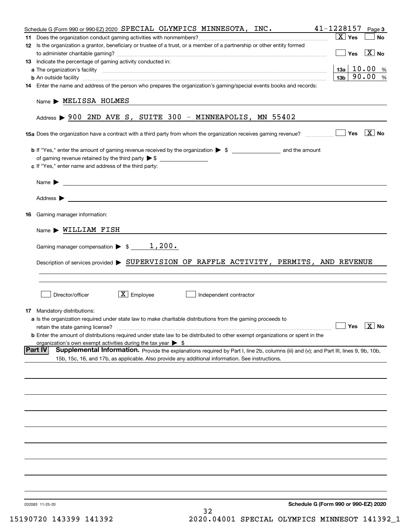| 41-1228157<br>Schedule G (Form 990 or 990-EZ) 2020 SPECIAL OLYMPICS MINNESOTA, INC.                                                                                                                                                                          |                 |                               | Page 3                |    |
|--------------------------------------------------------------------------------------------------------------------------------------------------------------------------------------------------------------------------------------------------------------|-----------------|-------------------------------|-----------------------|----|
|                                                                                                                                                                                                                                                              |                 | $\boxed{\text{X}}$ Yes        |                       | No |
| 12 Is the organization a grantor, beneficiary or trustee of a trust, or a member of a partnership or other entity formed                                                                                                                                     |                 |                               |                       |    |
|                                                                                                                                                                                                                                                              |                 | Yes                           | $\boxed{\text{X}}$ No |    |
| 13 Indicate the percentage of gaming activity conducted in:                                                                                                                                                                                                  |                 |                               |                       |    |
|                                                                                                                                                                                                                                                              |                 | $13a \mid 10.00 %$            |                       |    |
| <b>b</b> An outside facility <i>www.communically.communically.communically.communically.communically.communically.communically.communically.communically.communically.communically.communically.communically.communically.communicall</i>                    | 13 <sub>b</sub> |                               | 90.00%                |    |
| 14 Enter the name and address of the person who prepares the organization's gaming/special events books and records:                                                                                                                                         |                 |                               |                       |    |
| Name > MELISSA HOLMES                                                                                                                                                                                                                                        |                 |                               |                       |    |
| Address $\triangleright$ 900 2ND AVE S, SUITE 300 - MINNEAPOLIS, MN 55402                                                                                                                                                                                    |                 |                               |                       |    |
|                                                                                                                                                                                                                                                              |                 |                               |                       |    |
|                                                                                                                                                                                                                                                              |                 |                               |                       |    |
|                                                                                                                                                                                                                                                              |                 |                               |                       |    |
| c If "Yes," enter name and address of the third party:                                                                                                                                                                                                       |                 |                               |                       |    |
| <u> 1989 - Johann Barbara, martin amerikan basal dan berasal dan berasal dalam basal dan berasal dan berasal dan</u><br>Name $\blacktriangleright$                                                                                                           |                 |                               |                       |    |
|                                                                                                                                                                                                                                                              |                 |                               |                       |    |
| <b>16</b> Gaming manager information:                                                                                                                                                                                                                        |                 |                               |                       |    |
|                                                                                                                                                                                                                                                              |                 |                               |                       |    |
| $Name$ WILLIAM FISH                                                                                                                                                                                                                                          |                 |                               |                       |    |
|                                                                                                                                                                                                                                                              |                 |                               |                       |    |
| Description of services provided ▶ SUPERVISION OF RAFFLE ACTIVITY, PERMITS, AND REVENUE                                                                                                                                                                      |                 |                               |                       |    |
|                                                                                                                                                                                                                                                              |                 |                               |                       |    |
|                                                                                                                                                                                                                                                              |                 |                               |                       |    |
| $X$ Employee<br>Director/officer<br>Independent contractor                                                                                                                                                                                                   |                 |                               |                       |    |
| <b>17</b> Mandatory distributions:                                                                                                                                                                                                                           |                 |                               |                       |    |
| <b>a</b> Is the organization required under state law to make charitable distributions from the gaming proceeds to                                                                                                                                           |                 |                               |                       |    |
| retain the state gaming license?                                                                                                                                                                                                                             |                 | $\sqrt{Y}$ Yes $\boxed{X}$ No |                       |    |
| <b>b</b> Enter the amount of distributions required under state law to be distributed to other exempt organizations or spent in the                                                                                                                          |                 |                               |                       |    |
| organization's own exempt activities during the tax year $\triangleright$ \$                                                                                                                                                                                 |                 |                               |                       |    |
| <b>Part IV</b><br>Supplemental Information. Provide the explanations required by Part I, line 2b, columns (iii) and (v); and Part III, lines 9, 9b, 10b,<br>15b, 15c, 16, and 17b, as applicable. Also provide any additional information. See instructions. |                 |                               |                       |    |
|                                                                                                                                                                                                                                                              |                 |                               |                       |    |
|                                                                                                                                                                                                                                                              |                 |                               |                       |    |
|                                                                                                                                                                                                                                                              |                 |                               |                       |    |
|                                                                                                                                                                                                                                                              |                 |                               |                       |    |
|                                                                                                                                                                                                                                                              |                 |                               |                       |    |
|                                                                                                                                                                                                                                                              |                 |                               |                       |    |
|                                                                                                                                                                                                                                                              |                 |                               |                       |    |
|                                                                                                                                                                                                                                                              |                 |                               |                       |    |
|                                                                                                                                                                                                                                                              |                 |                               |                       |    |
|                                                                                                                                                                                                                                                              |                 |                               |                       |    |
| Schedule G (Form 990 or 990-EZ) 2020<br>032083 11-25-20<br>32                                                                                                                                                                                                |                 |                               |                       |    |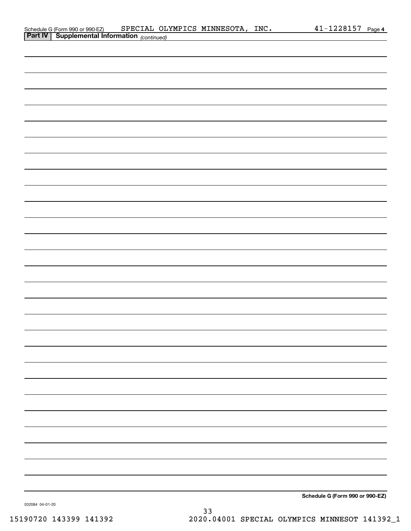| Schedule G (Form 990 or 990-EZ)                       |  | SPECIAL OLYMPICS MINNESOTA, | INC. | 41-1228157 | Page 4 |
|-------------------------------------------------------|--|-----------------------------|------|------------|--------|
| <b>Part IV   Supplemental Information</b> (continued) |  |                             |      |            |        |

| <b>Part IV</b> Supplemental Information (continued) |  |                                 |  |
|-----------------------------------------------------|--|---------------------------------|--|
|                                                     |  |                                 |  |
|                                                     |  |                                 |  |
|                                                     |  |                                 |  |
|                                                     |  |                                 |  |
|                                                     |  |                                 |  |
|                                                     |  |                                 |  |
|                                                     |  |                                 |  |
|                                                     |  |                                 |  |
|                                                     |  |                                 |  |
|                                                     |  |                                 |  |
|                                                     |  |                                 |  |
|                                                     |  |                                 |  |
|                                                     |  |                                 |  |
|                                                     |  |                                 |  |
|                                                     |  |                                 |  |
|                                                     |  |                                 |  |
|                                                     |  |                                 |  |
|                                                     |  |                                 |  |
|                                                     |  |                                 |  |
|                                                     |  |                                 |  |
|                                                     |  |                                 |  |
|                                                     |  |                                 |  |
|                                                     |  |                                 |  |
|                                                     |  |                                 |  |
|                                                     |  |                                 |  |
|                                                     |  |                                 |  |
|                                                     |  |                                 |  |
|                                                     |  |                                 |  |
|                                                     |  |                                 |  |
|                                                     |  |                                 |  |
|                                                     |  |                                 |  |
|                                                     |  |                                 |  |
|                                                     |  |                                 |  |
|                                                     |  | Schedule G (Form 990 or 990-EZ) |  |

032084 04-01-20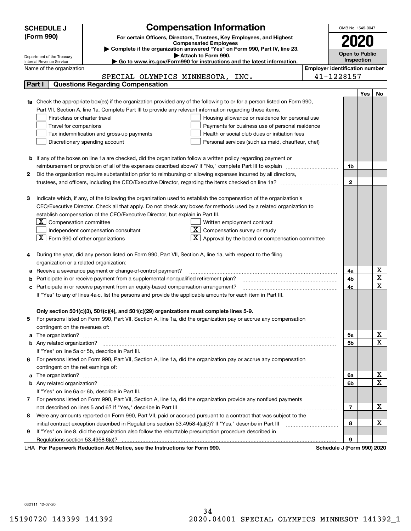|    | <b>SCHEDULE J</b>                                                                                                      | <b>Compensation Information</b>                                                                                                  |                                       | OMB No. 1545-0047     |     |                         |  |
|----|------------------------------------------------------------------------------------------------------------------------|----------------------------------------------------------------------------------------------------------------------------------|---------------------------------------|-----------------------|-----|-------------------------|--|
|    | (Form 990)                                                                                                             | For certain Officers, Directors, Trustees, Key Employees, and Highest                                                            |                                       |                       |     |                         |  |
|    |                                                                                                                        | <b>Compensated Employees</b>                                                                                                     |                                       |                       |     |                         |  |
|    |                                                                                                                        | Complete if the organization answered "Yes" on Form 990, Part IV, line 23.<br>Attach to Form 990.                                |                                       | <b>Open to Public</b> |     |                         |  |
|    | Department of the Treasury<br>Internal Revenue Service                                                                 | Go to www.irs.gov/Form990 for instructions and the latest information.                                                           |                                       | Inspection            |     |                         |  |
|    | Name of the organization                                                                                               |                                                                                                                                  | <b>Employer identification number</b> |                       |     |                         |  |
|    |                                                                                                                        | SPECIAL OLYMPICS MINNESOTA, INC.                                                                                                 |                                       | 41-1228157            |     |                         |  |
|    | Part I                                                                                                                 | <b>Questions Regarding Compensation</b>                                                                                          |                                       |                       |     |                         |  |
|    |                                                                                                                        |                                                                                                                                  |                                       |                       | Yes | No                      |  |
|    |                                                                                                                        | <b>1a</b> Check the appropriate box(es) if the organization provided any of the following to or for a person listed on Form 990, |                                       |                       |     |                         |  |
|    |                                                                                                                        | Part VII, Section A, line 1a. Complete Part III to provide any relevant information regarding these items.                       |                                       |                       |     |                         |  |
|    | First-class or charter travel                                                                                          | Housing allowance or residence for personal use                                                                                  |                                       |                       |     |                         |  |
|    | Travel for companions                                                                                                  | Payments for business use of personal residence                                                                                  |                                       |                       |     |                         |  |
|    |                                                                                                                        | Tax indemnification and gross-up payments<br>Health or social club dues or initiation fees                                       |                                       |                       |     |                         |  |
|    |                                                                                                                        | Discretionary spending account<br>Personal services (such as maid, chauffeur, chef)                                              |                                       |                       |     |                         |  |
|    |                                                                                                                        |                                                                                                                                  |                                       |                       |     |                         |  |
|    | <b>b</b> If any of the boxes on line 1a are checked, did the organization follow a written policy regarding payment or |                                                                                                                                  |                                       |                       |     |                         |  |
|    |                                                                                                                        | reimbursement or provision of all of the expenses described above? If "No," complete Part III to explain                         |                                       | 1b                    |     |                         |  |
| 2  | Did the organization require substantiation prior to reimbursing or allowing expenses incurred by all directors,       |                                                                                                                                  |                                       |                       |     |                         |  |
|    |                                                                                                                        |                                                                                                                                  |                                       | $\mathbf{2}$          |     |                         |  |
|    |                                                                                                                        |                                                                                                                                  |                                       |                       |     |                         |  |
| з  |                                                                                                                        | Indicate which, if any, of the following the organization used to establish the compensation of the organization's               |                                       |                       |     |                         |  |
|    |                                                                                                                        | CEO/Executive Director. Check all that apply. Do not check any boxes for methods used by a related organization to               |                                       |                       |     |                         |  |
|    |                                                                                                                        | establish compensation of the CEO/Executive Director, but explain in Part III.                                                   |                                       |                       |     |                         |  |
|    | $X$ Compensation committee                                                                                             | Written employment contract                                                                                                      |                                       |                       |     |                         |  |
|    |                                                                                                                        | Compensation survey or study<br>Independent compensation consultant                                                              |                                       |                       |     |                         |  |
|    | $ \mathbf{X} $ Form 990 of other organizations                                                                         | Approval by the board or compensation committee                                                                                  |                                       |                       |     |                         |  |
|    |                                                                                                                        |                                                                                                                                  |                                       |                       |     |                         |  |
|    | organization or a related organization:                                                                                | During the year, did any person listed on Form 990, Part VII, Section A, line 1a, with respect to the filing                     |                                       |                       |     |                         |  |
| а  |                                                                                                                        | Receive a severance payment or change-of-control payment?                                                                        |                                       | 4a                    |     | x                       |  |
|    |                                                                                                                        | Participate in or receive payment from a supplemental nonqualified retirement plan?                                              |                                       | 4b                    |     | $\overline{\textbf{X}}$ |  |
|    |                                                                                                                        | c Participate in or receive payment from an equity-based compensation arrangement?                                               |                                       | 4c                    |     | $\overline{\mathbf{x}}$ |  |
|    |                                                                                                                        | If "Yes" to any of lines 4a-c, list the persons and provide the applicable amounts for each item in Part III.                    |                                       |                       |     |                         |  |
|    |                                                                                                                        |                                                                                                                                  |                                       |                       |     |                         |  |
|    |                                                                                                                        | Only section 501(c)(3), 501(c)(4), and 501(c)(29) organizations must complete lines 5-9.                                         |                                       |                       |     |                         |  |
| 5  |                                                                                                                        | For persons listed on Form 990, Part VII, Section A, line 1a, did the organization pay or accrue any compensation                |                                       |                       |     |                         |  |
|    | contingent on the revenues of:                                                                                         |                                                                                                                                  |                                       |                       |     |                         |  |
|    |                                                                                                                        |                                                                                                                                  |                                       | 5a                    |     | x                       |  |
|    |                                                                                                                        |                                                                                                                                  |                                       | 5b                    |     | $\overline{\mathbf{x}}$ |  |
|    |                                                                                                                        | If "Yes" on line 5a or 5b, describe in Part III.                                                                                 |                                       |                       |     |                         |  |
|    |                                                                                                                        | 6 For persons listed on Form 990, Part VII, Section A, line 1a, did the organization pay or accrue any compensation              |                                       |                       |     |                         |  |
|    | contingent on the net earnings of:                                                                                     |                                                                                                                                  |                                       |                       |     |                         |  |
|    |                                                                                                                        |                                                                                                                                  |                                       | 6a                    |     | х                       |  |
|    |                                                                                                                        |                                                                                                                                  |                                       | 6b                    |     | $\overline{\mathbf{x}}$ |  |
|    |                                                                                                                        | If "Yes" on line 6a or 6b, describe in Part III.                                                                                 |                                       |                       |     |                         |  |
| 7  |                                                                                                                        | For persons listed on Form 990, Part VII, Section A, line 1a, did the organization provide any nonfixed payments                 |                                       |                       |     |                         |  |
|    |                                                                                                                        |                                                                                                                                  |                                       | 7                     |     | x                       |  |
| 8  |                                                                                                                        | Were any amounts reported on Form 990, Part VII, paid or accrued pursuant to a contract that was subject to the                  |                                       |                       |     |                         |  |
|    |                                                                                                                        |                                                                                                                                  |                                       | 8                     |     | х                       |  |
| 9. |                                                                                                                        | If "Yes" on line 8, did the organization also follow the rebuttable presumption procedure described in                           |                                       |                       |     |                         |  |
|    |                                                                                                                        | wwark Deduction Act Notice, and the Instructions for Form 000                                                                    |                                       | 9                     |     |                         |  |

LHA For Paperwork Reduction Act Notice, see the Instructions for Form 990. Schedule J (Form 990) 2020

032111 12-07-20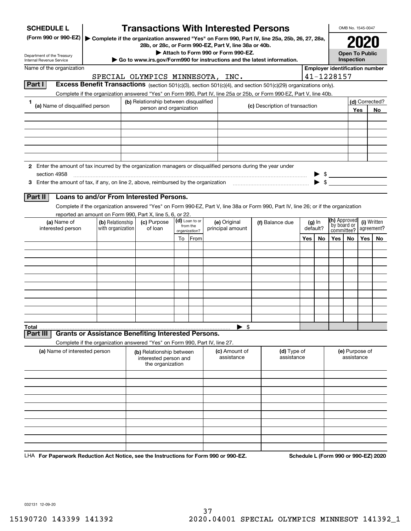| <b>SCHEDULE L</b>                                                                                             |                   | <b>Transactions With Interested Persons</b>                                                                                        |                                                                        |                           |  |                                                       |                 |                                |                      |            |                                       | OMB No. 1545-0047     |            |                                      |
|---------------------------------------------------------------------------------------------------------------|-------------------|------------------------------------------------------------------------------------------------------------------------------------|------------------------------------------------------------------------|---------------------------|--|-------------------------------------------------------|-----------------|--------------------------------|----------------------|------------|---------------------------------------|-----------------------|------------|--------------------------------------|
| (Form 990 or 990-EZ)                                                                                          |                   | Complete if the organization answered "Yes" on Form 990, Part IV, line 25a, 25b, 26, 27, 28a,                                      |                                                                        |                           |  | 28b, or 28c, or Form 990-EZ, Part V, line 38a or 40b. |                 |                                |                      |            |                                       |                       |            |                                      |
| Department of the Treasury                                                                                    |                   |                                                                                                                                    |                                                                        |                           |  | Attach to Form 990 or Form 990-EZ.                    |                 |                                |                      |            |                                       | <b>Open To Public</b> |            |                                      |
| <b>Internal Revenue Service</b>                                                                               |                   |                                                                                                                                    | Go to www.irs.gov/Form990 for instructions and the latest information. |                           |  |                                                       |                 |                                |                      | Inspection |                                       |                       |            |                                      |
| Name of the organization                                                                                      |                   |                                                                                                                                    |                                                                        |                           |  |                                                       |                 |                                |                      |            | <b>Employer identification number</b> |                       |            |                                      |
|                                                                                                               |                   | SPECIAL OLYMPICS MINNESOTA, INC.                                                                                                   |                                                                        |                           |  |                                                       |                 |                                |                      |            | 41-1228157                            |                       |            |                                      |
| Part I                                                                                                        |                   | Excess Benefit Transactions (section 501(c)(3), section 501(c)(4), and section 501(c)(29) organizations only).                     |                                                                        |                           |  |                                                       |                 |                                |                      |            |                                       |                       |            |                                      |
|                                                                                                               |                   | Complete if the organization answered "Yes" on Form 990, Part IV, line 25a or 25b, or Form 990-EZ, Part V, line 40b.               |                                                                        |                           |  |                                                       |                 |                                |                      |            |                                       |                       |            |                                      |
| 1<br>(a) Name of disqualified person                                                                          |                   | (b) Relationship between disqualified<br>person and organization                                                                   |                                                                        |                           |  |                                                       |                 | (c) Description of transaction |                      |            |                                       |                       |            | (d) Corrected?                       |
|                                                                                                               |                   |                                                                                                                                    |                                                                        |                           |  |                                                       |                 |                                |                      |            |                                       |                       | Yes        | <b>No</b>                            |
|                                                                                                               |                   |                                                                                                                                    |                                                                        |                           |  |                                                       |                 |                                |                      |            |                                       |                       |            |                                      |
|                                                                                                               |                   |                                                                                                                                    |                                                                        |                           |  |                                                       |                 |                                |                      |            |                                       |                       |            |                                      |
|                                                                                                               |                   |                                                                                                                                    |                                                                        |                           |  |                                                       |                 |                                |                      |            |                                       |                       |            |                                      |
|                                                                                                               |                   |                                                                                                                                    |                                                                        |                           |  |                                                       |                 |                                |                      |            |                                       |                       |            |                                      |
|                                                                                                               |                   |                                                                                                                                    |                                                                        |                           |  |                                                       |                 |                                |                      |            |                                       |                       |            |                                      |
| 2 Enter the amount of tax incurred by the organization managers or disqualified persons during the year under |                   |                                                                                                                                    |                                                                        |                           |  |                                                       |                 |                                |                      |            |                                       |                       |            |                                      |
| section 4958                                                                                                  |                   |                                                                                                                                    |                                                                        |                           |  |                                                       |                 |                                |                      |            | $\frac{1}{2}$                         |                       |            |                                      |
| 3 Enter the amount of tax, if any, on line 2, above, reimbursed by the organization                           |                   |                                                                                                                                    |                                                                        |                           |  |                                                       |                 |                                |                      |            | $\blacktriangleright$ \$              |                       |            |                                      |
|                                                                                                               |                   | Loans to and/or From Interested Persons.                                                                                           |                                                                        |                           |  |                                                       |                 |                                |                      |            |                                       |                       |            |                                      |
| Part II                                                                                                       |                   |                                                                                                                                    |                                                                        |                           |  |                                                       |                 |                                |                      |            |                                       |                       |            |                                      |
|                                                                                                               |                   | Complete if the organization answered "Yes" on Form 990-EZ, Part V, line 38a or Form 990, Part IV, line 26; or if the organization |                                                                        |                           |  |                                                       |                 |                                |                      |            |                                       |                       |            |                                      |
| (a) Name of                                                                                                   | (b) Relationship  | reported an amount on Form 990, Part X, line 5, 6, or 22.<br>(c) Purpose                                                           |                                                                        | (d) Loan to or            |  | (e) Original                                          |                 |                                |                      |            | (h) Approved                          |                       |            | (i) Written                          |
| interested person                                                                                             | with organization | of loan                                                                                                                            |                                                                        | from the<br>organization? |  | principal amount                                      | (f) Balance due |                                | $(g)$ In<br>default? |            | by board or<br>committee?             |                       | agreement? |                                      |
|                                                                                                               |                   |                                                                                                                                    |                                                                        | To From                   |  |                                                       |                 |                                | Yes                  | No         | Yes $ $                               | No.                   | Yes $ $    | No                                   |
|                                                                                                               |                   |                                                                                                                                    |                                                                        |                           |  |                                                       |                 |                                |                      |            |                                       |                       |            |                                      |
|                                                                                                               |                   |                                                                                                                                    |                                                                        |                           |  |                                                       |                 |                                |                      |            |                                       |                       |            |                                      |
|                                                                                                               |                   |                                                                                                                                    |                                                                        |                           |  |                                                       |                 |                                |                      |            |                                       |                       |            |                                      |
|                                                                                                               |                   |                                                                                                                                    |                                                                        |                           |  |                                                       |                 |                                |                      |            |                                       |                       |            |                                      |
|                                                                                                               |                   |                                                                                                                                    |                                                                        |                           |  |                                                       |                 |                                |                      |            |                                       |                       |            |                                      |
|                                                                                                               |                   |                                                                                                                                    |                                                                        |                           |  |                                                       |                 |                                |                      |            |                                       |                       |            |                                      |
|                                                                                                               |                   |                                                                                                                                    |                                                                        |                           |  |                                                       |                 |                                |                      |            |                                       |                       |            |                                      |
|                                                                                                               |                   |                                                                                                                                    |                                                                        |                           |  |                                                       |                 |                                |                      |            |                                       |                       |            |                                      |
|                                                                                                               |                   |                                                                                                                                    |                                                                        |                           |  |                                                       |                 |                                |                      |            |                                       |                       |            |                                      |
|                                                                                                               |                   |                                                                                                                                    |                                                                        |                           |  |                                                       |                 |                                |                      |            |                                       |                       |            |                                      |
| Total<br>Part II                                                                                              |                   | <b>Grants or Assistance Benefiting Interested Persons.</b>                                                                         |                                                                        |                           |  | - \$                                                  |                 |                                |                      |            |                                       |                       |            |                                      |
|                                                                                                               |                   | Complete if the organization answered "Yes" on Form 990, Part IV, line 27.                                                         |                                                                        |                           |  |                                                       |                 |                                |                      |            |                                       |                       |            |                                      |
| (a) Name of interested person                                                                                 |                   | (b) Relationship between                                                                                                           |                                                                        |                           |  | (c) Amount of                                         |                 | (d) Type of                    |                      |            |                                       | (e) Purpose of        |            |                                      |
|                                                                                                               |                   | interested person and                                                                                                              |                                                                        |                           |  | assistance                                            |                 | assistance                     |                      |            |                                       | assistance            |            |                                      |
|                                                                                                               |                   | the organization                                                                                                                   |                                                                        |                           |  |                                                       |                 |                                |                      |            |                                       |                       |            |                                      |
|                                                                                                               |                   |                                                                                                                                    |                                                                        |                           |  |                                                       |                 |                                |                      |            |                                       |                       |            |                                      |
|                                                                                                               |                   |                                                                                                                                    |                                                                        |                           |  |                                                       |                 |                                |                      |            |                                       |                       |            |                                      |
|                                                                                                               |                   |                                                                                                                                    |                                                                        |                           |  |                                                       |                 |                                |                      |            |                                       |                       |            |                                      |
|                                                                                                               |                   |                                                                                                                                    |                                                                        |                           |  |                                                       |                 |                                |                      |            |                                       |                       |            |                                      |
|                                                                                                               |                   |                                                                                                                                    |                                                                        |                           |  |                                                       |                 |                                |                      |            |                                       |                       |            |                                      |
|                                                                                                               |                   |                                                                                                                                    |                                                                        |                           |  |                                                       |                 |                                |                      |            |                                       |                       |            |                                      |
|                                                                                                               |                   |                                                                                                                                    |                                                                        |                           |  |                                                       |                 |                                |                      |            |                                       |                       |            |                                      |
|                                                                                                               |                   |                                                                                                                                    |                                                                        |                           |  |                                                       |                 |                                |                      |            |                                       |                       |            |                                      |
|                                                                                                               |                   |                                                                                                                                    |                                                                        |                           |  |                                                       |                 |                                |                      |            |                                       |                       |            |                                      |
|                                                                                                               |                   |                                                                                                                                    |                                                                        |                           |  |                                                       |                 |                                |                      |            |                                       |                       |            |                                      |
| LHA For Paperwork Reduction Act Notice, see the Instructions for Form 990 or 990-EZ.                          |                   |                                                                                                                                    |                                                                        |                           |  |                                                       |                 |                                |                      |            |                                       |                       |            | Schedule L (Form 990 or 990-EZ) 2020 |

032131 12-09-20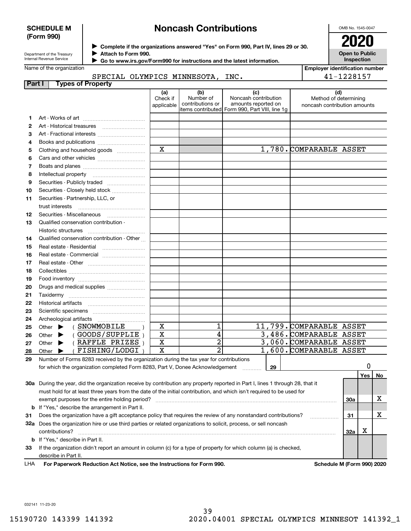#### **SCHEDULE M (Form 990)**

# **Noncash Contributions**

OMB No. 1545-0047

**Open to Public Inspection**

| Department of the Treasury |
|----------------------------|
| Internal Revenue Service   |

**Complete if the organizations answered "Yes" on Form 990, Part IV, lines 29 or 30.** <sup>J</sup>**2020**

**Attach to Form 990.** J

 **Go to www.irs.gov/Form990 for instructions and the latest information.** J

| Name of the organization |  |
|--------------------------|--|
|--------------------------|--|

**Employer identification number** 41-1228157

#### **Part I Types of Prope** SPECIAL OLYMPICS MINNESOTA, INC.

| . a. | ι γρασινικι τη σρατιγ                                                                                                                      |                               |                                      |                                                                                                      |                                                              |            |     |    |
|------|--------------------------------------------------------------------------------------------------------------------------------------------|-------------------------------|--------------------------------------|------------------------------------------------------------------------------------------------------|--------------------------------------------------------------|------------|-----|----|
|      |                                                                                                                                            | (a)<br>Check if<br>applicable | (b)<br>Number of<br>contributions or | (c)<br>Noncash contribution<br>amounts reported on<br>items contributed Form 990, Part VIII, line 1q | (d)<br>Method of determining<br>noncash contribution amounts |            |     |    |
| 1.   |                                                                                                                                            |                               |                                      |                                                                                                      |                                                              |            |     |    |
| 2    |                                                                                                                                            |                               |                                      |                                                                                                      |                                                              |            |     |    |
| 3    |                                                                                                                                            |                               |                                      |                                                                                                      |                                                              |            |     |    |
| 4    |                                                                                                                                            |                               |                                      |                                                                                                      |                                                              |            |     |    |
| 5    | Clothing and household goods                                                                                                               | $\overline{\mathbf{x}}$       |                                      |                                                                                                      | 1,780. COMPARABLE ASSET                                      |            |     |    |
| 6    |                                                                                                                                            |                               |                                      |                                                                                                      |                                                              |            |     |    |
| 7    |                                                                                                                                            |                               |                                      |                                                                                                      |                                                              |            |     |    |
| 8    | Intellectual property                                                                                                                      |                               |                                      |                                                                                                      |                                                              |            |     |    |
| 9    | Securities - Publicly traded                                                                                                               |                               |                                      |                                                                                                      |                                                              |            |     |    |
| 10   | Securities - Closely held stock                                                                                                            |                               |                                      |                                                                                                      |                                                              |            |     |    |
| 11   | Securities - Partnership, LLC, or                                                                                                          |                               |                                      |                                                                                                      |                                                              |            |     |    |
|      | trust interests                                                                                                                            |                               |                                      |                                                                                                      |                                                              |            |     |    |
| 12   |                                                                                                                                            |                               |                                      |                                                                                                      |                                                              |            |     |    |
| 13   | Qualified conservation contribution -                                                                                                      |                               |                                      |                                                                                                      |                                                              |            |     |    |
|      | Historic structures                                                                                                                        |                               |                                      |                                                                                                      |                                                              |            |     |    |
| 14   | Qualified conservation contribution - Other                                                                                                |                               |                                      |                                                                                                      |                                                              |            |     |    |
| 15   | Real estate - Residential                                                                                                                  |                               |                                      |                                                                                                      |                                                              |            |     |    |
| 16   | Real estate - Commercial                                                                                                                   |                               |                                      |                                                                                                      |                                                              |            |     |    |
| 17   |                                                                                                                                            |                               |                                      |                                                                                                      |                                                              |            |     |    |
| 18   |                                                                                                                                            |                               |                                      |                                                                                                      |                                                              |            |     |    |
| 19   |                                                                                                                                            |                               |                                      |                                                                                                      |                                                              |            |     |    |
| 20   | Drugs and medical supplies                                                                                                                 |                               |                                      |                                                                                                      |                                                              |            |     |    |
| 21   | Taxidermy                                                                                                                                  |                               |                                      |                                                                                                      |                                                              |            |     |    |
| 22   |                                                                                                                                            |                               |                                      |                                                                                                      |                                                              |            |     |    |
| 23   |                                                                                                                                            |                               |                                      |                                                                                                      |                                                              |            |     |    |
| 24   |                                                                                                                                            |                               |                                      |                                                                                                      |                                                              |            |     |    |
| 25   | (SNOWMOBILE<br>Other $\blacktriangleright$                                                                                                 | X                             | 1                                    |                                                                                                      | 11,799. COMPARABLE ASSET                                     |            |     |    |
| 26   | (GOODS/SUPPLIE)<br>Other $\blacktriangleright$                                                                                             | $\overline{\mathbf{x}}$       | 4                                    |                                                                                                      | 3,486. COMPARABLE ASSET                                      |            |     |    |
| 27   | (RAFFLE PRIZES)<br>Other $\blacktriangleright$                                                                                             | $\overline{\mathbf{x}}$       | $\overline{2}$                       |                                                                                                      | 3,060.COMPARABLE ASSET                                       |            |     |    |
| 28   | (FISHING/LODGI<br>Other $\blacktriangleright$                                                                                              | $\overline{\mathbf{x}}$       | $\overline{2}$                       |                                                                                                      | 1,600. COMPARABLE ASSET                                      |            |     |    |
| 29   | Number of Forms 8283 received by the organization during the tax year for contributions                                                    |                               |                                      |                                                                                                      |                                                              |            |     |    |
|      | for which the organization completed Form 8283, Part V, Donee Acknowledgement                                                              |                               |                                      | 29<br>.                                                                                              |                                                              |            | 0   |    |
|      |                                                                                                                                            |                               |                                      |                                                                                                      |                                                              |            | Yes | No |
|      | 30a During the year, did the organization receive by contribution any property reported in Part I, lines 1 through 28, that it             |                               |                                      |                                                                                                      |                                                              |            |     |    |
|      | must hold for at least three years from the date of the initial contribution, and which isn't required to be used for                      |                               |                                      |                                                                                                      |                                                              |            |     |    |
|      |                                                                                                                                            |                               |                                      |                                                                                                      |                                                              | <b>30a</b> |     | х  |
| b    | If "Yes," describe the arrangement in Part II.                                                                                             |                               |                                      |                                                                                                      |                                                              |            |     |    |
| 31   | Does the organization have a gift acceptance policy that requires the review of any nonstandard contributions?                             |                               |                                      |                                                                                                      |                                                              | 31         |     | X  |
|      | <b>32a</b> Does the organization hire or use third parties or related organizations to solicit, process, or sell noncash<br>contributions? |                               |                                      |                                                                                                      |                                                              | 32a        | х   |    |
|      | <b>b</b> If "Yes," describe in Part II.                                                                                                    |                               |                                      |                                                                                                      |                                                              |            |     |    |
|      | والمترامية المراجع والمتوسط وبروانها                                                                                                       |                               |                                      | st an americation and was (a) face a temporal monocular face colaigh and was (a) in place level      |                                                              |            |     |    |

**33**If the organization didn't report an amount in column (c) for a type of property for which column (a) is checked, describe in Part II.

**For Paperwork Reduction Act Notice, see the Instructions for Form 990. Schedule M (Form 990) 2020** LHA

032141 11-23-20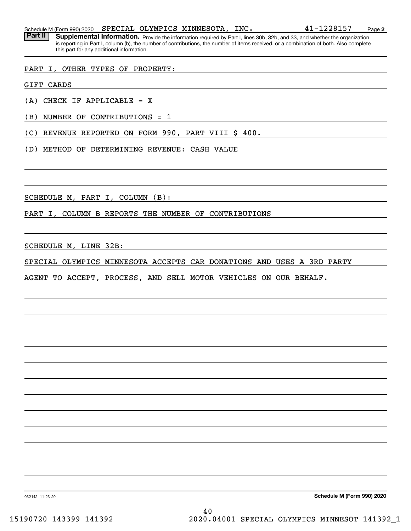Schedule M (Form 990) 2020  ${\tt SPECIAL}$   ${\tt OLYMPICS}$   ${\tt MINNESOTA}$  ,  ${\tt INC.}$   ${\tt 41-1228157}$   ${\tt Page}$ 

Part II | Supplemental Information. Provide the information required by Part I, lines 30b, 32b, and 33, and whether the organization is reporting in Part I, column (b), the number of contributions, the number of items received, or a combination of both. Also complete this part for any additional information.

#### PART I, OTHER TYPES OF PROPERTY:

GIFT CARDS

(A) CHECK IF APPLICABLE = X

(B) NUMBER OF CONTRIBUTIONS = 1

(C) REVENUE REPORTED ON FORM 990, PART VIII \$ 400.

(D) METHOD OF DETERMINING REVENUE: CASH VALUE

SCHEDULE M, PART I, COLUMN (B):

PART I, COLUMN B REPORTS THE NUMBER OF CONTRIBUTIONS

SCHEDULE M, LINE 32B:

SPECIAL OLYMPICS MINNESOTA ACCEPTS CAR DONATIONS AND USES A 3RD PARTY

AGENT TO ACCEPT, PROCESS, AND SELL MOTOR VEHICLES ON OUR BEHALF.

**Schedule M (Form 990) 2020**

032142 11-23-20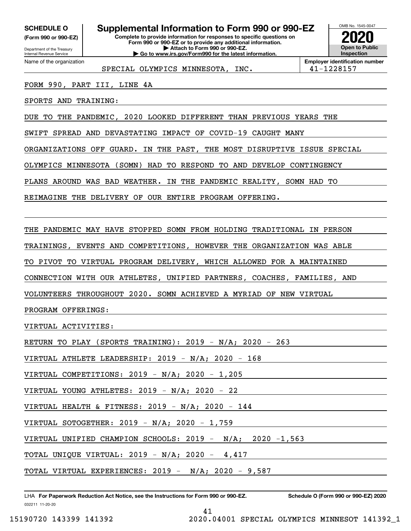**(Form 990 or 990-EZ)**

Department of the Treasury Internal Revenue Service Name of the organization

## **SCHEDULE O Supplemental Information to Form 990 or 990-EZ**

**Complete to provide information for responses to specific questions on Form 990 or 990-EZ or to provide any additional information. | Attach to Form 990 or 990-EZ. | Go to www.irs.gov/Form990 for the latest information.**



**Employer identification number** SPECIAL OLYMPICS MINNESOTA, INC. 41-1228157

FORM 990, PART III, LINE 4A

SPORTS AND TRAINING:

DUE TO THE PANDEMIC, 2020 LOOKED DIFFERENT THAN PREVIOUS YEARS THE

SWIFT SPREAD AND DEVASTATING IMPACT OF COVID-19 CAUGHT MANY

ORGANIZATIONS OFF GUARD. IN THE PAST, THE MOST DISRUPTIVE ISSUE SPECIAL

OLYMPICS MINNESOTA (SOMN) HAD TO RESPOND TO AND DEVELOP CONTINGENCY

PLANS AROUND WAS BAD WEATHER. IN THE PANDEMIC REALITY, SOMN HAD TO

REIMAGINE THE DELIVERY OF OUR ENTIRE PROGRAM OFFERING.

THE PANDEMIC MAY HAVE STOPPED SOMN FROM HOLDING TRADITIONAL IN PERSON

TRAININGS, EVENTS AND COMPETITIONS, HOWEVER THE ORGANIZATION WAS ABLE

TO PIVOT TO VIRTUAL PROGRAM DELIVERY, WHICH ALLOWED FOR A MAINTAINED

CONNECTION WITH OUR ATHLETES, UNIFIED PARTNERS, COACHES, FAMILIES, AND

VOLUNTEERS THROUGHOUT 2020. SOMN ACHIEVED A MYRIAD OF NEW VIRTUAL

PROGRAM OFFERINGS:

VIRTUAL ACTIVITIES:

RETURN TO PLAY (SPORTS TRAINING): 2019 - N/A; 2020 - 263

VIRTUAL ATHLETE LEADERSHIP: 2019 - N/A; 2020 - 168

VIRTUAL COMPETITIONS: 2019 - N/A; 2020 - 1,205

VIRTUAL YOUNG ATHLETES: 2019 - N/A; 2020 - 22

VIRTUAL HEALTH & FITNESS: 2019 - N/A; 2020 - 144

VIRTUAL SOTOGETHER: 2019 - N/A; 2020 - 1,759

VIRTUAL UNIFIED CHAMPION SCHOOLS: 2019 - N/A; 2020 -1,563

41

TOTAL UNIQUE VIRTUAL: 2019 - N/A; 2020 - 4,417

TOTAL VIRTUAL EXPERIENCES: 2019 - N/A; 2020 - 9,587

032211 11-20-20 LHA For Paperwork Reduction Act Notice, see the Instructions for Form 990 or 990-EZ. Schedule O (Form 990 or 990-EZ) 2020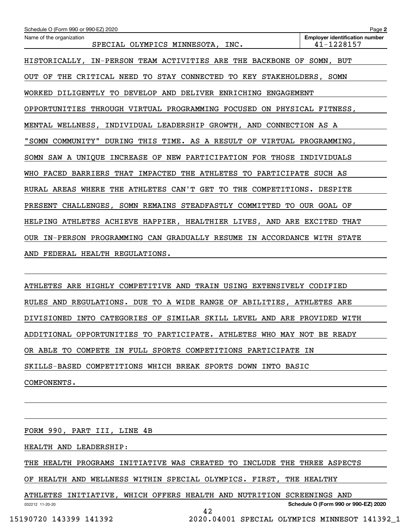| Schedule O (Form 990 or 990-EZ) 2020                                             | Page 2                                              |
|----------------------------------------------------------------------------------|-----------------------------------------------------|
| Name of the organization<br>SPECIAL OLYMPICS MINNESOTA,<br>INC.                  | <b>Employer identification number</b><br>41-1228157 |
| HISTORICALLY, IN-PERSON TEAM ACTIVITIES ARE THE BACKBONE OF                      | SOMN, BUT                                           |
| TO STAY CONNECTED TO KEY STAKEHOLDERS, SOMN<br>THE CRITICAL NEED<br>OUT<br>OF    |                                                     |
| WORKED DILIGENTLY TO DEVELOP AND DELIVER ENRICHING ENGAGEMENT                    |                                                     |
| <b>OPPORTUNITIES</b><br>THROUGH VIRTUAL PROGRAMMING FOCUSED ON PHYSICAL FITNESS, |                                                     |
| INDIVIDUAL LEADERSHIP GROWTH, AND CONNECTION AS A<br>MENTAL WELLNESS,            |                                                     |
| "SOMN COMMUNITY"<br>DURING THIS TIME. AS A RESULT OF VIRTUAL PROGRAMMING,        |                                                     |
| SAW A UNIQUE<br>INCREASE OF NEW PARTICIPATION FOR THOSE INDIVIDUALS<br>SOMN      |                                                     |
| FACED BARRIERS THAT IMPACTED<br>THE ATHLETES TO PARTICIPATE SUCH AS<br>WHO       |                                                     |
| THE ATHLETES CAN'T GET TO<br>RURAL AREAS WHERE<br>THE                            | COMPETITIONS. DESPITE                               |
| PRESENT CHALLENGES, SOMN REMAINS STEADFASTLY COMMITTED TO OUR GOAL OF            |                                                     |
| HELPING ATHLETES ACHIEVE HAPPIER, HEALTHIER LIVES, AND ARE EXCITED               | THAT                                                |
| OUR IN-PERSON PROGRAMMING CAN GRADUALLY RESUME IN ACCORDANCE WITH STATE          |                                                     |
| FEDERAL HEALTH REGULATIONS.<br>AND                                               |                                                     |

ATHLETES ARE HIGHLY COMPETITIVE AND TRAIN USING EXTENSIVELY CODIFIED RULES AND REGULATIONS. DUE TO A WIDE RANGE OF ABILITIES, ATHLETES ARE DIVISIONED INTO CATEGORIES OF SIMILAR SKILL LEVEL AND ARE PROVIDED WITH ADDITIONAL OPPORTUNITIES TO PARTICIPATE. ATHLETES WHO MAY NOT BE READY OR ABLE TO COMPETE IN FULL SPORTS COMPETITIONS PARTICIPATE IN SKILLS-BASED COMPETITIONS WHICH BREAK SPORTS DOWN INTO BASIC COMPONENTS.

FORM 990, PART III, LINE 4B

HEALTH AND LEADERSHIP:

THE HEALTH PROGRAMS INITIATIVE WAS CREATED TO INCLUDE THE THREE ASPECTS

OF HEALTH AND WELLNESS WITHIN SPECIAL OLYMPICS. FIRST, THE HEALTHY

ATHLETES INITIATIVE, WHICH OFFERS HEALTH AND NUTRITION SCREENINGS AND

42

032212 11-20-20

15190720 143399 141392 2020.04001 SPECIAL OLYMPICS MINNESOT 141392\_1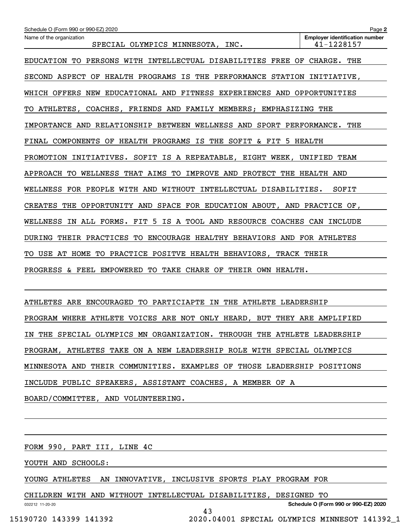| Schedule O (Form 990 or 990-EZ) 2020                                       | Page 2                                                    |  |  |  |  |
|----------------------------------------------------------------------------|-----------------------------------------------------------|--|--|--|--|
| Name of the organization<br>SPECIAL OLYMPICS MINNESOTA, INC.               | <b>Employer identification number</b><br>41-1228157       |  |  |  |  |
| EDUCATION TO PERSONS WITH INTELLECTUAL DISABILITIES FREE OF<br>CHARGE.     | THE                                                       |  |  |  |  |
| SECOND ASPECT OF HEALTH PROGRAMS IS THE PERFORMANCE STATION INITIATIVE,    |                                                           |  |  |  |  |
| WHICH OFFERS                                                               | NEW EDUCATIONAL AND FITNESS EXPERIENCES AND OPPORTUNITIES |  |  |  |  |
| ATHLETES, COACHES, FRIENDS AND FAMILY MEMBERS; EMPHASIZING THE<br>TО       |                                                           |  |  |  |  |
| IMPORTANCE AND RELATIONSHIP BETWEEN WELLNESS AND SPORT PERFORMANCE. THE    |                                                           |  |  |  |  |
| OF HEALTH PROGRAMS IS THE SOFIT & FIT 5 HEALTH<br>FINAL COMPONENTS         |                                                           |  |  |  |  |
| PROMOTION INITIATIVES. SOFIT IS A REPEATABLE, EIGHT WEEK, UNIFIED TEAM     |                                                           |  |  |  |  |
| APPROACH TO WELLNESS THAT AIMS TO IMPROVE AND PROTECT THE HEALTH AND       |                                                           |  |  |  |  |
| WELLNESS FOR PEOPLE WITH AND WITHOUT INTELLECTUAL DISABILITIES.            | SOFIT                                                     |  |  |  |  |
| CREATES THE<br>OPPORTUNITY AND SPACE FOR EDUCATION ABOUT, AND PRACTICE OF, |                                                           |  |  |  |  |
| WELLNESS IN ALL FORMS. FIT 5 IS A TOOL AND RESOURCE COACHES CAN INCLUDE    |                                                           |  |  |  |  |
| DURING THEIR PRACTICES TO<br>ENCOURAGE HEALTHY BEHAVIORS AND FOR ATHLETES  |                                                           |  |  |  |  |
| TO USE AT HOME TO PRACTICE POSITVE HEALTH BEHAVIORS, TRACK THEIR           |                                                           |  |  |  |  |
| EMPOWERED TO TAKE CHARE OF THEIR OWN HEALTH.<br>PROGRESS & FEEL            |                                                           |  |  |  |  |

ATHLETES ARE ENCOURAGED TO PARTICIAPTE IN THE ATHLETE LEADERSHIP PROGRAM WHERE ATHLETE VOICES ARE NOT ONLY HEARD, BUT THEY ARE AMPLIFIED IN THE SPECIAL OLYMPICS MN ORGANIZATION. THROUGH THE ATHLETE LEADERSHIP PROGRAM, ATHLETES TAKE ON A NEW LEADERSHIP ROLE WITH SPECIAL OLYMPICS MINNESOTA AND THEIR COMMUNITIES. EXAMPLES OF THOSE LEADERSHIP POSITIONS INCLUDE PUBLIC SPEAKERS, ASSISTANT COACHES, A MEMBER OF A BOARD/COMMITTEE, AND VOLUNTEERING.

FORM 990, PART III, LINE 4C

YOUTH AND SCHOOLS:

YOUNG ATHLETES AN INNOVATIVE, INCLUSIVE SPORTS PLAY PROGRAM FOR

CHILDREN WITH AND WITHOUT INTELLECTUAL DISABILITIES, DESIGNED TO

43

032212 11-20-20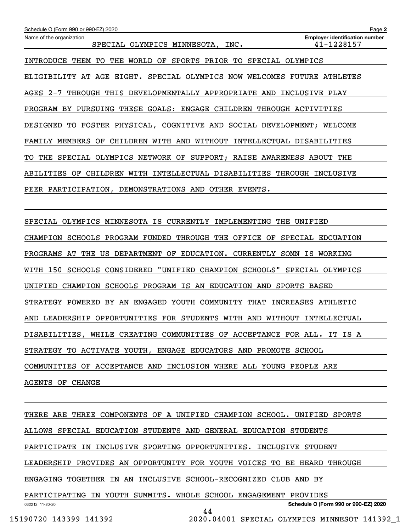| Schedule O (Form 990 or 990-EZ) 2020                                    | Page 2                                              |
|-------------------------------------------------------------------------|-----------------------------------------------------|
| Name of the organization<br>SPECIAL OLYMPICS MINNESOTA, INC.            | <b>Employer identification number</b><br>41-1228157 |
| INTRODUCE THEM TO THE WORLD OF SPORTS PRIOR TO SPECIAL OLYMPICS         |                                                     |
| ELIGIBILITY AT AGE EIGHT. SPECIAL OLYMPICS NOW WELCOMES FUTURE ATHLETES |                                                     |
| AGES 2-7 THROUGH THIS DEVELOPMENTALLY APPROPRIATE AND INCLUSIVE PLAY    |                                                     |
| PROGRAM BY PURSUING THESE GOALS: ENGAGE CHILDREN THROUGH ACTIVITIES     |                                                     |
| DESIGNED TO FOSTER PHYSICAL, COGNITIVE AND SOCIAL DEVELOPMENT; WELCOME  |                                                     |
| FAMILY MEMBERS OF CHILDREN WITH AND WITHOUT INTELLECTUAL DISABILITIES   |                                                     |
| TO THE SPECIAL OLYMPICS NETWORK OF SUPPORT; RAISE AWARENESS ABOUT THE   |                                                     |
| ABILITIES OF CHILDREN WITH INTELLECTUAL DISABILITIES THROUGH INCLUSIVE  |                                                     |
| PEER PARTICIPATION, DEMONSTRATIONS AND OTHER EVENTS.                    |                                                     |
|                                                                         |                                                     |
| SPECIAL OLYMPICS MINNESOTA IS CURRENTLY IMPLEMENTING THE UNIFIED        |                                                     |
| CHAMPION SCHOOLS PROGRAM FUNDED THROUGH THE OFFICE OF SPECIAL EDCUATION |                                                     |
| PROGRAMS AT THE US DEPARTMENT OF EDUCATION. CURRENTLY SOMN IS WORKING   |                                                     |
| WITH 150 SCHOOLS CONSIDERED "UNIFIED CHAMPION SCHOOLS" SPECIAL OLYMPICS |                                                     |
| UNIFIED CHAMPION SCHOOLS PROGRAM IS AN EDUCATION AND SPORTS BASED       |                                                     |
| STRATEGY POWERED BY AN ENGAGED YOUTH COMMUNITY THAT INCREASES ATHLETIC  |                                                     |
| AND LEADERSHIP OPPORTUNITIES FOR STUDENTS WITH AND WITHOUT INTELLECTUAL |                                                     |
| DISABILITIES, WHILE CREATING COMMUNITIES OF ACCEPTANCE FOR ALL. IT IS A |                                                     |
| STRATEGY TO ACTIVATE YOUTH, ENGAGE EDUCATORS AND PROMOTE SCHOOL         |                                                     |
| COMMUNITIES OF ACCEPTANCE AND INCLUSION WHERE ALL YOUNG PEOPLE ARE      |                                                     |
| <b>AGENTS OF CHANGE</b>                                                 |                                                     |

032212 11-20-20 **Schedule O (Form 990 or 990-EZ) 2020** THERE ARE THREE COMPONENTS OF A UNIFIED CHAMPION SCHOOL. UNIFIED SPORTS ALLOWS SPECIAL EDUCATION STUDENTS AND GENERAL EDUCATION STUDENTS PARTICIPATE IN INCLUSIVE SPORTING OPPORTUNITIES. INCLUSIVE STUDENT LEADERSHIP PROVIDES AN OPPORTUNITY FOR YOUTH VOICES TO BE HEARD THROUGH ENGAGING TOGETHER IN AN INCLUSIVE SCHOOL-RECOGNIZED CLUB AND BY PARTICIPATING IN YOUTH SUMMITS. WHOLE SCHOOL ENGAGEMENT PROVIDES

44

 <sup>15190720 143399 141392 2020.04001</sup> SPECIAL OLYMPICS MINNESOT 141392\_1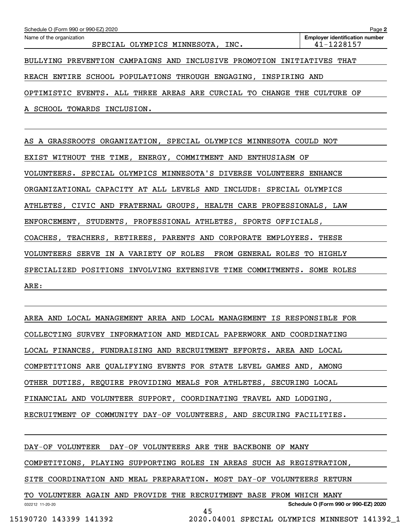| Schedule O (Form 990 or 990-EZ) 2020                                                       | Page 2                                              |  |  |
|--------------------------------------------------------------------------------------------|-----------------------------------------------------|--|--|
| Name of the organization<br>OLYMPICS MINNESOTA, INC.<br>SPECIAL                            | <b>Employer identification number</b><br>41-1228157 |  |  |
| BULLYING PREVENTION CAMPAIGNS AND INCLUSIVE PROMOTION                                      | INITIATIVES<br>THAT                                 |  |  |
| REACH ENTIRE SCHOOL POPULATIONS THROUGH ENGAGING, INSPIRING                                | AND                                                 |  |  |
| EVENTS. ALL THREE AREAS ARE CURCIAL<br>CHANGE<br>OPTIMISTIC<br>THE<br>CULTURE<br>OF<br>TO. |                                                     |  |  |
| TOWARDS<br>SCHOOL<br>INCLUSION.                                                            |                                                     |  |  |
|                                                                                            |                                                     |  |  |
| AS A GRASSROOTS ORGANIZATION, SPECIAL OLYMPICS MINNESOTA                                   | COULD NOT                                           |  |  |
| TIME, ENERGY, COMMITMENT AND<br><b>ENTHUSIASM OF</b><br>EXIST<br>WITHOUT<br>THE            |                                                     |  |  |
| OLYMPICS MINNESOTA'S DIVERSE<br>VOLUNTEERS.<br>SPECIAL<br><b>VOLUNTEERS</b>                | ENHANCE                                             |  |  |

ORGANIZATIONAL CAPACITY AT ALL LEVELS AND INCLUDE: SPECIAL OLYMPICS

ATHLETES, CIVIC AND FRATERNAL GROUPS, HEALTH CARE PROFESSIONALS, LAW

ENFORCEMENT, STUDENTS, PROFESSIONAL ATHLETES, SPORTS OFFICIALS,

COACHES, TEACHERS, RETIREES, PARENTS AND CORPORATE EMPLOYEES. THESE

VOLUNTEERS SERVE IN A VARIETY OF ROLES FROM GENERAL ROLES TO HIGHLY

SPECIALIZED POSITIONS INVOLVING EXTENSIVE TIME COMMITMENTS. SOME ROLES

ARE:

AREA AND LOCAL MANAGEMENT AREA AND LOCAL MANAGEMENT IS RESPONSIBLE FOR COLLECTING SURVEY INFORMATION AND MEDICAL PAPERWORK AND COORDINATING LOCAL FINANCES, FUNDRAISING AND RECRUITMENT EFFORTS. AREA AND LOCAL COMPETITIONS ARE QUALIFYING EVENTS FOR STATE LEVEL GAMES AND, AMONG OTHER DUTIES, REQUIRE PROVIDING MEALS FOR ATHLETES, SECURING LOCAL FINANCIAL AND VOLUNTEER SUPPORT, COORDINATING TRAVEL AND LODGING, RECRUITMENT OF COMMUNITY DAY-OF VOLUNTEERS, AND SECURING FACILITIES.

032212 11-20-20 **Schedule O (Form 990 or 990-EZ) 2020** DAY-OF VOLUNTEER DAY-OF VOLUNTEERS ARE THE BACKBONE OF MANY COMPETITIONS, PLAYING SUPPORTING ROLES IN AREAS SUCH AS REGISTRATION, SITE COORDINATION AND MEAL PREPARATION. MOST DAY-OF VOLUNTEERS RETURN TO VOLUNTEER AGAIN AND PROVIDE THE RECRUITMENT BASE FROM WHICH MANY 45

15190720 143399 141392 2020.04001 SPECIAL OLYMPICS MINNESOT 141392\_1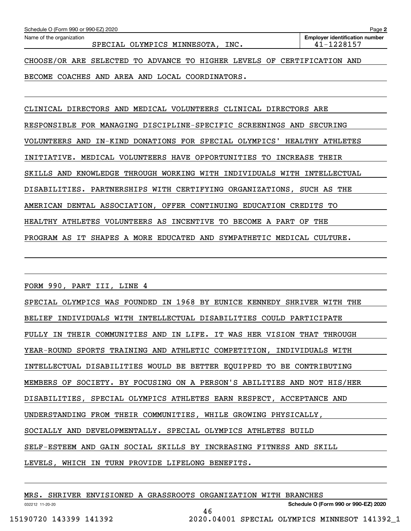| Schedule O (Form 990 or 990-EZ) 2020<br>Page 2                          |                                       |  |  |  |
|-------------------------------------------------------------------------|---------------------------------------|--|--|--|
| Name of the organization                                                | <b>Employer identification number</b> |  |  |  |
| SPECIAL OLYMPICS MINNESOTA, INC.                                        | 41-1228157                            |  |  |  |
| CHOOSE/OR ARE SELECTED TO ADVANCE TO HIGHER LEVELS OF CERTIFICATION AND |                                       |  |  |  |
| BECOME COACHES AND AREA AND LOCAL COORDINATORS.                         |                                       |  |  |  |

CLINICAL DIRECTORS AND MEDICAL VOLUNTEERS CLINICAL DIRECTORS ARE RESPONSIBLE FOR MANAGING DISCIPLINE-SPECIFIC SCREENINGS AND SECURING VOLUNTEERS AND IN-KIND DONATIONS FOR SPECIAL OLYMPICS' HEALTHY ATHLETES INITIATIVE. MEDICAL VOLUNTEERS HAVE OPPORTUNITIES TO INCREASE THEIR SKILLS AND KNOWLEDGE THROUGH WORKING WITH INDIVIDUALS WITH INTELLECTUAL DISABILITIES. PARTNERSHIPS WITH CERTIFYING ORGANIZATIONS, SUCH AS THE AMERICAN DENTAL ASSOCIATION, OFFER CONTINUING EDUCATION CREDITS TO HEALTHY ATHLETES VOLUNTEERS AS INCENTIVE TO BECOME A PART OF THE PROGRAM AS IT SHAPES A MORE EDUCATED AND SYMPATHETIC MEDICAL CULTURE.

FORM 990, PART III, LINE 4

| SPECIAL OLYMPICS WAS FOUNDED IN 1968 BY EUNICE KENNEDY SHRIVER WITH THE |
|-------------------------------------------------------------------------|
| BELIEF INDIVIDUALS WITH INTELLECTUAL DISABILITIES COULD PARTICIPATE     |
| FULLY IN THEIR COMMUNITIES AND IN LIFE. IT WAS HER VISION THAT THROUGH  |
| YEAR-ROUND SPORTS TRAINING AND ATHLETIC COMPETITION, INDIVIDUALS WITH   |
| INTELLECTUAL DISABILITIES WOULD BE BETTER EQUIPPED TO BE CONTRIBUTING   |
| MEMBERS OF SOCIETY. BY FOCUSING ON A PERSON'S ABILITIES AND NOT HIS/HER |
| DISABILITIES, SPECIAL OLYMPICS ATHLETES EARN RESPECT, ACCEPTANCE AND    |
| UNDERSTANDING FROM THEIR COMMUNITIES, WHILE GROWING PHYSICALLY,         |
| SOCIALLY AND DEVELOPMENTALLY. SPECIAL OLYMPICS ATHLETES BUILD           |
| SELF-ESTEEM AND GAIN SOCIAL SKILLS BY INCREASING FITNESS AND SKILL      |
| LEVELS, WHICH IN TURN PROVIDE LIFELONG BENEFITS.                        |
|                                                                         |

46

|  |  |  |  |  | MRS. SHRIVER ENVISIONED A GRASSROOTS ORGANIZATION WITH BRANCHES |  |  |
|--|--|--|--|--|-----------------------------------------------------------------|--|--|
|--|--|--|--|--|-----------------------------------------------------------------|--|--|

032212 11-20-20

**Schedule O (Form 990 or 990-EZ) 2020**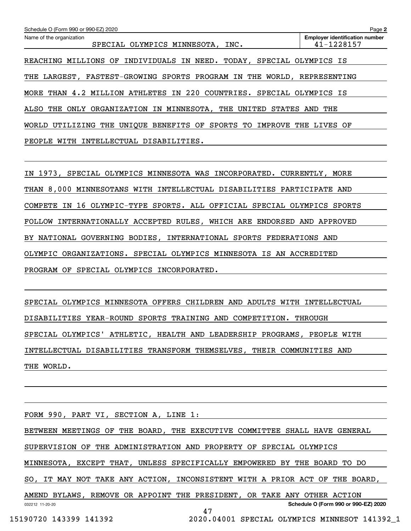| Schedule O (Form 990 or 990-EZ) 2020                                     | Page 2                                              |
|--------------------------------------------------------------------------|-----------------------------------------------------|
| Name of the organization<br>SPECIAL OLYMPICS MINNESOTA, INC.             | <b>Employer identification number</b><br>41-1228157 |
| REACHING MILLIONS OF INDIVIDUALS IN NEED. TODAY, SPECIAL OLYMPICS IS     |                                                     |
| THE LARGEST, FASTEST-GROWING SPORTS PROGRAM IN THE WORLD, REPRESENTING   |                                                     |
| MORE THAN 4.2 MILLION ATHLETES IN 220 COUNTRIES. SPECIAL OLYMPICS IS     |                                                     |
| ALSO THE ONLY ORGANIZATION IN MINNESOTA, THE UNITED                      | STATES AND THE                                      |
| UNIOUE BENEFITS OF SPORTS TO<br>THE<br>IMPROVE THE<br>UTILIZING<br>WORLD | LIVES OF                                            |
| INTELLECTUAL DISABILITIES.<br>PEOPLE<br>WITH                             |                                                     |

IN 1973, SPECIAL OLYMPICS MINNESOTA WAS INCORPORATED. CURRENTLY, MORE THAN 8,000 MINNESOTANS WITH INTELLECTUAL DISABILITIES PARTICIPATE AND COMPETE IN 16 OLYMPIC-TYPE SPORTS. ALL OFFICIAL SPECIAL OLYMPICS SPORTS FOLLOW INTERNATIONALLY ACCEPTED RULES, WHICH ARE ENDORSED AND APPROVED BY NATIONAL GOVERNING BODIES, INTERNATIONAL SPORTS FEDERATIONS AND OLYMPIC ORGANIZATIONS. SPECIAL OLYMPICS MINNESOTA IS AN ACCREDITED PROGRAM OF SPECIAL OLYMPICS INCORPORATED.

SPECIAL OLYMPICS MINNESOTA OFFERS CHILDREN AND ADULTS WITH INTELLECTUAL DISABILITIES YEAR-ROUND SPORTS TRAINING AND COMPETITION. THROUGH SPECIAL OLYMPICS' ATHLETIC, HEALTH AND LEADERSHIP PROGRAMS, PEOPLE WITH INTELLECTUAL DISABILITIES TRANSFORM THEMSELVES, THEIR COMMUNITIES AND THE WORLD.

032212 11-20-20 **Schedule O (Form 990 or 990-EZ) 2020** FORM 990, PART VI, SECTION A, LINE 1: BETWEEN MEETINGS OF THE BOARD, THE EXECUTIVE COMMITTEE SHALL HAVE GENERAL SUPERVISION OF THE ADMINISTRATION AND PROPERTY OF SPECIAL OLYMPICS MINNESOTA, EXCEPT THAT, UNLESS SPECIFICALLY EMPOWERED BY THE BOARD TO DO SO, IT MAY NOT TAKE ANY ACTION, INCONSISTENT WITH A PRIOR ACT OF THE BOARD, AMEND BYLAWS, REMOVE OR APPOINT THE PRESIDENT, OR TAKE ANY OTHER ACTION 47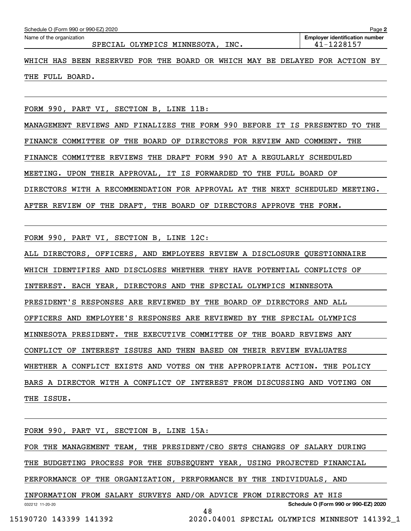| Schedule O (Form 990 or 990-EZ) 2020 |  |  |  |  |
|--------------------------------------|--|--|--|--|

Echedule O (Form 990 or 990-EZ) 2020<br>Name of the organization **number** Name of the organization **number** 

WHICH HAS BEEN RESERVED FOR THE BOARD OR WHICH MAY BE DELAYED FOR ACTION BY THE FULL BOARD.

FORM 990, PART VI, SECTION B, LINE 11B:

MANAGEMENT REVIEWS AND FINALIZES THE FORM 990 BEFORE IT IS PRESENTED TO THE FINANCE COMMITTEE OF THE BOARD OF DIRECTORS FOR REVIEW AND COMMENT. THE FINANCE COMMITTEE REVIEWS THE DRAFT FORM 990 AT A REGULARLY SCHEDULED MEETING. UPON THEIR APPROVAL, IT IS FORWARDED TO THE FULL BOARD OF DIRECTORS WITH A RECOMMENDATION FOR APPROVAL AT THE NEXT SCHEDULED MEETING. AFTER REVIEW OF THE DRAFT, THE BOARD OF DIRECTORS APPROVE THE FORM.

FORM 990, PART VI, SECTION B, LINE 12C:

ALL DIRECTORS, OFFICERS, AND EMPLOYEES REVIEW A DISCLOSURE QUESTIONNAIRE WHICH IDENTIFIES AND DISCLOSES WHETHER THEY HAVE POTENTIAL CONFLICTS OF INTEREST. EACH YEAR, DIRECTORS AND THE SPECIAL OLYMPICS MINNESOTA PRESIDENT'S RESPONSES ARE REVIEWED BY THE BOARD OF DIRECTORS AND ALL OFFICERS AND EMPLOYEE'S RESPONSES ARE REVIEWED BY THE SPECIAL OLYMPICS MINNESOTA PRESIDENT. THE EXECUTIVE COMMITTEE OF THE BOARD REVIEWS ANY CONFLICT OF INTEREST ISSUES AND THEN BASED ON THEIR REVIEW EVALUATES WHETHER A CONFLICT EXISTS AND VOTES ON THE APPROPRIATE ACTION. THE POLICY BARS A DIRECTOR WITH A CONFLICT OF INTEREST FROM DISCUSSING AND VOTING ON THE ISSUE.

032212 11-20-20 **Schedule O (Form 990 or 990-EZ) 2020** FORM 990, PART VI, SECTION B, LINE 15A: FOR THE MANAGEMENT TEAM, THE PRESIDENT/CEO SETS CHANGES OF SALARY DURING THE BUDGETING PROCESS FOR THE SUBSEQUENT YEAR, USING PROJECTED FINANCIAL PERFORMANCE OF THE ORGANIZATION, PERFORMANCE BY THE INDIVIDUALS, AND INFORMATION FROM SALARY SURVEYS AND/OR ADVICE FROM DIRECTORS AT HIS 48

15190720 143399 141392 2020.04001 SPECIAL OLYMPICS MINNESOT 141392\_1